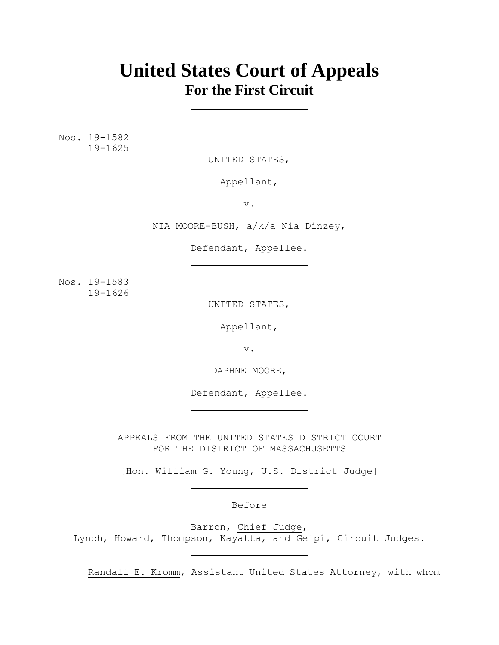# **United States Court of Appeals For the First Circuit**

Nos. 19-1582 19-1625

UNITED STATES,

Appellant,

v.

NIA MOORE-BUSH, a/k/a Nia Dinzey,

Defendant, Appellee.

Nos. 19-1583 19-1626

UNITED STATES,

Appellant,

v.

DAPHNE MOORE,

Defendant, Appellee.

APPEALS FROM THE UNITED STATES DISTRICT COURT FOR THE DISTRICT OF MASSACHUSETTS

[Hon. William G. Young, U.S. District Judge]

Before

Barron, Chief Judge, Lynch, Howard, Thompson, Kayatta, and Gelpí, Circuit Judges.

Randall E. Kromm, Assistant United States Attorney, with whom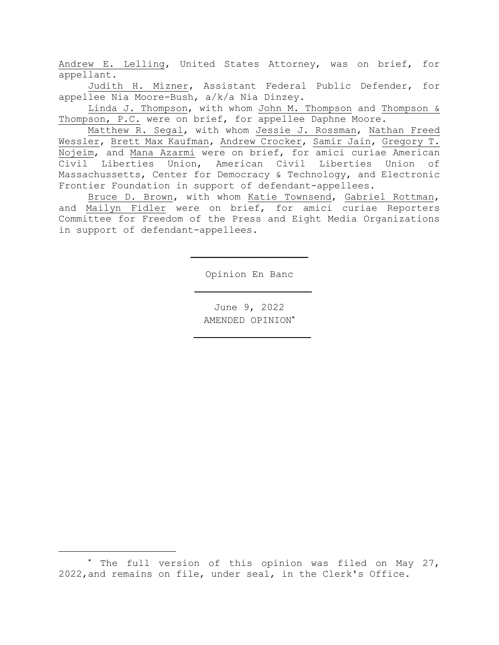Andrew E. Lelling, United States Attorney, was on brief, for appellant.

Judith H. Mizner, Assistant Federal Public Defender, for appellee Nia Moore-Bush, a/k/a Nia Dinzey.

Linda J. Thompson, with whom John M. Thompson and Thompson & Thompson, P.C. were on brief, for appellee Daphne Moore.

Matthew R. Segal, with whom Jessie J. Rossman, Nathan Freed Wessler, Brett Max Kaufman, Andrew Crocker, Samir Jain, Gregory T. Nojeim, and Mana Azarmi were on brief, for amici curiae American Civil Liberties Union, American Civil Liberties Union of Massachussetts, Center for Democracy & Technology, and Electronic Frontier Foundation in support of defendant-appellees.

Bruce D. Brown, with whom Katie Townsend, Gabriel Rottman, and Mailyn Fidler were on brief, for amici curiae Reporters Committee for Freedom of the Press and Eight Media Organizations in support of defendant-appellees.

Opinion En Banc

June 9, 2022 AMENDED OPINION

<sup>\*</sup> The full version of this opinion was filed on May 27, 2022,and remains on file, under seal, in the Clerk's Office.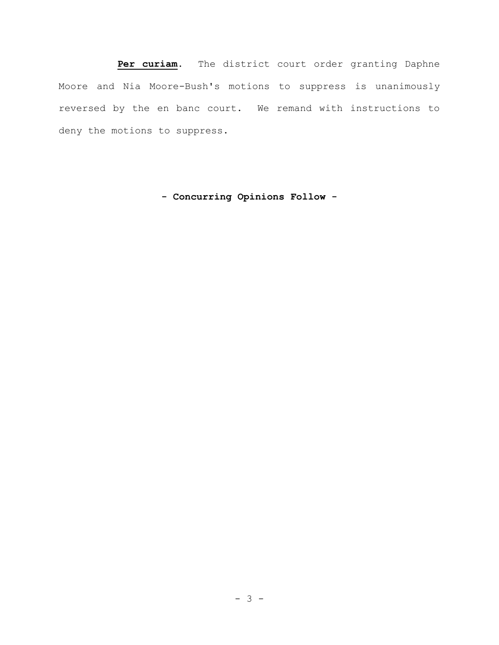**Per curiam.** The district court order granting Daphne Moore and Nia Moore-Bush's motions to suppress is unanimously reversed by the en banc court. We remand with instructions to deny the motions to suppress.

**- Concurring Opinions Follow -**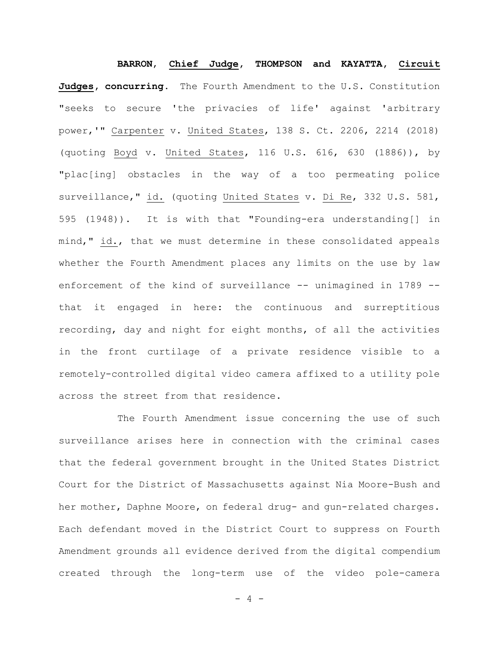**BARRON**, **Chief Judge, THOMPSON and KAYATTA, Circuit Judges, concurring**. The Fourth Amendment to the U.S. Constitution "seeks to secure 'the privacies of life' against 'arbitrary power,'" Carpenter v. United States, 138 S. Ct. 2206, 2214 (2018) (quoting Boyd v. United States, 116 U.S. 616, 630 (1886)), by "plac[ing] obstacles in the way of a too permeating police surveillance," id. (quoting United States v. Di Re, 332 U.S. 581, 595 (1948)). It is with that "Founding-era understanding[] in mind," id., that we must determine in these consolidated appeals whether the Fourth Amendment places any limits on the use by law enforcement of the kind of surveillance -- unimagined in 1789 -that it engaged in here: the continuous and surreptitious recording, day and night for eight months, of all the activities in the front curtilage of a private residence visible to a remotely-controlled digital video camera affixed to a utility pole across the street from that residence.

The Fourth Amendment issue concerning the use of such surveillance arises here in connection with the criminal cases that the federal government brought in the United States District Court for the District of Massachusetts against Nia Moore-Bush and her mother, Daphne Moore, on federal drug- and gun-related charges. Each defendant moved in the District Court to suppress on Fourth Amendment grounds all evidence derived from the digital compendium created through the long-term use of the video pole-camera

 $- 4 -$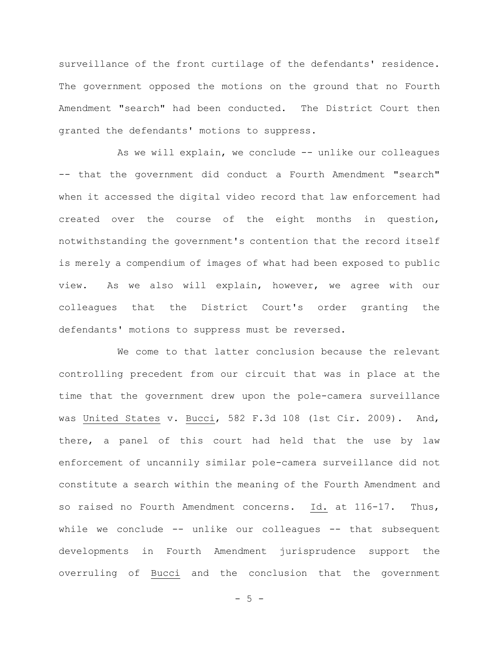surveillance of the front curtilage of the defendants' residence. The government opposed the motions on the ground that no Fourth Amendment "search" had been conducted. The District Court then granted the defendants' motions to suppress.

As we will explain, we conclude -- unlike our colleagues -- that the government did conduct a Fourth Amendment "search" when it accessed the digital video record that law enforcement had created over the course of the eight months in question, notwithstanding the government's contention that the record itself is merely a compendium of images of what had been exposed to public view. As we also will explain, however, we agree with our colleagues that the District Court's order granting the defendants' motions to suppress must be reversed.

We come to that latter conclusion because the relevant controlling precedent from our circuit that was in place at the time that the government drew upon the pole-camera surveillance was United States v. Bucci, 582 F.3d 108 (1st Cir. 2009). And, there, a panel of this court had held that the use by law enforcement of uncannily similar pole-camera surveillance did not constitute a search within the meaning of the Fourth Amendment and so raised no Fourth Amendment concerns. Id. at 116-17. Thus, while we conclude -- unlike our colleagues -- that subsequent developments in Fourth Amendment jurisprudence support the overruling of Bucci and the conclusion that the government

 $-5 -$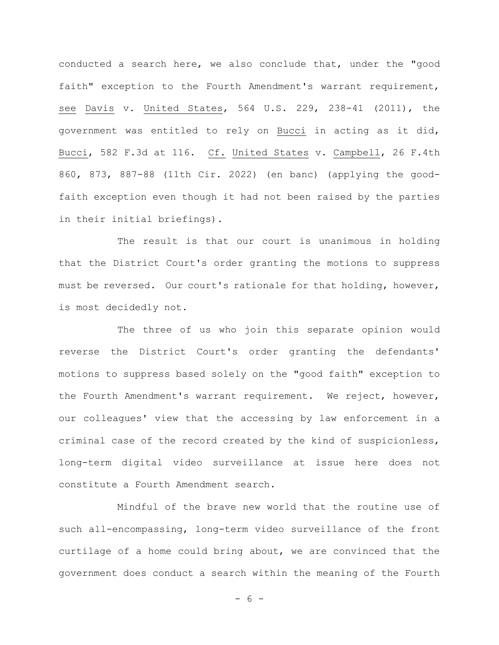conducted a search here, we also conclude that, under the "good faith" exception to the Fourth Amendment's warrant requirement, see Davis v. United States, 564 U.S. 229, 238-41 (2011), the government was entitled to rely on Bucci in acting as it did, Bucci, 582 F.3d at 116. Cf. United States v. Campbell, 26 F.4th 860, 873, 887-88 (11th Cir. 2022) (en banc) (applying the goodfaith exception even though it had not been raised by the parties in their initial briefings).

The result is that our court is unanimous in holding that the District Court's order granting the motions to suppress must be reversed. Our court's rationale for that holding, however, is most decidedly not.

The three of us who join this separate opinion would reverse the District Court's order granting the defendants' motions to suppress based solely on the "good faith" exception to the Fourth Amendment's warrant requirement. We reject, however, our colleagues' view that the accessing by law enforcement in a criminal case of the record created by the kind of suspicionless, long-term digital video surveillance at issue here does not constitute a Fourth Amendment search.

Mindful of the brave new world that the routine use of such all-encompassing, long-term video surveillance of the front curtilage of a home could bring about, we are convinced that the government does conduct a search within the meaning of the Fourth

 $- 6 -$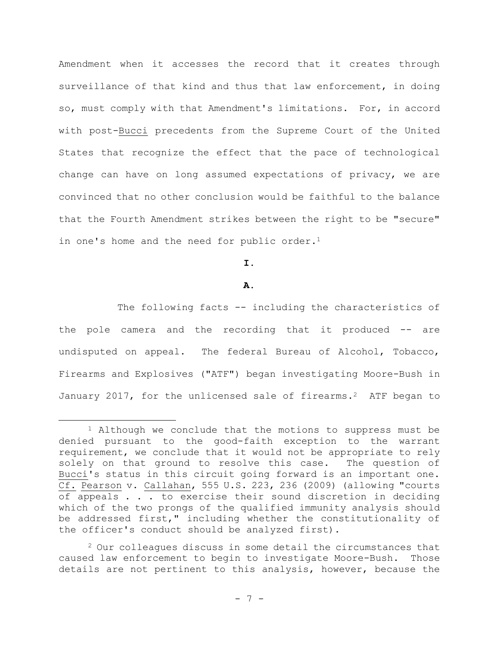Amendment when it accesses the record that it creates through surveillance of that kind and thus that law enforcement, in doing so, must comply with that Amendment's limitations. For, in accord with post-Bucci precedents from the Supreme Court of the United States that recognize the effect that the pace of technological change can have on long assumed expectations of privacy, we are convinced that no other conclusion would be faithful to the balance that the Fourth Amendment strikes between the right to be "secure" in one's home and the need for public order.<sup>1</sup>

# **I.**

### **A.**

The following facts -- including the characteristics of the pole camera and the recording that it produced -- are undisputed on appeal. The federal Bureau of Alcohol, Tobacco, Firearms and Explosives ("ATF") began investigating Moore-Bush in January 2017, for the unlicensed sale of firearms.<sup>2</sup> ATF began to

 $1$  Although we conclude that the motions to suppress must be denied pursuant to the good-faith exception to the warrant requirement, we conclude that it would not be appropriate to rely solely on that ground to resolve this case. The question of Bucci's status in this circuit going forward is an important one. Cf. Pearson v. Callahan, 555 U.S. 223, 236 (2009) (allowing "courts of appeals . . . to exercise their sound discretion in deciding which of the two prongs of the qualified immunity analysis should be addressed first," including whether the constitutionality of the officer's conduct should be analyzed first).

 $2$  Our colleagues discuss in some detail the circumstances that caused law enforcement to begin to investigate Moore-Bush. Those details are not pertinent to this analysis, however, because the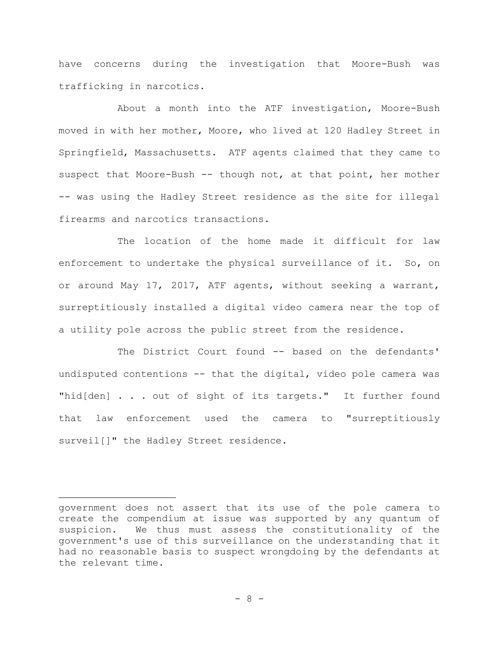have concerns during the investigation that Moore-Bush was trafficking in narcotics.

About a month into the ATF investigation, Moore-Bush moved in with her mother, Moore, who lived at 120 Hadley Street in Springfield, Massachusetts. ATF agents claimed that they came to suspect that Moore-Bush -- though not, at that point, her mother -- was using the Hadley Street residence as the site for illegal firearms and narcotics transactions.

The location of the home made it difficult for law enforcement to undertake the physical surveillance of it. So, on or around May 17, 2017, ATF agents, without seeking a warrant, surreptitiously installed a digital video camera near the top of a utility pole across the public street from the residence.

The District Court found -- based on the defendants' undisputed contentions -- that the digital, video pole camera was "hid[den] . . . out of sight of its targets." It further found that law enforcement used the camera to "surreptitiously surveil[]" the Hadley Street residence.

government does not assert that its use of the pole camera to create the compendium at issue was supported by any quantum of suspicion. We thus must assess the constitutionality of the government's use of this surveillance on the understanding that it had no reasonable basis to suspect wrongdoing by the defendants at the relevant time.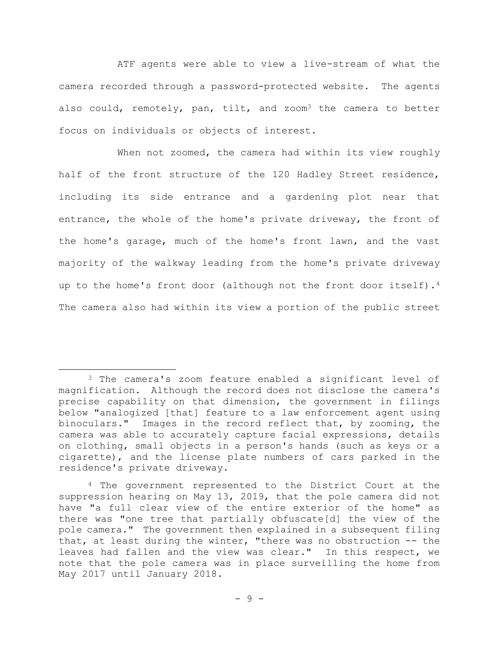ATF agents were able to view a live-stream of what the camera recorded through a password-protected website. The agents also could, remotely, pan, tilt, and zoom<sup>3</sup> the camera to better focus on individuals or objects of interest.

When not zoomed, the camera had within its view roughly half of the front structure of the 120 Hadley Street residence, including its side entrance and a gardening plot near that entrance, the whole of the home's private driveway, the front of the home's garage, much of the home's front lawn, and the vast majority of the walkway leading from the home's private driveway up to the home's front door (although not the front door itself).<sup>4</sup> The camera also had within its view a portion of the public street

<sup>3</sup> The camera's zoom feature enabled a significant level of magnification. Although the record does not disclose the camera's precise capability on that dimension, the government in filings below "analogized [that] feature to a law enforcement agent using binoculars." Images in the record reflect that, by zooming, the camera was able to accurately capture facial expressions, details on clothing, small objects in a person's hands (such as keys or a cigarette), and the license plate numbers of cars parked in the residence's private driveway.

<sup>4</sup> The government represented to the District Court at the suppression hearing on May 13, 2019, that the pole camera did not have "a full clear view of the entire exterior of the home" as there was "one tree that partially obfuscate[d] the view of the pole camera." The government then explained in a subsequent filing that, at least during the winter, "there was no obstruction -- the leaves had fallen and the view was clear." In this respect, we note that the pole camera was in place surveilling the home from May 2017 until January 2018.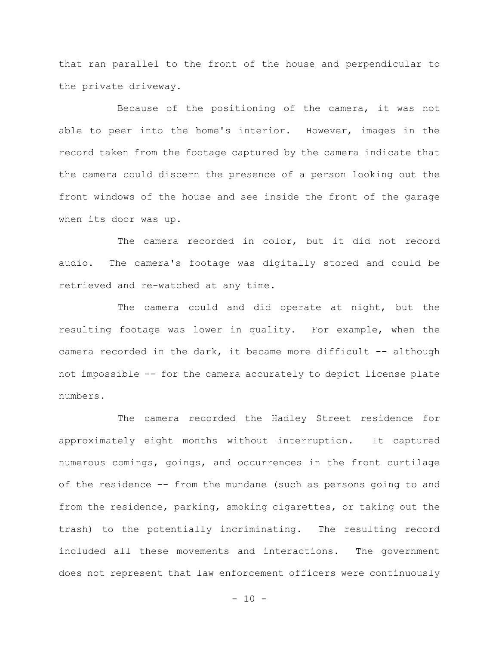that ran parallel to the front of the house and perpendicular to the private driveway.

Because of the positioning of the camera, it was not able to peer into the home's interior. However, images in the record taken from the footage captured by the camera indicate that the camera could discern the presence of a person looking out the front windows of the house and see inside the front of the garage when its door was up.

The camera recorded in color, but it did not record audio. The camera's footage was digitally stored and could be retrieved and re-watched at any time.

The camera could and did operate at night, but the resulting footage was lower in quality. For example, when the camera recorded in the dark, it became more difficult -- although not impossible -- for the camera accurately to depict license plate numbers.

The camera recorded the Hadley Street residence for approximately eight months without interruption. It captured numerous comings, goings, and occurrences in the front curtilage of the residence -- from the mundane (such as persons going to and from the residence, parking, smoking cigarettes, or taking out the trash) to the potentially incriminating. The resulting record included all these movements and interactions. The government does not represent that law enforcement officers were continuously

 $- 10 -$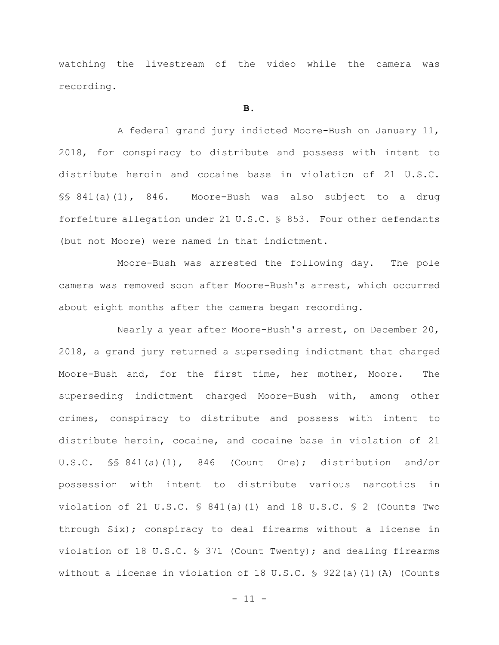watching the livestream of the video while the camera was recording.

#### **B.**

A federal grand jury indicted Moore-Bush on January 11, 2018, for conspiracy to distribute and possess with intent to distribute heroin and cocaine base in violation of 21 U.S.C. §§ 841(a)(1), 846. Moore-Bush was also subject to a drug forfeiture allegation under 21 U.S.C. § 853. Four other defendants (but not Moore) were named in that indictment.

Moore-Bush was arrested the following day. The pole camera was removed soon after Moore-Bush's arrest, which occurred about eight months after the camera began recording.

Nearly a year after Moore-Bush's arrest, on December 20, 2018, a grand jury returned a superseding indictment that charged Moore-Bush and, for the first time, her mother, Moore. The superseding indictment charged Moore-Bush with, among other crimes, conspiracy to distribute and possess with intent to distribute heroin, cocaine, and cocaine base in violation of 21 U.S.C. §§ 841(a)(1), 846 (Count One); distribution and/or possession with intent to distribute various narcotics in violation of 21 U.S.C.  $\frac{1}{2}$  841(a)(1) and 18 U.S.C.  $\frac{1}{2}$  (Counts Two through Six); conspiracy to deal firearms without a license in violation of 18 U.S.C. § 371 (Count Twenty); and dealing firearms without a license in violation of 18 U.S.C. § 922(a)(1)(A) (Counts

 $- 11 -$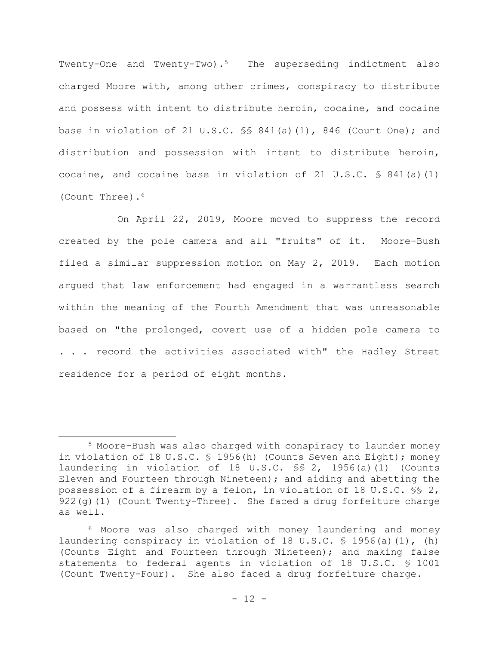Twenty-One and Twenty-Two).<sup>5</sup> The superseding indictment also charged Moore with, among other crimes, conspiracy to distribute and possess with intent to distribute heroin, cocaine, and cocaine base in violation of 21 U.S.C. §§ 841(a)(1), 846 (Count One); and distribution and possession with intent to distribute heroin, cocaine, and cocaine base in violation of 21 U.S.C. § 841(a)(1) (Count Three).<sup>6</sup>

On April 22, 2019, Moore moved to suppress the record created by the pole camera and all "fruits" of it. Moore-Bush filed a similar suppression motion on May 2, 2019. Each motion argued that law enforcement had engaged in a warrantless search within the meaning of the Fourth Amendment that was unreasonable based on "the prolonged, covert use of a hidden pole camera to . . . record the activities associated with" the Hadley Street residence for a period of eight months.

<sup>5</sup> Moore-Bush was also charged with conspiracy to launder money in violation of 18 U.S.C. § 1956(h) (Counts Seven and Eight); money laundering in violation of 18 U.S.C. §§ 2, 1956(a)(1) (Counts Eleven and Fourteen through Nineteen); and aiding and abetting the possession of a firearm by a felon, in violation of 18 U.S.C. §§ 2, 922(g)(1) (Count Twenty-Three). She faced a drug forfeiture charge as well.

<sup>6</sup> Moore was also charged with money laundering and money laundering conspiracy in violation of 18 U.S.C. § 1956(a)(1), (h) (Counts Eight and Fourteen through Nineteen); and making false statements to federal agents in violation of 18 U.S.C. § 1001 (Count Twenty-Four). She also faced a drug forfeiture charge.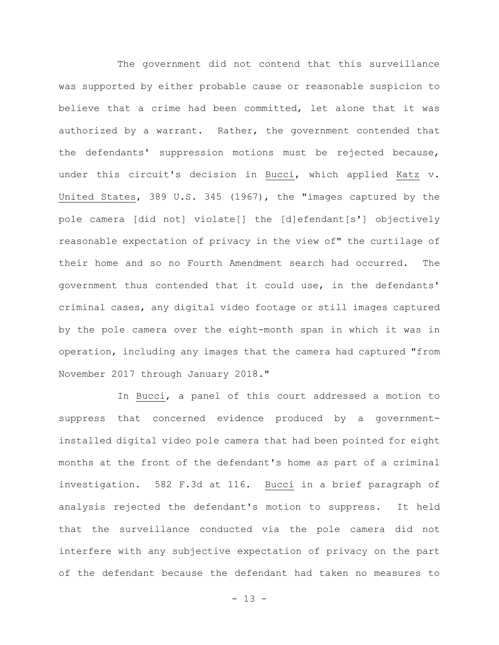The government did not contend that this surveillance was supported by either probable cause or reasonable suspicion to believe that a crime had been committed, let alone that it was authorized by a warrant. Rather, the government contended that the defendants' suppression motions must be rejected because, under this circuit's decision in Bucci, which applied Katz v. United States, 389 U.S. 345 (1967), the "images captured by the pole camera [did not] violate[] the [d]efendant[s'] objectively reasonable expectation of privacy in the view of" the curtilage of their home and so no Fourth Amendment search had occurred. The government thus contended that it could use, in the defendants' criminal cases, any digital video footage or still images captured by the pole camera over the eight-month span in which it was in operation, including any images that the camera had captured "from November 2017 through January 2018."

In Bucci, a panel of this court addressed a motion to suppress that concerned evidence produced by a governmentinstalled digital video pole camera that had been pointed for eight months at the front of the defendant's home as part of a criminal investigation. 582 F.3d at 116. Bucci in a brief paragraph of analysis rejected the defendant's motion to suppress. It held that the surveillance conducted via the pole camera did not interfere with any subjective expectation of privacy on the part of the defendant because the defendant had taken no measures to

 $- 13 -$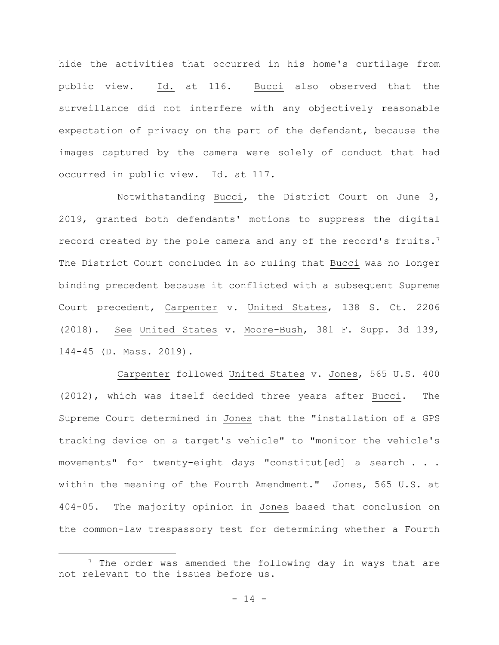hide the activities that occurred in his home's curtilage from public view. Id. at 116. Bucci also observed that the surveillance did not interfere with any objectively reasonable expectation of privacy on the part of the defendant, because the images captured by the camera were solely of conduct that had occurred in public view. Id. at 117.

Notwithstanding Bucci, the District Court on June 3, 2019, granted both defendants' motions to suppress the digital record created by the pole camera and any of the record's fruits.<sup>7</sup> The District Court concluded in so ruling that Bucci was no longer binding precedent because it conflicted with a subsequent Supreme Court precedent, Carpenter v. United States, 138 S. Ct. 2206 (2018). See United States v. Moore-Bush, 381 F. Supp. 3d 139, 144-45 (D. Mass. 2019).

Carpenter followed United States v. Jones, 565 U.S. 400 (2012), which was itself decided three years after Bucci. The Supreme Court determined in Jones that the "installation of a GPS tracking device on a target's vehicle" to "monitor the vehicle's movements" for twenty-eight days "constitut[ed] a search . . . within the meaning of the Fourth Amendment." Jones, 565 U.S. at 404-05. The majority opinion in Jones based that conclusion on the common-law trespassory test for determining whether a Fourth

<sup>&</sup>lt;sup>7</sup> The order was amended the following day in ways that are not relevant to the issues before us.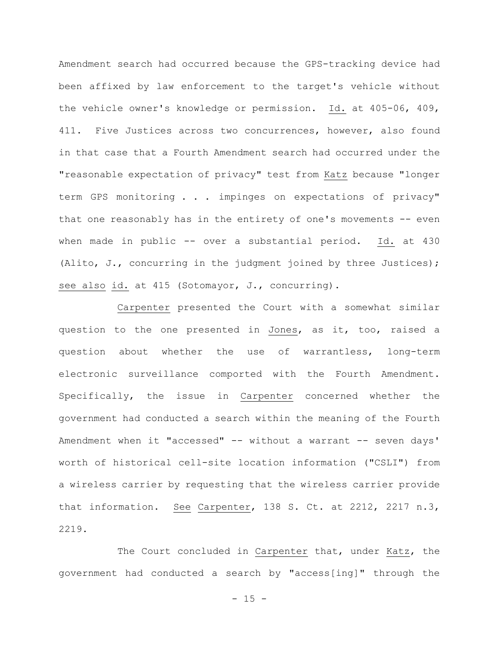Amendment search had occurred because the GPS-tracking device had been affixed by law enforcement to the target's vehicle without the vehicle owner's knowledge or permission. Id. at 405-06, 409, 411. Five Justices across two concurrences, however, also found in that case that a Fourth Amendment search had occurred under the "reasonable expectation of privacy" test from Katz because "longer term GPS monitoring . . . impinges on expectations of privacy" that one reasonably has in the entirety of one's movements -- even when made in public -- over a substantial period. Id. at 430 (Alito, J., concurring in the judgment joined by three Justices); see also id. at 415 (Sotomayor, J., concurring).

Carpenter presented the Court with a somewhat similar question to the one presented in Jones, as it, too, raised a question about whether the use of warrantless, long-term electronic surveillance comported with the Fourth Amendment. Specifically, the issue in Carpenter concerned whether the government had conducted a search within the meaning of the Fourth Amendment when it "accessed" -- without a warrant -- seven days' worth of historical cell-site location information ("CSLI") from a wireless carrier by requesting that the wireless carrier provide that information. See Carpenter, 138 S. Ct. at 2212, 2217 n.3, 2219.

The Court concluded in Carpenter that, under Katz, the government had conducted a search by "access[ing]" through the

 $- 15 -$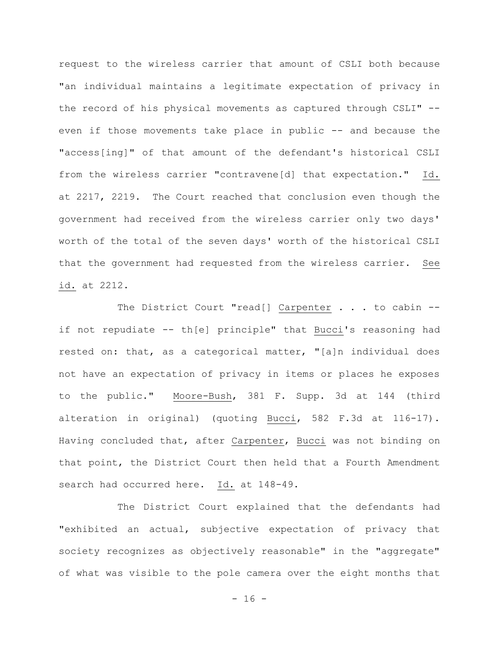request to the wireless carrier that amount of CSLI both because "an individual maintains a legitimate expectation of privacy in the record of his physical movements as captured through CSLI" - even if those movements take place in public -- and because the "access[ing]" of that amount of the defendant's historical CSLI from the wireless carrier "contravene[d] that expectation." Id. at 2217, 2219. The Court reached that conclusion even though the government had received from the wireless carrier only two days' worth of the total of the seven days' worth of the historical CSLI that the government had requested from the wireless carrier. See id. at 2212.

The District Court "read[] Carpenter . . . to cabin -if not repudiate -- th[e] principle" that Bucci's reasoning had rested on: that, as a categorical matter, "[a]n individual does not have an expectation of privacy in items or places he exposes to the public." Moore-Bush, 381 F. Supp. 3d at 144 (third alteration in original) (quoting Bucci, 582 F.3d at 116-17). Having concluded that, after Carpenter, Bucci was not binding on that point, the District Court then held that a Fourth Amendment search had occurred here. Id. at 148-49.

The District Court explained that the defendants had "exhibited an actual, subjective expectation of privacy that society recognizes as objectively reasonable" in the "aggregate" of what was visible to the pole camera over the eight months that

- 16 -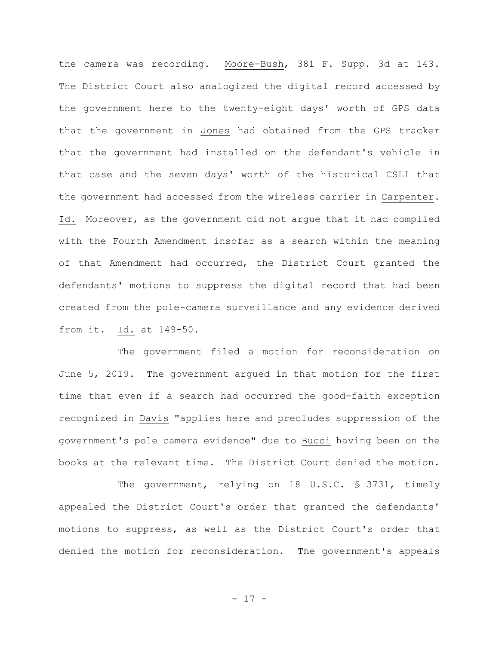the camera was recording. Moore-Bush, 381 F. Supp. 3d at 143. The District Court also analogized the digital record accessed by the government here to the twenty-eight days' worth of GPS data that the government in Jones had obtained from the GPS tracker that the government had installed on the defendant's vehicle in that case and the seven days' worth of the historical CSLI that the government had accessed from the wireless carrier in Carpenter. Id. Moreover, as the government did not argue that it had complied with the Fourth Amendment insofar as a search within the meaning of that Amendment had occurred, the District Court granted the defendants' motions to suppress the digital record that had been created from the pole-camera surveillance and any evidence derived from it. Id. at 149-50.

The government filed a motion for reconsideration on June 5, 2019. The government argued in that motion for the first time that even if a search had occurred the good-faith exception recognized in Davis "applies here and precludes suppression of the government's pole camera evidence" due to Bucci having been on the books at the relevant time. The District Court denied the motion.

The government, relying on 18 U.S.C. § 3731, timely appealed the District Court's order that granted the defendants' motions to suppress, as well as the District Court's order that denied the motion for reconsideration. The government's appeals

- 17 -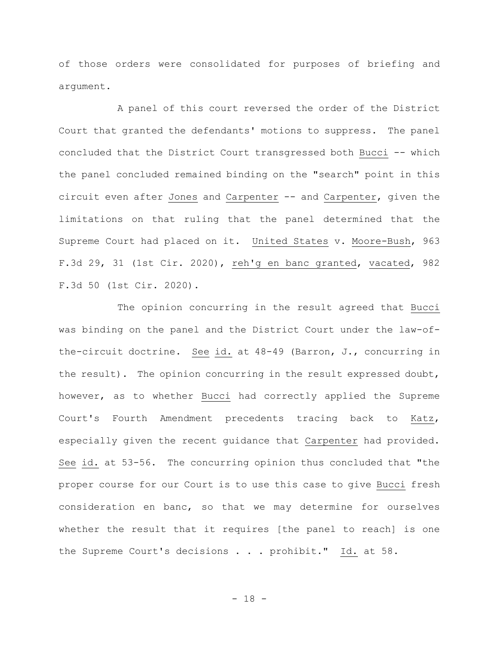of those orders were consolidated for purposes of briefing and argument.

A panel of this court reversed the order of the District Court that granted the defendants' motions to suppress. The panel concluded that the District Court transgressed both Bucci -- which the panel concluded remained binding on the "search" point in this circuit even after Jones and Carpenter -- and Carpenter, given the limitations on that ruling that the panel determined that the Supreme Court had placed on it. United States v. Moore-Bush, 963 F.3d 29, 31 (1st Cir. 2020), reh'g en banc granted, vacated, 982 F.3d 50 (1st Cir. 2020).

The opinion concurring in the result agreed that Bucci was binding on the panel and the District Court under the law-ofthe-circuit doctrine. See id. at 48-49 (Barron, J., concurring in the result). The opinion concurring in the result expressed doubt, however, as to whether Bucci had correctly applied the Supreme Court's Fourth Amendment precedents tracing back to Katz, especially given the recent guidance that Carpenter had provided. See id. at 53-56. The concurring opinion thus concluded that "the proper course for our Court is to use this case to give Bucci fresh consideration en banc, so that we may determine for ourselves whether the result that it requires [the panel to reach] is one the Supreme Court's decisions . . . prohibit." Id. at 58.

- 18 -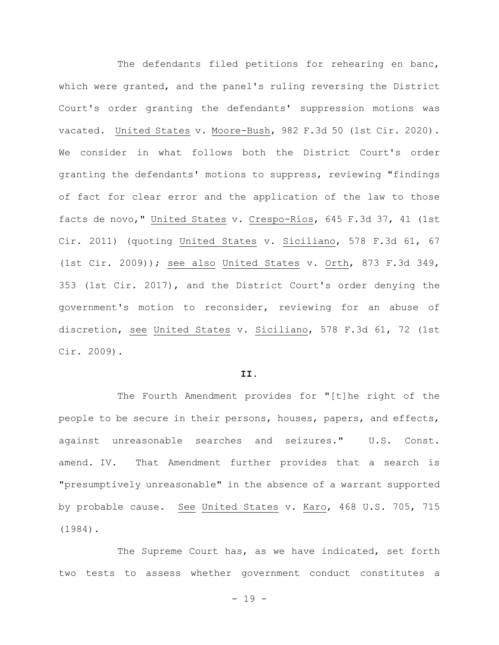The defendants filed petitions for rehearing en banc, which were granted, and the panel's ruling reversing the District Court's order granting the defendants' suppression motions was vacated. United States v. Moore-Bush, 982 F.3d 50 (1st Cir. 2020). We consider in what follows both the District Court's order granting the defendants' motions to suppress, reviewing "findings of fact for clear error and the application of the law to those facts de novo," United States v. Crespo-Ríos, 645 F.3d 37, 41 (1st Cir. 2011) (quoting United States v. Siciliano, 578 F.3d 61, 67 (1st Cir. 2009)); see also United States v. Orth, 873 F.3d 349, 353 (1st Cir. 2017), and the District Court's order denying the government's motion to reconsider, reviewing for an abuse of discretion, see United States v. Siciliano, 578 F.3d 61, 72 (1st Cir. 2009).

#### **II.**

The Fourth Amendment provides for "[t]he right of the people to be secure in their persons, houses, papers, and effects, against unreasonable searches and seizures." U.S. Const. amend. IV. That Amendment further provides that a search is "presumptively unreasonable" in the absence of a warrant supported by probable cause. See United States v. Karo, 468 U.S. 705, 715 (1984).

The Supreme Court has, as we have indicated, set forth two tests to assess whether government conduct constitutes a

 $- 19 -$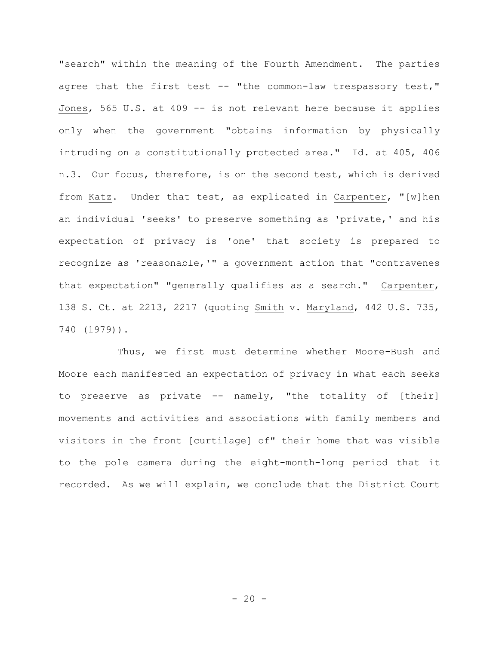"search" within the meaning of the Fourth Amendment. The parties agree that the first test -- "the common-law trespassory test," Jones, 565 U.S. at 409 -- is not relevant here because it applies only when the government "obtains information by physically intruding on a constitutionally protected area." Id. at 405, 406 n.3. Our focus, therefore, is on the second test, which is derived from Katz. Under that test, as explicated in Carpenter, "[w]hen an individual 'seeks' to preserve something as 'private,' and his expectation of privacy is 'one' that society is prepared to recognize as 'reasonable,'" a government action that "contravenes that expectation" "generally qualifies as a search." Carpenter, 138 S. Ct. at 2213, 2217 (quoting Smith v. Maryland, 442 U.S. 735, 740 (1979)).

Thus, we first must determine whether Moore-Bush and Moore each manifested an expectation of privacy in what each seeks to preserve as private -- namely, "the totality of [their] movements and activities and associations with family members and visitors in the front [curtilage] of" their home that was visible to the pole camera during the eight-month-long period that it recorded. As we will explain, we conclude that the District Court

 $- 20 -$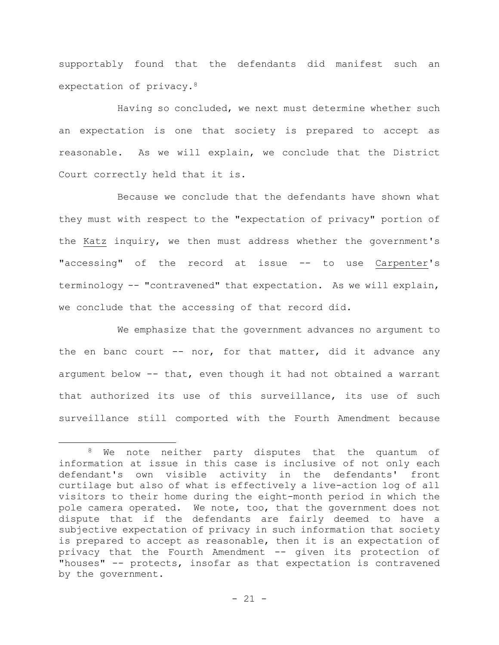supportably found that the defendants did manifest such an expectation of privacy.<sup>8</sup>

Having so concluded, we next must determine whether such an expectation is one that society is prepared to accept as reasonable. As we will explain, we conclude that the District Court correctly held that it is.

Because we conclude that the defendants have shown what they must with respect to the "expectation of privacy" portion of the Katz inquiry, we then must address whether the government's "accessing" of the record at issue -- to use Carpenter's terminology -- "contravened" that expectation. As we will explain, we conclude that the accessing of that record did.

We emphasize that the government advances no argument to the en banc court  $--$  nor, for that matter, did it advance any argument below -- that, even though it had not obtained a warrant that authorized its use of this surveillance, its use of such surveillance still comported with the Fourth Amendment because

<sup>&</sup>lt;sup>8</sup> We note neither party disputes that the quantum of information at issue in this case is inclusive of not only each defendant's own visible activity in the defendants' front curtilage but also of what is effectively a live-action log of all visitors to their home during the eight-month period in which the pole camera operated. We note, too, that the government does not dispute that if the defendants are fairly deemed to have a subjective expectation of privacy in such information that society is prepared to accept as reasonable, then it is an expectation of privacy that the Fourth Amendment -- given its protection of "houses" -- protects, insofar as that expectation is contravened by the government.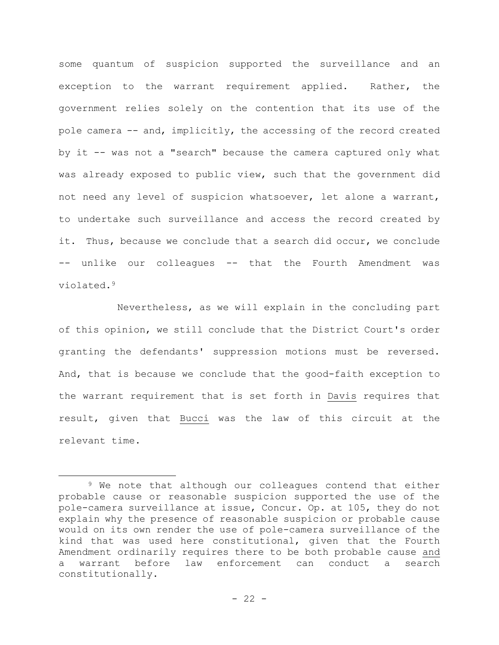some quantum of suspicion supported the surveillance and an exception to the warrant requirement applied. Rather, the government relies solely on the contention that its use of the pole camera -- and, implicitly, the accessing of the record created by it -- was not a "search" because the camera captured only what was already exposed to public view, such that the government did not need any level of suspicion whatsoever, let alone a warrant, to undertake such surveillance and access the record created by it. Thus, because we conclude that a search did occur, we conclude -- unlike our colleagues -- that the Fourth Amendment was violated.<sup>9</sup>

Nevertheless, as we will explain in the concluding part of this opinion, we still conclude that the District Court's order granting the defendants' suppression motions must be reversed. And, that is because we conclude that the good-faith exception to the warrant requirement that is set forth in Davis requires that result, given that Bucci was the law of this circuit at the relevant time.

<sup>&</sup>lt;sup>9</sup> We note that although our colleagues contend that either probable cause or reasonable suspicion supported the use of the pole-camera surveillance at issue, Concur. Op. at 105, they do not explain why the presence of reasonable suspicion or probable cause would on its own render the use of pole-camera surveillance of the kind that was used here constitutional, given that the Fourth Amendment ordinarily requires there to be both probable cause and a warrant before law enforcement can conduct a search constitutionally.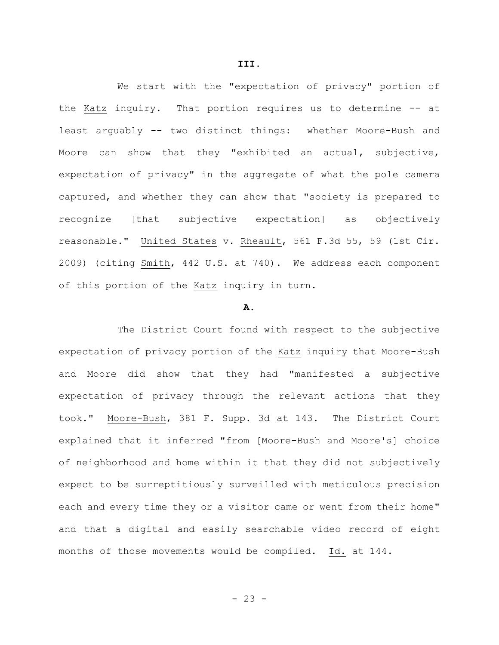We start with the "expectation of privacy" portion of the Katz inquiry. That portion requires us to determine -- at least arguably -- two distinct things: whether Moore-Bush and Moore can show that they "exhibited an actual, subjective, expectation of privacy" in the aggregate of what the pole camera captured, and whether they can show that "society is prepared to recognize [that subjective expectation] as objectively reasonable." United States v. Rheault, 561 F.3d 55, 59 (1st Cir. 2009) (citing Smith, 442 U.S. at 740). We address each component of this portion of the Katz inquiry in turn.

#### **A.**

The District Court found with respect to the subjective expectation of privacy portion of the Katz inquiry that Moore-Bush and Moore did show that they had "manifested a subjective expectation of privacy through the relevant actions that they took." Moore-Bush, 381 F. Supp. 3d at 143. The District Court explained that it inferred "from [Moore-Bush and Moore's] choice of neighborhood and home within it that they did not subjectively expect to be surreptitiously surveilled with meticulous precision each and every time they or a visitor came or went from their home" and that a digital and easily searchable video record of eight months of those movements would be compiled. Id. at 144.

- 23 -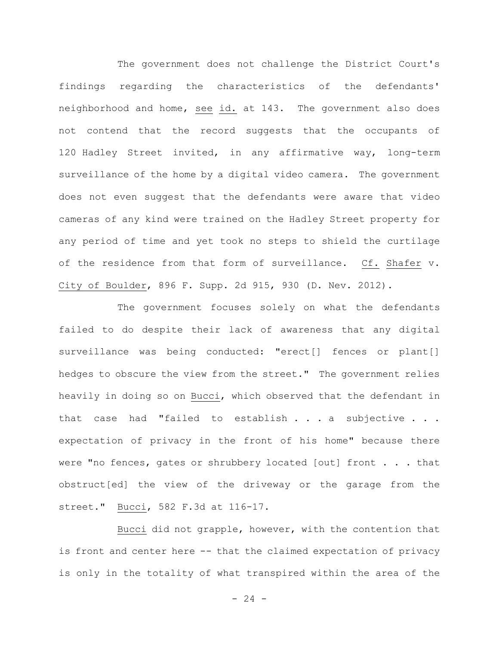The government does not challenge the District Court's findings regarding the characteristics of the defendants' neighborhood and home, see id. at 143. The government also does not contend that the record suggests that the occupants of 120 Hadley Street invited, in any affirmative way, long-term surveillance of the home by a digital video camera. The government does not even suggest that the defendants were aware that video cameras of any kind were trained on the Hadley Street property for any period of time and yet took no steps to shield the curtilage of the residence from that form of surveillance. Cf. Shafer v. City of Boulder, 896 F. Supp. 2d 915, 930 (D. Nev. 2012).

The government focuses solely on what the defendants failed to do despite their lack of awareness that any digital surveillance was being conducted: "erect[] fences or plant[] hedges to obscure the view from the street." The government relies heavily in doing so on Bucci, which observed that the defendant in that case had "failed to establish . . . a subjective . . . expectation of privacy in the front of his home" because there were "no fences, gates or shrubbery located [out] front . . . that obstruct[ed] the view of the driveway or the garage from the street." Bucci, 582 F.3d at 116-17.

Bucci did not grapple, however, with the contention that is front and center here -- that the claimed expectation of privacy is only in the totality of what transpired within the area of the

 $- 24 -$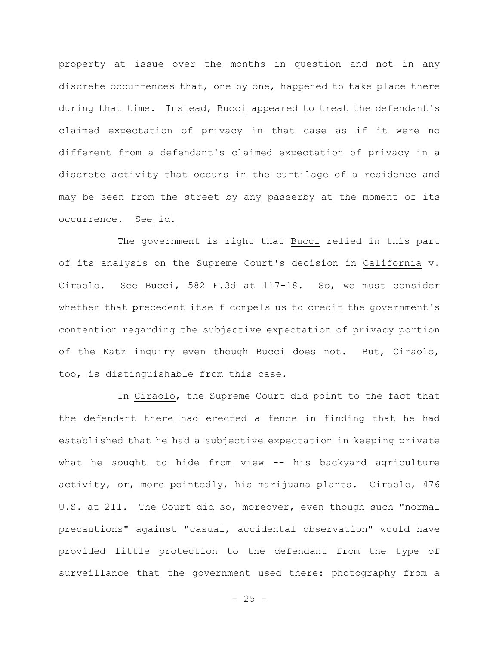property at issue over the months in question and not in any discrete occurrences that, one by one, happened to take place there during that time. Instead, Bucci appeared to treat the defendant's claimed expectation of privacy in that case as if it were no different from a defendant's claimed expectation of privacy in a discrete activity that occurs in the curtilage of a residence and may be seen from the street by any passerby at the moment of its occurrence. See id.

The government is right that Bucci relied in this part of its analysis on the Supreme Court's decision in California v. Ciraolo. See Bucci, 582 F.3d at 117-18. So, we must consider whether that precedent itself compels us to credit the government's contention regarding the subjective expectation of privacy portion of the Katz inquiry even though Bucci does not. But, Ciraolo, too, is distinguishable from this case.

In Ciraolo, the Supreme Court did point to the fact that the defendant there had erected a fence in finding that he had established that he had a subjective expectation in keeping private what he sought to hide from view -- his backyard agriculture activity, or, more pointedly, his marijuana plants. Ciraolo, 476 U.S. at 211. The Court did so, moreover, even though such "normal precautions" against "casual, accidental observation" would have provided little protection to the defendant from the type of surveillance that the government used there: photography from a

 $- 25 -$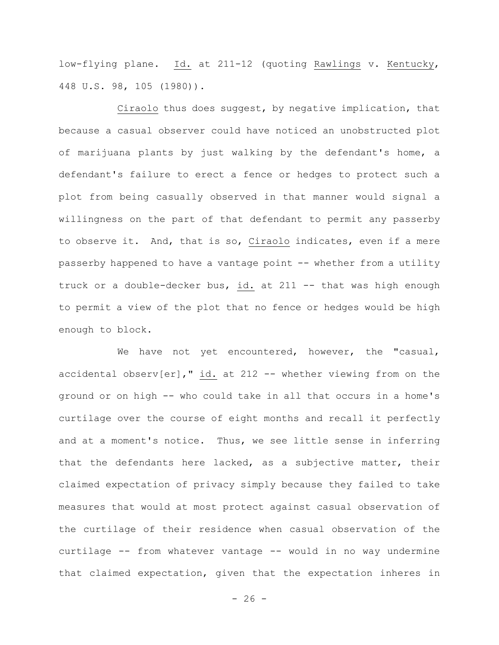low-flying plane. Id. at 211-12 (quoting Rawlings v. Kentucky, 448 U.S. 98, 105 (1980)).

Ciraolo thus does suggest, by negative implication, that because a casual observer could have noticed an unobstructed plot of marijuana plants by just walking by the defendant's home, a defendant's failure to erect a fence or hedges to protect such a plot from being casually observed in that manner would signal a willingness on the part of that defendant to permit any passerby to observe it. And, that is so, Ciraolo indicates, even if a mere passerby happened to have a vantage point -- whether from a utility truck or a double-decker bus, id. at 211 -- that was high enough to permit a view of the plot that no fence or hedges would be high enough to block.

We have not yet encountered, however, the "casual, accidental observ[er]," id. at 212 -- whether viewing from on the ground or on high -- who could take in all that occurs in a home's curtilage over the course of eight months and recall it perfectly and at a moment's notice. Thus, we see little sense in inferring that the defendants here lacked, as a subjective matter, their claimed expectation of privacy simply because they failed to take measures that would at most protect against casual observation of the curtilage of their residence when casual observation of the curtilage -- from whatever vantage -- would in no way undermine that claimed expectation, given that the expectation inheres in

 $- 26 -$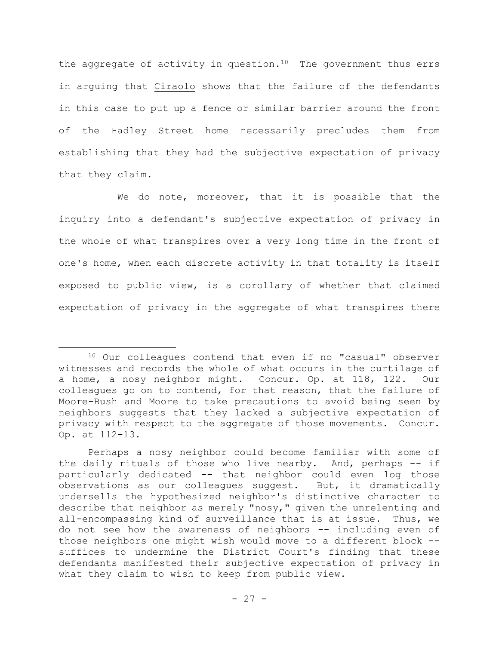the aggregate of activity in question. $10$  The government thus errs in arguing that Ciraolo shows that the failure of the defendants in this case to put up a fence or similar barrier around the front of the Hadley Street home necessarily precludes them from establishing that they had the subjective expectation of privacy that they claim.

We do note, moreover, that it is possible that the inquiry into a defendant's subjective expectation of privacy in the whole of what transpires over a very long time in the front of one's home, when each discrete activity in that totality is itself exposed to public view, is a corollary of whether that claimed expectation of privacy in the aggregate of what transpires there

<sup>10</sup> Our colleagues contend that even if no "casual" observer witnesses and records the whole of what occurs in the curtilage of a home, a nosy neighbor might. Concur. Op. at 118, 122. Our colleagues go on to contend, for that reason, that the failure of Moore-Bush and Moore to take precautions to avoid being seen by neighbors suggests that they lacked a subjective expectation of privacy with respect to the aggregate of those movements. Concur. Op. at 112-13.

Perhaps a nosy neighbor could become familiar with some of the daily rituals of those who live nearby. And, perhaps -- if particularly dedicated -- that neighbor could even log those observations as our colleagues suggest. But, it dramatically undersells the hypothesized neighbor's distinctive character to describe that neighbor as merely "nosy," given the unrelenting and all-encompassing kind of surveillance that is at issue. Thus, we do not see how the awareness of neighbors -- including even of those neighbors one might wish would move to a different block - suffices to undermine the District Court's finding that these defendants manifested their subjective expectation of privacy in what they claim to wish to keep from public view.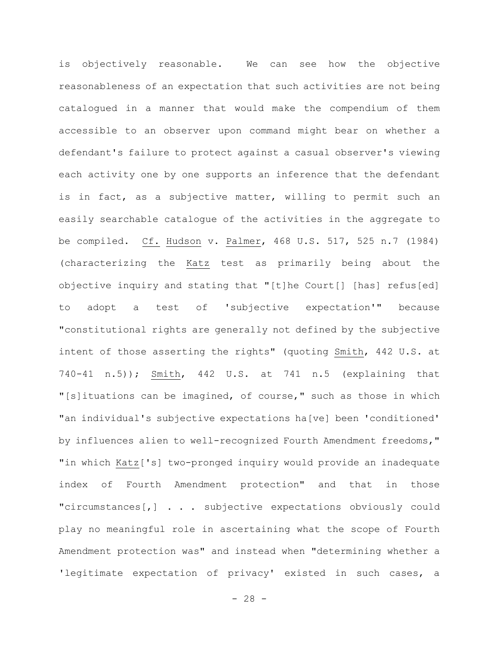is objectively reasonable. We can see how the objective reasonableness of an expectation that such activities are not being catalogued in a manner that would make the compendium of them accessible to an observer upon command might bear on whether a defendant's failure to protect against a casual observer's viewing each activity one by one supports an inference that the defendant is in fact, as a subjective matter, willing to permit such an easily searchable catalogue of the activities in the aggregate to be compiled. Cf. Hudson v. Palmer, 468 U.S. 517, 525 n.7 (1984) (characterizing the Katz test as primarily being about the objective inquiry and stating that "[t]he Court[] [has] refus[ed] to adopt a test of 'subjective expectation'" because "constitutional rights are generally not defined by the subjective intent of those asserting the rights" (quoting Smith, 442 U.S. at 740-41 n.5)); Smith, 442 U.S. at 741 n.5 (explaining that "[s]ituations can be imagined, of course," such as those in which "an individual's subjective expectations ha[ve] been 'conditioned' by influences alien to well-recognized Fourth Amendment freedoms," "in which Katz['s] two-pronged inquiry would provide an inadequate index of Fourth Amendment protection" and that in those "circumstances[,] . . . subjective expectations obviously could play no meaningful role in ascertaining what the scope of Fourth Amendment protection was" and instead when "determining whether a 'legitimate expectation of privacy' existed in such cases, a

 $- 28 -$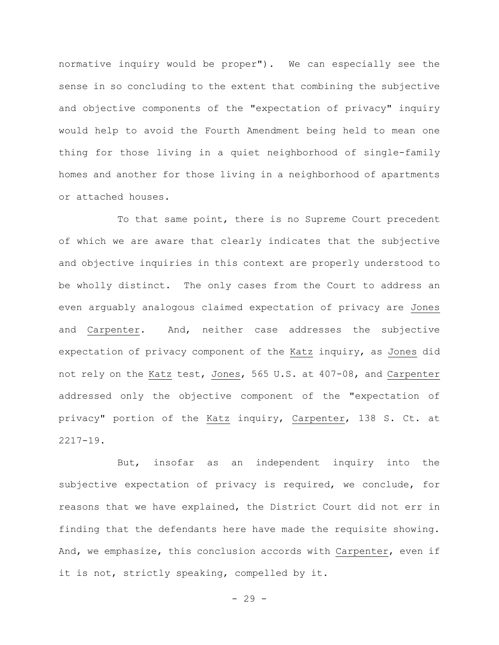normative inquiry would be proper"). We can especially see the sense in so concluding to the extent that combining the subjective and objective components of the "expectation of privacy" inquiry would help to avoid the Fourth Amendment being held to mean one thing for those living in a quiet neighborhood of single-family homes and another for those living in a neighborhood of apartments or attached houses.

To that same point, there is no Supreme Court precedent of which we are aware that clearly indicates that the subjective and objective inquiries in this context are properly understood to be wholly distinct. The only cases from the Court to address an even arguably analogous claimed expectation of privacy are Jones and Carpenter. And, neither case addresses the subjective expectation of privacy component of the Katz inquiry, as Jones did not rely on the Katz test, Jones, 565 U.S. at 407-08, and Carpenter addressed only the objective component of the "expectation of privacy" portion of the Katz inquiry, Carpenter, 138 S. Ct. at 2217-19.

But, insofar as an independent inquiry into the subjective expectation of privacy is required, we conclude, for reasons that we have explained, the District Court did not err in finding that the defendants here have made the requisite showing. And, we emphasize, this conclusion accords with Carpenter, even if it is not, strictly speaking, compelled by it.

 $-29 -$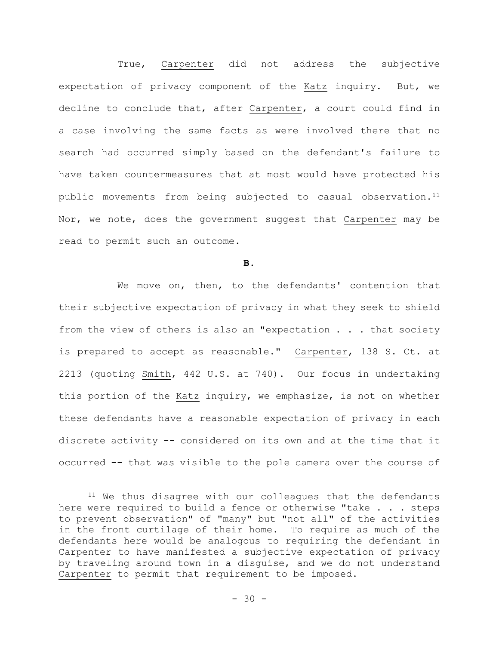True, Carpenter did not address the subjective expectation of privacy component of the Katz inquiry. But, we decline to conclude that, after Carpenter, a court could find in a case involving the same facts as were involved there that no search had occurred simply based on the defendant's failure to have taken countermeasures that at most would have protected his public movements from being subjected to casual observation.<sup>11</sup> Nor, we note, does the government suggest that Carpenter may be read to permit such an outcome.

**B.**

We move on, then, to the defendants' contention that their subjective expectation of privacy in what they seek to shield from the view of others is also an "expectation . . . that society is prepared to accept as reasonable." Carpenter, 138 S. Ct. at 2213 (quoting Smith, 442 U.S. at 740). Our focus in undertaking this portion of the Katz inquiry, we emphasize, is not on whether these defendants have a reasonable expectation of privacy in each discrete activity -- considered on its own and at the time that it occurred -- that was visible to the pole camera over the course of

<sup>&</sup>lt;sup>11</sup> We thus disagree with our colleagues that the defendants here were required to build a fence or otherwise "take . . . steps to prevent observation" of "many" but "not all" of the activities in the front curtilage of their home. To require as much of the defendants here would be analogous to requiring the defendant in Carpenter to have manifested a subjective expectation of privacy by traveling around town in a disguise, and we do not understand Carpenter to permit that requirement to be imposed.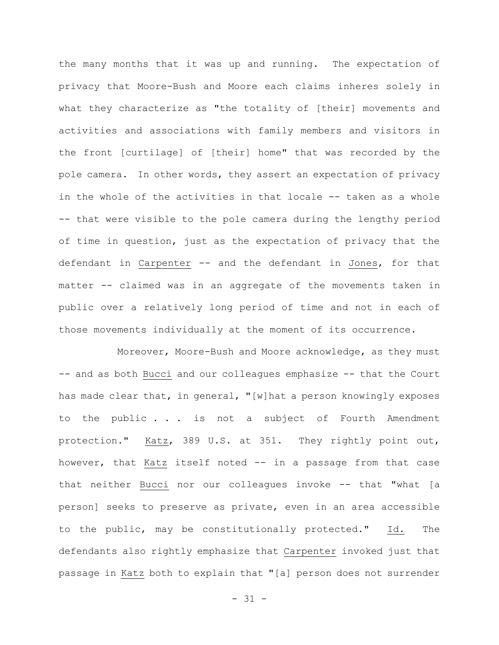the many months that it was up and running. The expectation of privacy that Moore-Bush and Moore each claims inheres solely in what they characterize as "the totality of [their] movements and activities and associations with family members and visitors in the front [curtilage] of [their] home" that was recorded by the pole camera. In other words, they assert an expectation of privacy in the whole of the activities in that locale -- taken as a whole -- that were visible to the pole camera during the lengthy period of time in question, just as the expectation of privacy that the defendant in Carpenter -- and the defendant in Jones, for that matter -- claimed was in an aggregate of the movements taken in public over a relatively long period of time and not in each of those movements individually at the moment of its occurrence.

Moreover, Moore-Bush and Moore acknowledge, as they must -- and as both Bucci and our colleagues emphasize -- that the Court has made clear that, in general, "[w]hat a person knowingly exposes to the public . . . is not a subject of Fourth Amendment protection." Katz, 389 U.S. at 351. They rightly point out, however, that Katz itself noted -- in a passage from that case that neither Bucci nor our colleagues invoke -- that "what [a person] seeks to preserve as private, even in an area accessible to the public, may be constitutionally protected." Id. The defendants also rightly emphasize that Carpenter invoked just that passage in Katz both to explain that "[a] person does not surrender

 $- 31 -$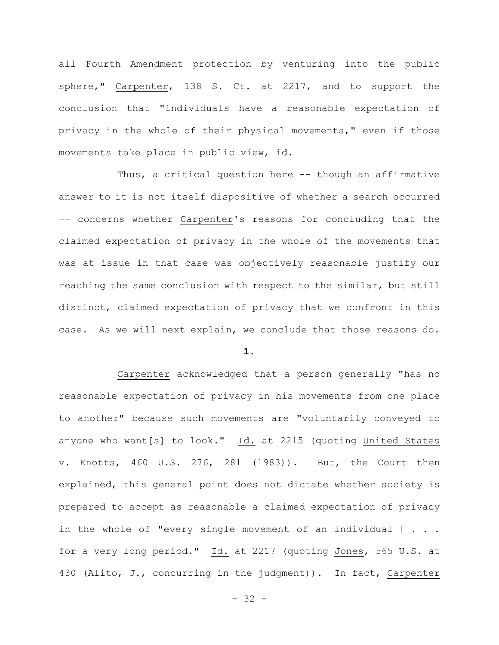all Fourth Amendment protection by venturing into the public sphere," Carpenter, 138 S. Ct. at 2217, and to support the conclusion that "individuals have a reasonable expectation of privacy in the whole of their physical movements," even if those movements take place in public view, id.

Thus, a critical question here -- though an affirmative answer to it is not itself dispositive of whether a search occurred -- concerns whether Carpenter's reasons for concluding that the claimed expectation of privacy in the whole of the movements that was at issue in that case was objectively reasonable justify our reaching the same conclusion with respect to the similar, but still distinct, claimed expectation of privacy that we confront in this case. As we will next explain, we conclude that those reasons do.

**1.**

Carpenter acknowledged that a person generally "has no reasonable expectation of privacy in his movements from one place to another" because such movements are "voluntarily conveyed to anyone who want[s] to look." Id. at 2215 (quoting United States v. Knotts, 460 U.S. 276, 281 (1983)). But, the Court then explained, this general point does not dictate whether society is prepared to accept as reasonable a claimed expectation of privacy in the whole of "every single movement of an individual[] . . . for a very long period." Id. at 2217 (quoting Jones, 565 U.S. at 430 (Alito, J., concurring in the judgment)). In fact, Carpenter

 $- 32 -$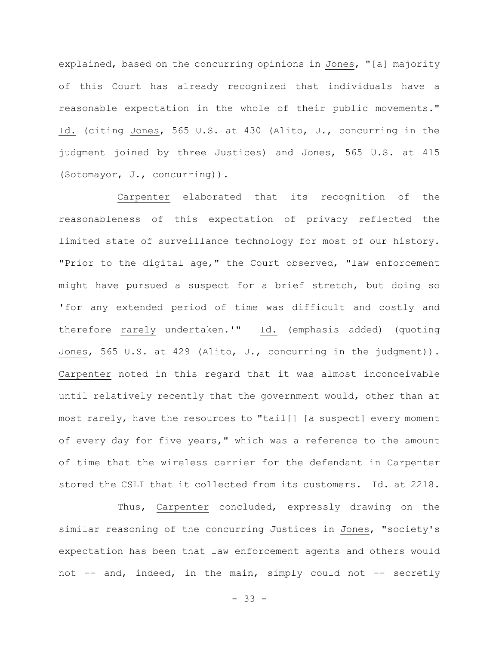explained, based on the concurring opinions in Jones, "[a] majority of this Court has already recognized that individuals have a reasonable expectation in the whole of their public movements." Id. (citing Jones, 565 U.S. at 430 (Alito, J., concurring in the judgment joined by three Justices) and Jones, 565 U.S. at 415 (Sotomayor, J., concurring)).

Carpenter elaborated that its recognition of the reasonableness of this expectation of privacy reflected the limited state of surveillance technology for most of our history. "Prior to the digital age," the Court observed, "law enforcement might have pursued a suspect for a brief stretch, but doing so 'for any extended period of time was difficult and costly and therefore rarely undertaken.'" Id. (emphasis added) (quoting Jones, 565 U.S. at 429 (Alito, J., concurring in the judgment)). Carpenter noted in this regard that it was almost inconceivable until relatively recently that the government would, other than at most rarely, have the resources to "tail[] [a suspect] every moment of every day for five years," which was a reference to the amount of time that the wireless carrier for the defendant in Carpenter stored the CSLI that it collected from its customers. Id. at 2218.

Thus, Carpenter concluded, expressly drawing on the similar reasoning of the concurring Justices in Jones, "society's expectation has been that law enforcement agents and others would not -- and, indeed, in the main, simply could not -- secretly

- 33 -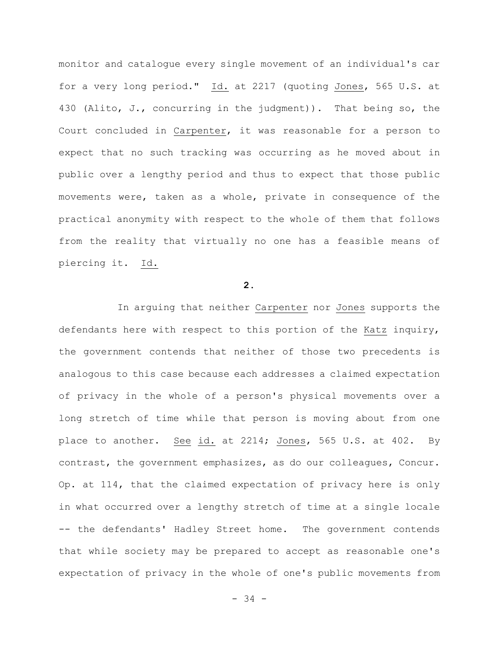monitor and catalogue every single movement of an individual's car for a very long period." Id. at 2217 (quoting Jones, 565 U.S. at 430 (Alito, J., concurring in the judgment)). That being so, the Court concluded in Carpenter, it was reasonable for a person to expect that no such tracking was occurring as he moved about in public over a lengthy period and thus to expect that those public movements were, taken as a whole, private in consequence of the practical anonymity with respect to the whole of them that follows from the reality that virtually no one has a feasible means of piercing it. Id.

# **2.**

In arguing that neither Carpenter nor Jones supports the defendants here with respect to this portion of the Katz inquiry, the government contends that neither of those two precedents is analogous to this case because each addresses a claimed expectation of privacy in the whole of a person's physical movements over a long stretch of time while that person is moving about from one place to another. See id. at 2214; Jones, 565 U.S. at 402. By contrast, the government emphasizes, as do our colleagues, Concur. Op. at 114, that the claimed expectation of privacy here is only in what occurred over a lengthy stretch of time at a single locale -- the defendants' Hadley Street home. The government contends that while society may be prepared to accept as reasonable one's expectation of privacy in the whole of one's public movements from

- 34 -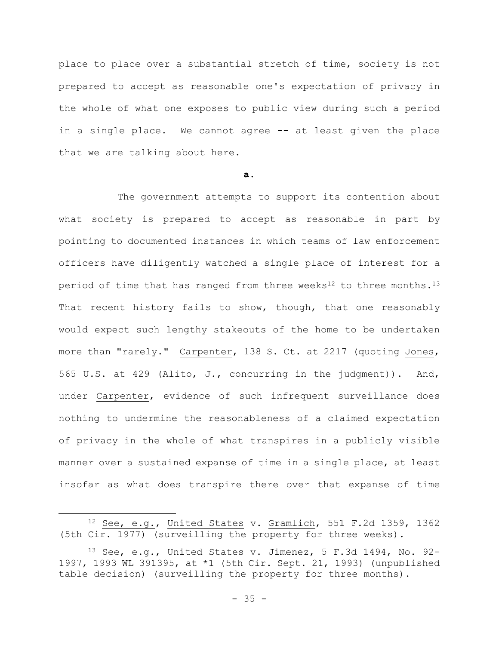place to place over a substantial stretch of time, society is not prepared to accept as reasonable one's expectation of privacy in the whole of what one exposes to public view during such a period in a single place. We cannot agree -- at least given the place that we are talking about here.

# **a.**

The government attempts to support its contention about what society is prepared to accept as reasonable in part by pointing to documented instances in which teams of law enforcement officers have diligently watched a single place of interest for a period of time that has ranged from three weeks<sup>12</sup> to three months.<sup>13</sup> That recent history fails to show, though, that one reasonably would expect such lengthy stakeouts of the home to be undertaken more than "rarely." Carpenter, 138 S. Ct. at 2217 (quoting Jones, 565 U.S. at 429 (Alito, J., concurring in the judgment)). And, under Carpenter, evidence of such infrequent surveillance does nothing to undermine the reasonableness of a claimed expectation of privacy in the whole of what transpires in a publicly visible manner over a sustained expanse of time in a single place, at least insofar as what does transpire there over that expanse of time

<sup>12</sup> See, e.g., United States v. Gramlich, 551 F.2d 1359, 1362 (5th Cir. 1977) (surveilling the property for three weeks).

 $13$  See, e.g., United States v. Jimenez, 5 F.3d 1494, No. 92-1997, 1993 WL 391395, at \*1 (5th Cir. Sept. 21, 1993) (unpublished table decision) (surveilling the property for three months).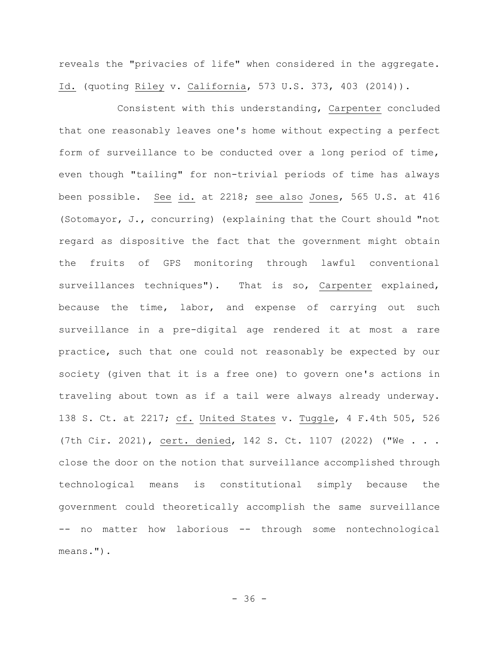reveals the "privacies of life" when considered in the aggregate. Id. (quoting Riley v. California, 573 U.S. 373, 403 (2014)).

Consistent with this understanding, Carpenter concluded that one reasonably leaves one's home without expecting a perfect form of surveillance to be conducted over a long period of time, even though "tailing" for non-trivial periods of time has always been possible. See id. at 2218; see also Jones, 565 U.S. at 416 (Sotomayor, J., concurring) (explaining that the Court should "not regard as dispositive the fact that the government might obtain the fruits of GPS monitoring through lawful conventional surveillances techniques"). That is so, Carpenter explained, because the time, labor, and expense of carrying out such surveillance in a pre-digital age rendered it at most a rare practice, such that one could not reasonably be expected by our society (given that it is a free one) to govern one's actions in traveling about town as if a tail were always already underway. 138 S. Ct. at 2217; cf. United States v. Tuggle, 4 F.4th 505, 526 (7th Cir. 2021), cert. denied, 142 S. Ct. 1107 (2022) ("We . . . close the door on the notion that surveillance accomplished through technological means is constitutional simply because the government could theoretically accomplish the same surveillance -- no matter how laborious -- through some nontechnological means.").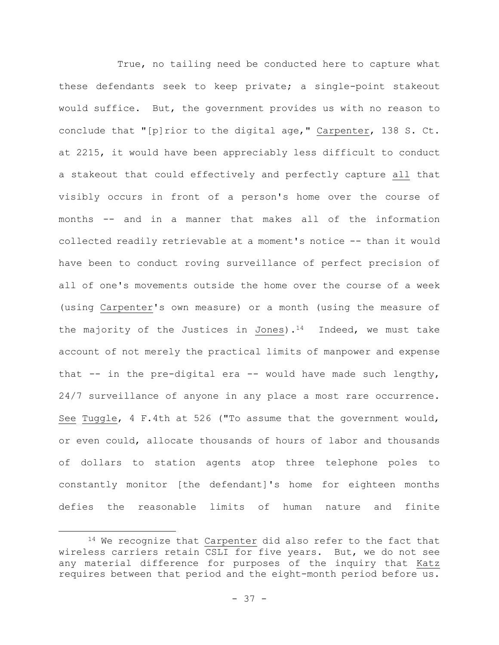True, no tailing need be conducted here to capture what these defendants seek to keep private; a single-point stakeout would suffice. But, the government provides us with no reason to conclude that "[p]rior to the digital age," Carpenter, 138 S. Ct. at 2215, it would have been appreciably less difficult to conduct a stakeout that could effectively and perfectly capture all that visibly occurs in front of a person's home over the course of months -- and in a manner that makes all of the information collected readily retrievable at a moment's notice -- than it would have been to conduct roving surveillance of perfect precision of all of one's movements outside the home over the course of a week (using Carpenter's own measure) or a month (using the measure of the majority of the Justices in Jones).<sup>14</sup> Indeed, we must take account of not merely the practical limits of manpower and expense that  $--$  in the pre-digital era  $--$  would have made such lengthy, 24/7 surveillance of anyone in any place a most rare occurrence. See Tuggle, 4 F.4th at 526 ("To assume that the government would, or even could, allocate thousands of hours of labor and thousands of dollars to station agents atop three telephone poles to constantly monitor [the defendant]'s home for eighteen months defies the reasonable limits of human nature and finite

<sup>&</sup>lt;sup>14</sup> We recognize that Carpenter did also refer to the fact that wireless carriers retain CSLI for five years. But, we do not see any material difference for purposes of the inquiry that Katz requires between that period and the eight-month period before us.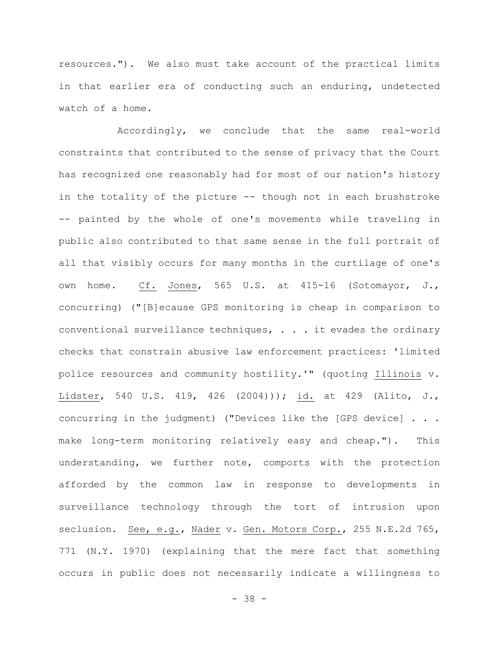resources."). We also must take account of the practical limits in that earlier era of conducting such an enduring, undetected watch of a home.

Accordingly, we conclude that the same real-world constraints that contributed to the sense of privacy that the Court has recognized one reasonably had for most of our nation's history in the totality of the picture -- though not in each brushstroke -- painted by the whole of one's movements while traveling in public also contributed to that same sense in the full portrait of all that visibly occurs for many months in the curtilage of one's own home. Cf. Jones, 565 U.S. at 415-16 (Sotomayor, J., concurring) ("[B]ecause GPS monitoring is cheap in comparison to conventional surveillance techniques, . . . it evades the ordinary checks that constrain abusive law enforcement practices: 'limited police resources and community hostility.'" (quoting Illinois v. Lidster, 540 U.S. 419, 426 (2004))); id. at 429 (Alito, J., concurring in the judgment) ("Devices like the [GPS device] . . . make long-term monitoring relatively easy and cheap."). This understanding, we further note, comports with the protection afforded by the common law in response to developments in surveillance technology through the tort of intrusion upon seclusion. See, e.g., Nader v. Gen. Motors Corp., 255 N.E.2d 765, 771 (N.Y. 1970) (explaining that the mere fact that something occurs in public does not necessarily indicate a willingness to

- 38 -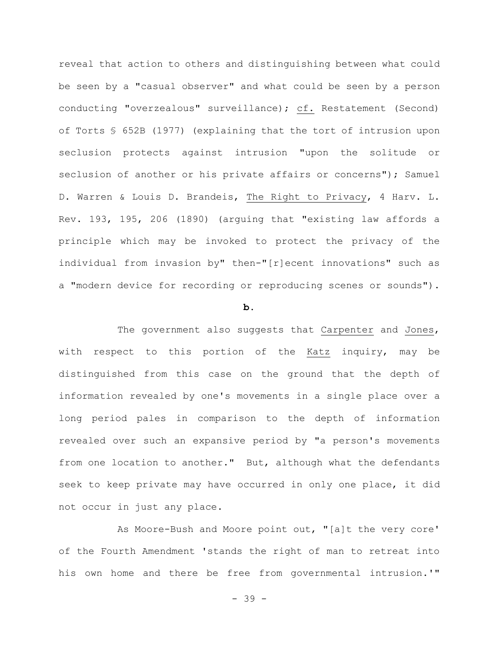reveal that action to others and distinguishing between what could be seen by a "casual observer" and what could be seen by a person conducting "overzealous" surveillance); cf. Restatement (Second) of Torts § 652B (1977) (explaining that the tort of intrusion upon seclusion protects against intrusion "upon the solitude or seclusion of another or his private affairs or concerns"); Samuel D. Warren & Louis D. Brandeis, The Right to Privacy, 4 Harv. L. Rev. 193, 195, 206 (1890) (arguing that "existing law affords a principle which may be invoked to protect the privacy of the individual from invasion by" then-"[r]ecent innovations" such as a "modern device for recording or reproducing scenes or sounds").

#### **b.**

The government also suggests that Carpenter and Jones, with respect to this portion of the Katz inquiry, may be distinguished from this case on the ground that the depth of information revealed by one's movements in a single place over a long period pales in comparison to the depth of information revealed over such an expansive period by "a person's movements from one location to another." But, although what the defendants seek to keep private may have occurred in only one place, it did not occur in just any place.

As Moore-Bush and Moore point out, "[a]t the very core' of the Fourth Amendment 'stands the right of man to retreat into his own home and there be free from governmental intrusion.'"

- 39 -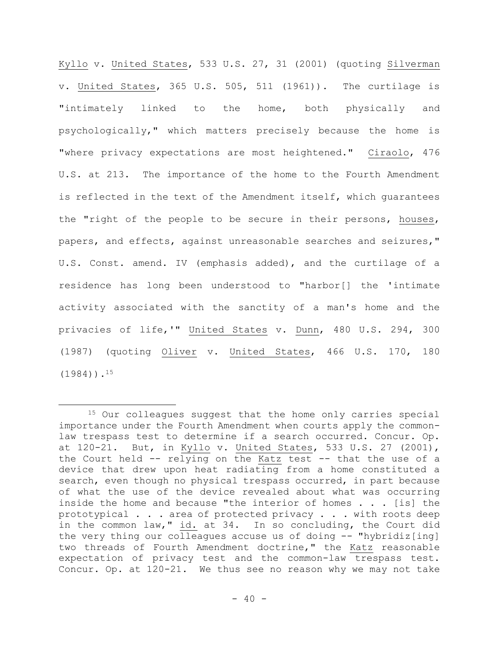Kyllo v. United States, 533 U.S. 27, 31 (2001) (quoting Silverman v. United States, 365 U.S. 505, 511 (1961)). The curtilage is "intimately linked to the home, both physically and psychologically," which matters precisely because the home is "where privacy expectations are most heightened." Ciraolo, 476 U.S. at 213. The importance of the home to the Fourth Amendment is reflected in the text of the Amendment itself, which guarantees the "right of the people to be secure in their persons, houses, papers, and effects, against unreasonable searches and seizures," U.S. Const. amend. IV (emphasis added), and the curtilage of a residence has long been understood to "harbor[] the 'intimate activity associated with the sanctity of a man's home and the privacies of life,'" United States v. Dunn, 480 U.S. 294, 300 (1987) (quoting Oliver v. United States, 466 U.S. 170, 180  $(1984)$ ).<sup>15</sup>

<sup>15</sup> Our colleagues suggest that the home only carries special importance under the Fourth Amendment when courts apply the commonlaw trespass test to determine if a search occurred. Concur. Op. at 120-21. But, in Kyllo v. United States, 533 U.S. 27 (2001), the Court held -- relying on the Katz test -- that the use of a device that drew upon heat radiating from a home constituted a search, even though no physical trespass occurred, in part because of what the use of the device revealed about what was occurring inside the home and because "the interior of homes . . . [is] the prototypical . . . area of protected privacy . . . with roots deep in the common law," id. at 34. In so concluding, the Court did the very thing our colleagues accuse us of doing -- "hybridiz[ing] two threads of Fourth Amendment doctrine," the Katz reasonable expectation of privacy test and the common-law trespass test. Concur. Op. at 120-21. We thus see no reason why we may not take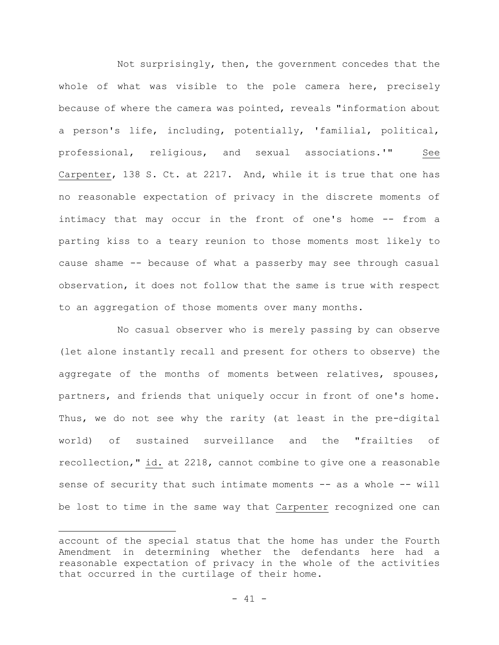Not surprisingly, then, the government concedes that the whole of what was visible to the pole camera here, precisely because of where the camera was pointed, reveals "information about a person's life, including, potentially, 'familial, political, professional, religious, and sexual associations.'" See Carpenter, 138 S. Ct. at 2217. And, while it is true that one has no reasonable expectation of privacy in the discrete moments of intimacy that may occur in the front of one's home -- from a parting kiss to a teary reunion to those moments most likely to cause shame -- because of what a passerby may see through casual observation, it does not follow that the same is true with respect to an aggregation of those moments over many months.

No casual observer who is merely passing by can observe (let alone instantly recall and present for others to observe) the aggregate of the months of moments between relatives, spouses, partners, and friends that uniquely occur in front of one's home. Thus, we do not see why the rarity (at least in the pre-digital world) of sustained surveillance and the "frailties of recollection," id. at 2218, cannot combine to give one a reasonable sense of security that such intimate moments -- as a whole -- will be lost to time in the same way that Carpenter recognized one can

account of the special status that the home has under the Fourth Amendment in determining whether the defendants here had a reasonable expectation of privacy in the whole of the activities that occurred in the curtilage of their home.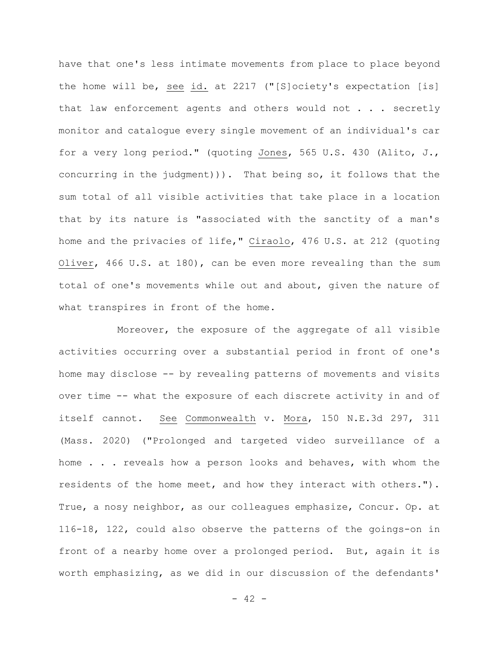have that one's less intimate movements from place to place beyond the home will be, see id. at 2217 ("[S]ociety's expectation [is] that law enforcement agents and others would not . . . secretly monitor and catalogue every single movement of an individual's car for a very long period." (quoting Jones, 565 U.S. 430 (Alito, J., concurring in the judgment))). That being so, it follows that the sum total of all visible activities that take place in a location that by its nature is "associated with the sanctity of a man's home and the privacies of life," Ciraolo, 476 U.S. at 212 (quoting Oliver, 466 U.S. at 180), can be even more revealing than the sum total of one's movements while out and about, given the nature of what transpires in front of the home.

Moreover, the exposure of the aggregate of all visible activities occurring over a substantial period in front of one's home may disclose -- by revealing patterns of movements and visits over time -- what the exposure of each discrete activity in and of itself cannot. See Commonwealth v. Mora, 150 N.E.3d 297, 311 (Mass. 2020) ("Prolonged and targeted video surveillance of a home . . . reveals how a person looks and behaves, with whom the residents of the home meet, and how they interact with others."). True, a nosy neighbor, as our colleagues emphasize, Concur. Op. at 116-18, 122, could also observe the patterns of the goings-on in front of a nearby home over a prolonged period. But, again it is worth emphasizing, as we did in our discussion of the defendants'

 $- 42 -$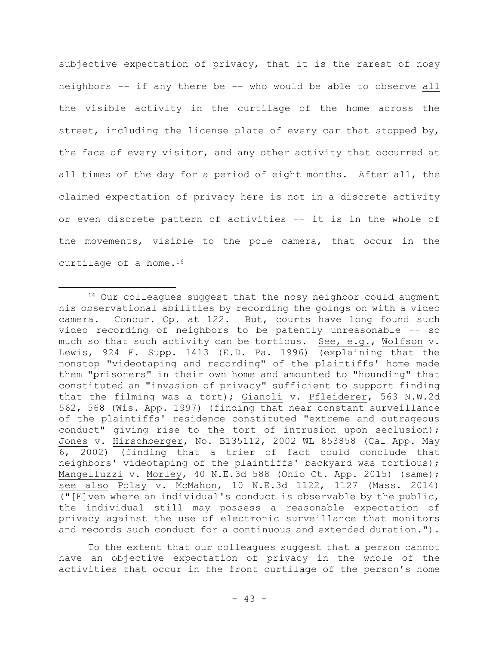subjective expectation of privacy, that it is the rarest of nosy neighbors -- if any there be -- who would be able to observe all the visible activity in the curtilage of the home across the street, including the license plate of every car that stopped by, the face of every visitor, and any other activity that occurred at all times of the day for a period of eight months. After all, the claimed expectation of privacy here is not in a discrete activity or even discrete pattern of activities -- it is in the whole of the movements, visible to the pole camera, that occur in the curtilage of a home.<sup>16</sup>

To the extent that our colleagues suggest that a person cannot have an objective expectation of privacy in the whole of the activities that occur in the front curtilage of the person's home

<sup>&</sup>lt;sup>16</sup> Our colleagues suggest that the nosy neighbor could augment his observational abilities by recording the goings on with a video camera. Concur. Op. at 122. But, courts have long found such video recording of neighbors to be patently unreasonable -- so much so that such activity can be tortious. See, e.g., Wolfson v. Lewis, 924 F. Supp. 1413 (E.D. Pa. 1996) (explaining that the nonstop "videotaping and recording" of the plaintiffs' home made them "prisoners" in their own home and amounted to "hounding" that constituted an "invasion of privacy" sufficient to support finding that the filming was a tort); Gianoli v. Pfleiderer, 563 N.W.2d 562, 568 (Wis. App. 1997) (finding that near constant surveillance of the plaintiffs' residence constituted "extreme and outrageous conduct" giving rise to the tort of intrusion upon seclusion); Jones v. Hirschberger, No. B135112, 2002 WL 853858 (Cal App. May 6, 2002) (finding that a trier of fact could conclude that neighbors' videotaping of the plaintiffs' backyard was tortious); Mangelluzzi v. Morley, 40 N.E.3d 588 (Ohio Ct. App. 2015) (same); see also Polay v. McMahon, 10 N.E.3d 1122, 1127 (Mass. 2014) (" $[E]$ ven where an individual's conduct is observable by the public, the individual still may possess a reasonable expectation of privacy against the use of electronic surveillance that monitors and records such conduct for a continuous and extended duration.").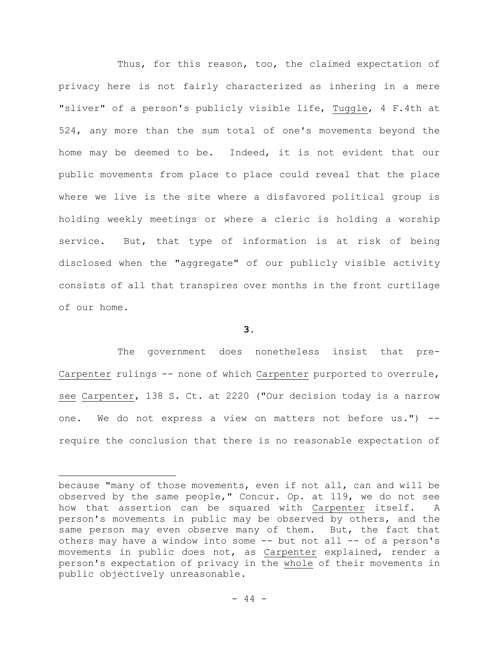Thus, for this reason, too, the claimed expectation of privacy here is not fairly characterized as inhering in a mere "sliver" of a person's publicly visible life, Tuggle, 4 F.4th at 524, any more than the sum total of one's movements beyond the home may be deemed to be. Indeed, it is not evident that our public movements from place to place could reveal that the place where we live is the site where a disfavored political group is holding weekly meetings or where a cleric is holding a worship service. But, that type of information is at risk of being disclosed when the "aggregate" of our publicly visible activity consists of all that transpires over months in the front curtilage of our home.

## **3.**

The government does nonetheless insist that pre-Carpenter rulings -- none of which Carpenter purported to overrule, see Carpenter, 138 S. Ct. at 2220 ("Our decision today is a narrow one. We do not express a view on matters not before us.") - require the conclusion that there is no reasonable expectation of

because "many of those movements, even if not all, can and will be observed by the same people," Concur. Op. at 119, we do not see how that assertion can be squared with Carpenter itself. A person's movements in public may be observed by others, and the same person may even observe many of them. But, the fact that others may have a window into some -- but not all -- of a person's movements in public does not, as Carpenter explained, render a person's expectation of privacy in the whole of their movements in public objectively unreasonable.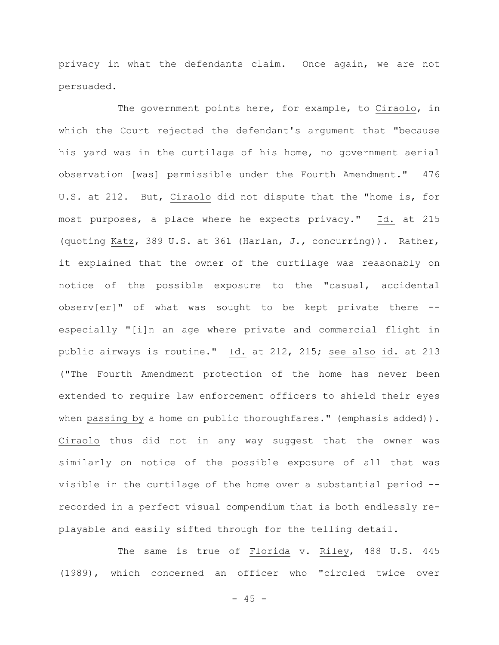privacy in what the defendants claim. Once again, we are not persuaded.

The government points here, for example, to Ciraolo, in which the Court rejected the defendant's argument that "because his yard was in the curtilage of his home, no government aerial observation [was] permissible under the Fourth Amendment." 476 U.S. at 212. But, Ciraolo did not dispute that the "home is, for most purposes, a place where he expects privacy." Id. at 215 (quoting Katz, 389 U.S. at 361 (Harlan, J., concurring)). Rather, it explained that the owner of the curtilage was reasonably on notice of the possible exposure to the "casual, accidental observ[er]" of what was sought to be kept private there - especially "[i]n an age where private and commercial flight in public airways is routine." Id. at 212, 215; see also id. at 213 ("The Fourth Amendment protection of the home has never been extended to require law enforcement officers to shield their eyes when passing by a home on public thoroughfares." (emphasis added)). Ciraolo thus did not in any way suggest that the owner was similarly on notice of the possible exposure of all that was visible in the curtilage of the home over a substantial period - recorded in a perfect visual compendium that is both endlessly replayable and easily sifted through for the telling detail.

The same is true of Florida v. Riley, 488 U.S. 445 (1989), which concerned an officer who "circled twice over

 $- 45 -$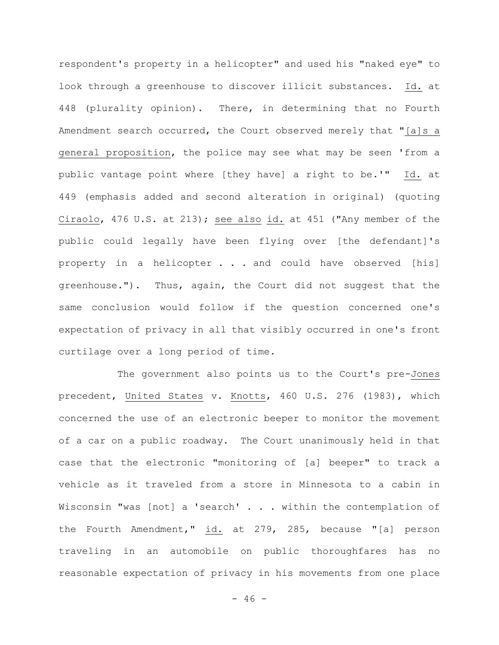respondent's property in a helicopter" and used his "naked eye" to look through a greenhouse to discover illicit substances. Id. at 448 (plurality opinion). There, in determining that no Fourth Amendment search occurred, the Court observed merely that "[a]s a general proposition, the police may see what may be seen 'from a public vantage point where [they have] a right to be.'" Id. at 449 (emphasis added and second alteration in original) (quoting Ciraolo, 476 U.S. at 213); see also id. at 451 ("Any member of the public could legally have been flying over [the defendant]'s property in a helicopter . . . and could have observed [his] greenhouse."). Thus, again, the Court did not suggest that the same conclusion would follow if the question concerned one's expectation of privacy in all that visibly occurred in one's front curtilage over a long period of time.

The government also points us to the Court's pre-Jones precedent, United States v. Knotts, 460 U.S. 276 (1983), which concerned the use of an electronic beeper to monitor the movement of a car on a public roadway. The Court unanimously held in that case that the electronic "monitoring of [a] beeper" to track a vehicle as it traveled from a store in Minnesota to a cabin in Wisconsin "was [not] a 'search' . . . within the contemplation of the Fourth Amendment," id. at 279, 285, because "[a] person traveling in an automobile on public thoroughfares has no reasonable expectation of privacy in his movements from one place

 $- 46 -$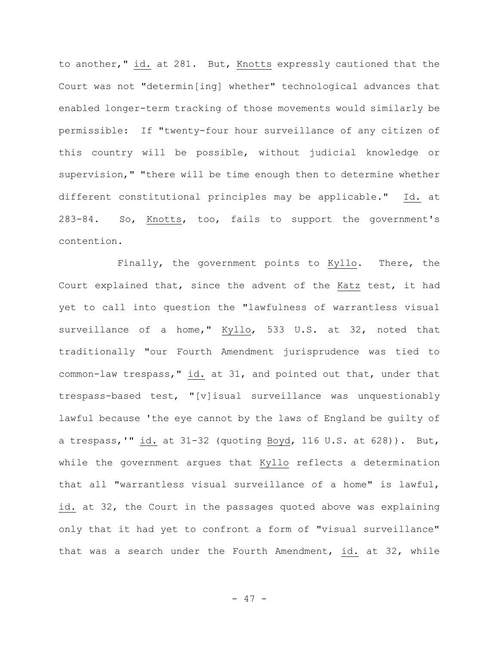to another," id. at 281. But, Knotts expressly cautioned that the Court was not "determin[ing] whether" technological advances that enabled longer-term tracking of those movements would similarly be permissible: If "twenty-four hour surveillance of any citizen of this country will be possible, without judicial knowledge or supervision," "there will be time enough then to determine whether different constitutional principles may be applicable." Id. at 283-84. So, Knotts, too, fails to support the government's contention.

Finally, the government points to Kyllo. There, the Court explained that, since the advent of the Katz test, it had yet to call into question the "lawfulness of warrantless visual surveillance of a home," Kyllo, 533 U.S. at 32, noted that traditionally "our Fourth Amendment jurisprudence was tied to common-law trespass," id. at 31, and pointed out that, under that trespass-based test, "[v]isual surveillance was unquestionably lawful because 'the eye cannot by the laws of England be guilty of a trespass,'" id. at 31-32 (quoting Boyd, 116 U.S. at 628)). But, while the government argues that Kyllo reflects a determination that all "warrantless visual surveillance of a home" is lawful, id. at 32, the Court in the passages quoted above was explaining only that it had yet to confront a form of "visual surveillance" that was a search under the Fourth Amendment, id. at 32, while

- 47 -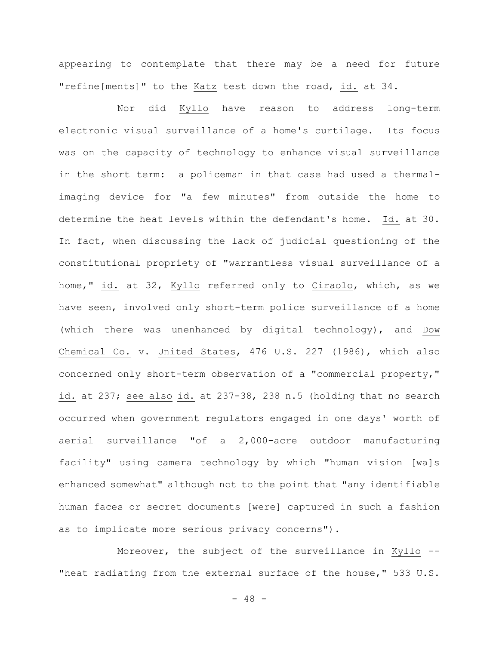appearing to contemplate that there may be a need for future "refine[ments]" to the Katz test down the road, id. at 34.

Nor did Kyllo have reason to address long-term electronic visual surveillance of a home's curtilage. Its focus was on the capacity of technology to enhance visual surveillance in the short term: a policeman in that case had used a thermalimaging device for "a few minutes" from outside the home to determine the heat levels within the defendant's home. Id. at 30. In fact, when discussing the lack of judicial questioning of the constitutional propriety of "warrantless visual surveillance of a home," id. at 32, Kyllo referred only to Ciraolo, which, as we have seen, involved only short-term police surveillance of a home (which there was unenhanced by digital technology), and Dow Chemical Co. v. United States, 476 U.S. 227 (1986), which also concerned only short-term observation of a "commercial property," id. at 237; see also id. at 237-38, 238 n.5 (holding that no search occurred when government regulators engaged in one days' worth of aerial surveillance "of a 2,000-acre outdoor manufacturing facility" using camera technology by which "human vision [wa]s enhanced somewhat" although not to the point that "any identifiable human faces or secret documents [were] captured in such a fashion as to implicate more serious privacy concerns").

Moreover, the subject of the surveillance in Kyllo -- "heat radiating from the external surface of the house," 533 U.S.

 $- 48 -$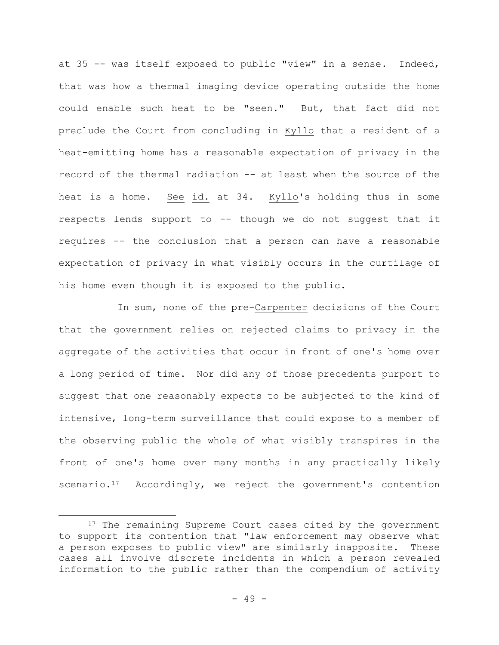at 35 -- was itself exposed to public "view" in a sense. Indeed, that was how a thermal imaging device operating outside the home could enable such heat to be "seen." But, that fact did not preclude the Court from concluding in Kyllo that a resident of a heat-emitting home has a reasonable expectation of privacy in the record of the thermal radiation -- at least when the source of the heat is a home. See id. at 34. Kyllo's holding thus in some respects lends support to -- though we do not suggest that it requires -- the conclusion that a person can have a reasonable expectation of privacy in what visibly occurs in the curtilage of his home even though it is exposed to the public.

In sum, none of the pre-Carpenter decisions of the Court that the government relies on rejected claims to privacy in the aggregate of the activities that occur in front of one's home over a long period of time. Nor did any of those precedents purport to suggest that one reasonably expects to be subjected to the kind of intensive, long-term surveillance that could expose to a member of the observing public the whole of what visibly transpires in the front of one's home over many months in any practically likely scenario.<sup>17</sup> Accordingly, we reject the government's contention

<sup>&</sup>lt;sup>17</sup> The remaining Supreme Court cases cited by the government to support its contention that "law enforcement may observe what a person exposes to public view" are similarly inapposite. These cases all involve discrete incidents in which a person revealed information to the public rather than the compendium of activity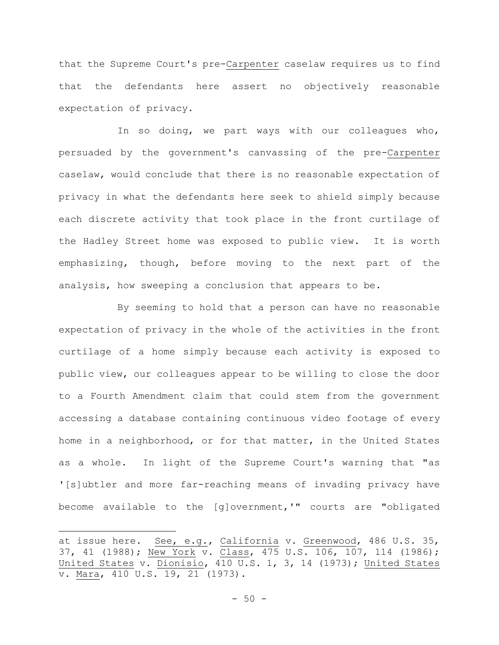that the Supreme Court's pre-Carpenter caselaw requires us to find that the defendants here assert no objectively reasonable expectation of privacy.

In so doing, we part ways with our colleagues who, persuaded by the government's canvassing of the pre-Carpenter caselaw, would conclude that there is no reasonable expectation of privacy in what the defendants here seek to shield simply because each discrete activity that took place in the front curtilage of the Hadley Street home was exposed to public view. It is worth emphasizing, though, before moving to the next part of the analysis, how sweeping a conclusion that appears to be.

By seeming to hold that a person can have no reasonable expectation of privacy in the whole of the activities in the front curtilage of a home simply because each activity is exposed to public view, our colleagues appear to be willing to close the door to a Fourth Amendment claim that could stem from the government accessing a database containing continuous video footage of every home in a neighborhood, or for that matter, in the United States as a whole. In light of the Supreme Court's warning that "as '[s]ubtler and more far-reaching means of invading privacy have become available to the [g]overnment,'" courts are "obligated

at issue here. See, e.g., California v. Greenwood, 486 U.S. 35, 37, 41 (1988); New York v. Class, 475 U.S. 106, 107, 114 (1986); United States v. Dionisio, 410 U.S. 1, 3, 14 (1973); United States v. Mara, 410 U.S. 19, 21 (1973).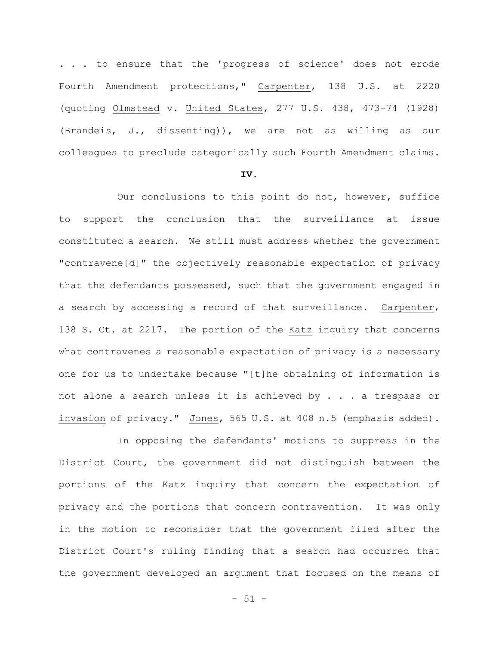. . . to ensure that the 'progress of science' does not erode Fourth Amendment protections," Carpenter, 138 U.S. at 2220 (quoting Olmstead v. United States, 277 U.S. 438, 473-74 (1928) (Brandeis, J., dissenting)), we are not as willing as our colleagues to preclude categorically such Fourth Amendment claims.

# **IV.**

Our conclusions to this point do not, however, suffice to support the conclusion that the surveillance at issue constituted a search. We still must address whether the government "contravene[d]" the objectively reasonable expectation of privacy that the defendants possessed, such that the government engaged in a search by accessing a record of that surveillance. Carpenter, 138 S. Ct. at 2217. The portion of the Katz inquiry that concerns what contravenes a reasonable expectation of privacy is a necessary one for us to undertake because "[t]he obtaining of information is not alone a search unless it is achieved by . . . a trespass or invasion of privacy." Jones, 565 U.S. at 408 n.5 (emphasis added).

In opposing the defendants' motions to suppress in the District Court, the government did not distinguish between the portions of the Katz inquiry that concern the expectation of privacy and the portions that concern contravention. It was only in the motion to reconsider that the government filed after the District Court's ruling finding that a search had occurred that the government developed an argument that focused on the means of

 $- 51 -$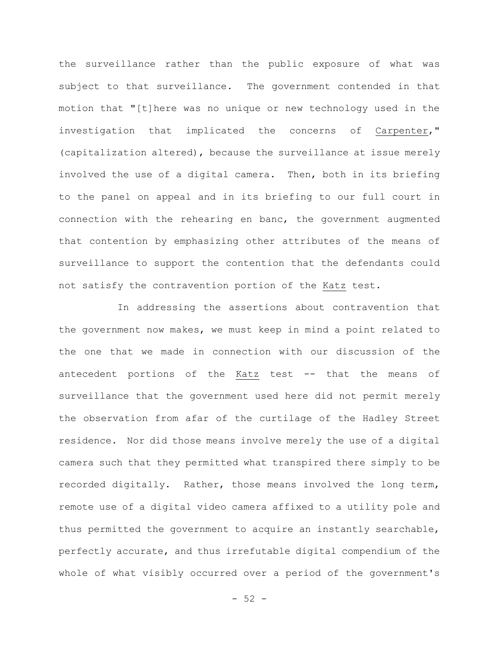the surveillance rather than the public exposure of what was subject to that surveillance. The government contended in that motion that "[t]here was no unique or new technology used in the investigation that implicated the concerns of Carpenter," (capitalization altered), because the surveillance at issue merely involved the use of a digital camera. Then, both in its briefing to the panel on appeal and in its briefing to our full court in connection with the rehearing en banc, the government augmented that contention by emphasizing other attributes of the means of surveillance to support the contention that the defendants could not satisfy the contravention portion of the Katz test.

In addressing the assertions about contravention that the government now makes, we must keep in mind a point related to the one that we made in connection with our discussion of the antecedent portions of the Katz test -- that the means of surveillance that the government used here did not permit merely the observation from afar of the curtilage of the Hadley Street residence. Nor did those means involve merely the use of a digital camera such that they permitted what transpired there simply to be recorded digitally. Rather, those means involved the long term, remote use of a digital video camera affixed to a utility pole and thus permitted the government to acquire an instantly searchable, perfectly accurate, and thus irrefutable digital compendium of the whole of what visibly occurred over a period of the government's

 $-52 -$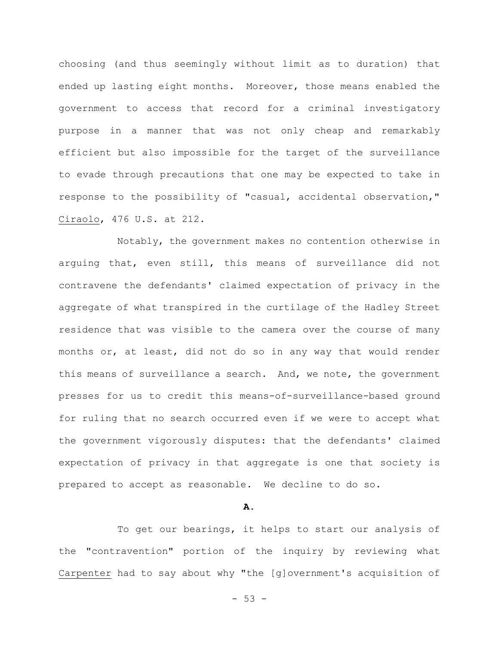choosing (and thus seemingly without limit as to duration) that ended up lasting eight months. Moreover, those means enabled the government to access that record for a criminal investigatory purpose in a manner that was not only cheap and remarkably efficient but also impossible for the target of the surveillance to evade through precautions that one may be expected to take in response to the possibility of "casual, accidental observation," Ciraolo, 476 U.S. at 212.

Notably, the government makes no contention otherwise in arguing that, even still, this means of surveillance did not contravene the defendants' claimed expectation of privacy in the aggregate of what transpired in the curtilage of the Hadley Street residence that was visible to the camera over the course of many months or, at least, did not do so in any way that would render this means of surveillance a search. And, we note, the government presses for us to credit this means-of-surveillance-based ground for ruling that no search occurred even if we were to accept what the government vigorously disputes: that the defendants' claimed expectation of privacy in that aggregate is one that society is prepared to accept as reasonable. We decline to do so.

## **A.**

To get our bearings, it helps to start our analysis of the "contravention" portion of the inquiry by reviewing what Carpenter had to say about why "the [g]overnment's acquisition of

 $-53 -$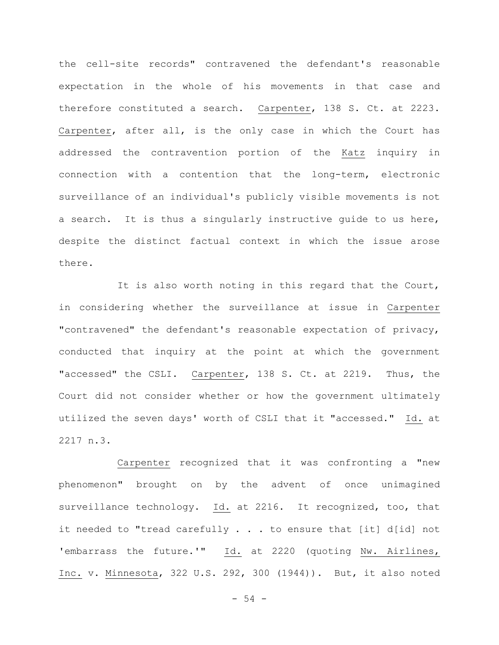the cell-site records" contravened the defendant's reasonable expectation in the whole of his movements in that case and therefore constituted a search. Carpenter, 138 S. Ct. at 2223. Carpenter, after all, is the only case in which the Court has addressed the contravention portion of the Katz inquiry in connection with a contention that the long-term, electronic surveillance of an individual's publicly visible movements is not a search. It is thus a singularly instructive guide to us here, despite the distinct factual context in which the issue arose there.

It is also worth noting in this regard that the Court, in considering whether the surveillance at issue in Carpenter "contravened" the defendant's reasonable expectation of privacy, conducted that inquiry at the point at which the government "accessed" the CSLI. Carpenter, 138 S. Ct. at 2219. Thus, the Court did not consider whether or how the government ultimately utilized the seven days' worth of CSLI that it "accessed." Id. at 2217 n.3.

Carpenter recognized that it was confronting a "new phenomenon" brought on by the advent of once unimagined surveillance technology. Id. at 2216. It recognized, too, that it needed to "tread carefully . . . to ensure that [it] d[id] not 'embarrass the future.'" Id. at 2220 (quoting Nw. Airlines, Inc. v. Minnesota, 322 U.S. 292, 300 (1944)). But, it also noted

 $-54 -$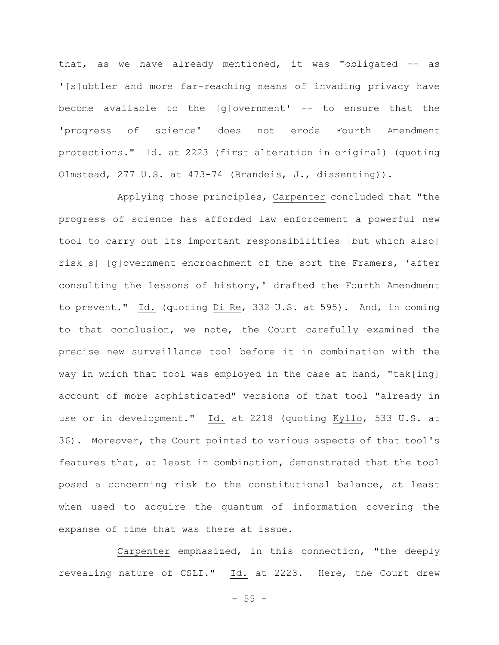that, as we have already mentioned, it was "obligated -- as '[s]ubtler and more far-reaching means of invading privacy have become available to the [g]overnment' -- to ensure that the 'progress of science' does not erode Fourth Amendment protections." Id. at 2223 (first alteration in original) (quoting Olmstead, 277 U.S. at 473-74 (Brandeis, J., dissenting)).

Applying those principles, Carpenter concluded that "the progress of science has afforded law enforcement a powerful new tool to carry out its important responsibilities [but which also] risk[s] [g]overnment encroachment of the sort the Framers, 'after consulting the lessons of history,' drafted the Fourth Amendment to prevent." Id. (quoting Di Re, 332 U.S. at 595). And, in coming to that conclusion, we note, the Court carefully examined the precise new surveillance tool before it in combination with the way in which that tool was employed in the case at hand, "tak[ing] account of more sophisticated" versions of that tool "already in use or in development." Id. at 2218 (quoting Kyllo, 533 U.S. at 36). Moreover, the Court pointed to various aspects of that tool's features that, at least in combination, demonstrated that the tool posed a concerning risk to the constitutional balance, at least when used to acquire the quantum of information covering the expanse of time that was there at issue.

Carpenter emphasized, in this connection, "the deeply revealing nature of CSLI." Id. at 2223. Here, the Court drew

 $-55 -$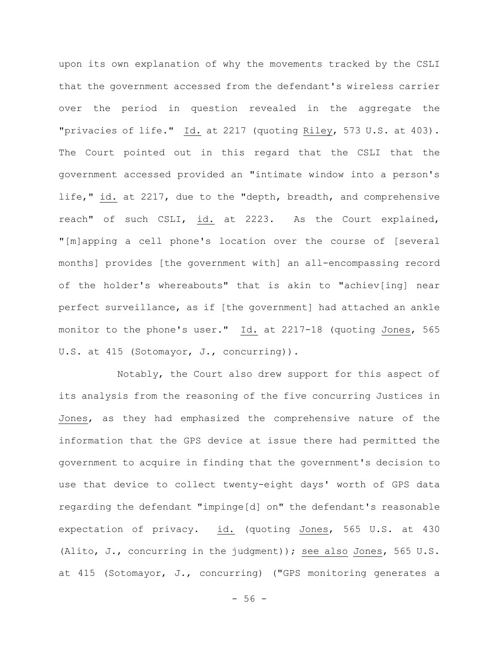upon its own explanation of why the movements tracked by the CSLI that the government accessed from the defendant's wireless carrier over the period in question revealed in the aggregate the "privacies of life." Id. at 2217 (quoting Riley, 573 U.S. at 403). The Court pointed out in this regard that the CSLI that the government accessed provided an "intimate window into a person's life," id. at 2217, due to the "depth, breadth, and comprehensive reach" of such CSLI, id. at 2223. As the Court explained, "[m]apping a cell phone's location over the course of [several months] provides [the government with] an all-encompassing record of the holder's whereabouts" that is akin to "achiev[ing] near perfect surveillance, as if [the government] had attached an ankle monitor to the phone's user." Id. at 2217-18 (quoting Jones, 565 U.S. at 415 (Sotomayor, J., concurring)).

Notably, the Court also drew support for this aspect of its analysis from the reasoning of the five concurring Justices in Jones, as they had emphasized the comprehensive nature of the information that the GPS device at issue there had permitted the government to acquire in finding that the government's decision to use that device to collect twenty-eight days' worth of GPS data regarding the defendant "impinge[d] on" the defendant's reasonable expectation of privacy. id. (quoting Jones, 565 U.S. at 430 (Alito, J., concurring in the judgment)); see also Jones, 565 U.S. at 415 (Sotomayor, J., concurring) ("GPS monitoring generates a

- 56 -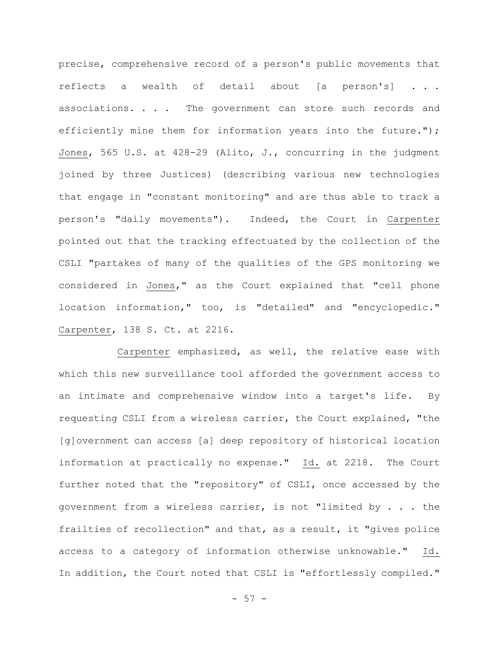precise, comprehensive record of a person's public movements that reflects a wealth of detail about [a person's] . . . associations. . . . The government can store such records and efficiently mine them for information years into the future."); Jones, 565 U.S. at 428-29 (Alito, J., concurring in the judgment joined by three Justices) (describing various new technologies that engage in "constant monitoring" and are thus able to track a person's "daily movements"). Indeed, the Court in Carpenter pointed out that the tracking effectuated by the collection of the CSLI "partakes of many of the qualities of the GPS monitoring we considered in Jones," as the Court explained that "cell phone location information," too, is "detailed" and "encyclopedic." Carpenter, 138 S. Ct. at 2216.

Carpenter emphasized, as well, the relative ease with which this new surveillance tool afforded the government access to an intimate and comprehensive window into a target's life. By requesting CSLI from a wireless carrier, the Court explained, "the [g]overnment can access [a] deep repository of historical location information at practically no expense." Id. at 2218. The Court further noted that the "repository" of CSLI, once accessed by the government from a wireless carrier, is not "limited by . . . the frailties of recollection" and that, as a result, it "gives police access to a category of information otherwise unknowable." Id. In addition, the Court noted that CSLI is "effortlessly compiled."

 $-57 -$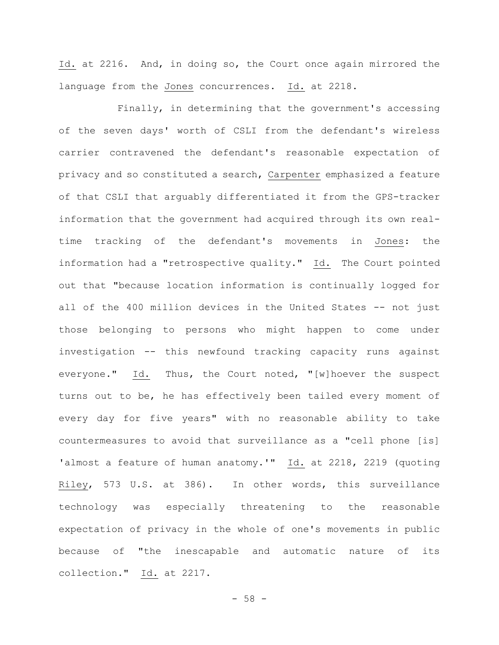Id. at 2216. And, in doing so, the Court once again mirrored the language from the Jones concurrences. Id. at 2218.

Finally, in determining that the government's accessing of the seven days' worth of CSLI from the defendant's wireless carrier contravened the defendant's reasonable expectation of privacy and so constituted a search, Carpenter emphasized a feature of that CSLI that arguably differentiated it from the GPS-tracker information that the government had acquired through its own realtime tracking of the defendant's movements in Jones: the information had a "retrospective quality." Id. The Court pointed out that "because location information is continually logged for all of the 400 million devices in the United States -- not just those belonging to persons who might happen to come under investigation -- this newfound tracking capacity runs against everyone." Id. Thus, the Court noted, "[w]hoever the suspect turns out to be, he has effectively been tailed every moment of every day for five years" with no reasonable ability to take countermeasures to avoid that surveillance as a "cell phone [is] 'almost a feature of human anatomy.'" Id. at 2218, 2219 (quoting Riley, 573 U.S. at 386). In other words, this surveillance technology was especially threatening to the reasonable expectation of privacy in the whole of one's movements in public because of "the inescapable and automatic nature of its collection." Id. at 2217.

 $-58 -$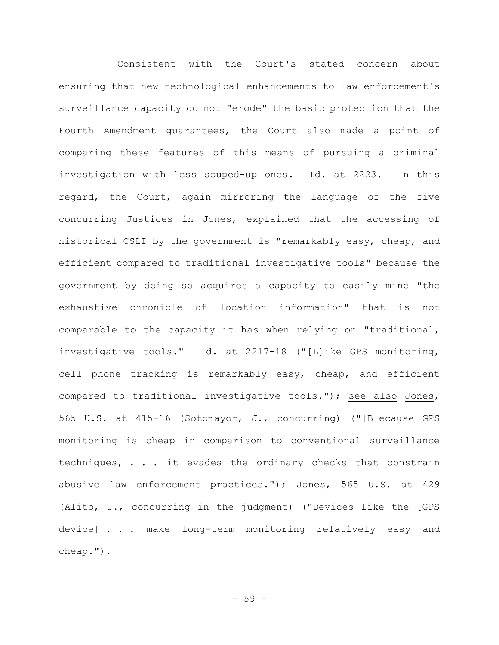Consistent with the Court's stated concern about ensuring that new technological enhancements to law enforcement's surveillance capacity do not "erode" the basic protection that the Fourth Amendment guarantees, the Court also made a point of comparing these features of this means of pursuing a criminal investigation with less souped-up ones. Id. at 2223. In this regard, the Court, again mirroring the language of the five concurring Justices in Jones, explained that the accessing of historical CSLI by the government is "remarkably easy, cheap, and efficient compared to traditional investigative tools" because the government by doing so acquires a capacity to easily mine "the exhaustive chronicle of location information" that is not comparable to the capacity it has when relying on "traditional, investigative tools." Id. at 2217-18 ("[L]ike GPS monitoring, cell phone tracking is remarkably easy, cheap, and efficient compared to traditional investigative tools."); see also Jones, 565 U.S. at 415-16 (Sotomayor, J., concurring) ("[B]ecause GPS monitoring is cheap in comparison to conventional surveillance techniques, . . . it evades the ordinary checks that constrain abusive law enforcement practices."); Jones, 565 U.S. at 429 (Alito, J., concurring in the judgment) ("Devices like the [GPS device] . . . make long-term monitoring relatively easy and cheap.").

- 59 -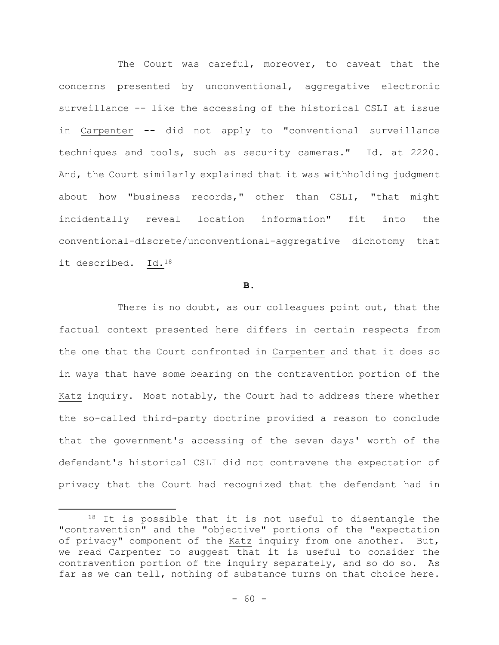The Court was careful, moreover, to caveat that the concerns presented by unconventional, aggregative electronic surveillance -- like the accessing of the historical CSLI at issue in Carpenter -- did not apply to "conventional surveillance techniques and tools, such as security cameras." Id. at 2220. And, the Court similarly explained that it was withholding judgment about how "business records," other than CSLI, "that might incidentally reveal location information" fit into the conventional-discrete/unconventional-aggregative dichotomy that it described. Id.<sup>18</sup>

### **B.**

There is no doubt, as our colleagues point out, that the factual context presented here differs in certain respects from the one that the Court confronted in Carpenter and that it does so in ways that have some bearing on the contravention portion of the Katz inquiry. Most notably, the Court had to address there whether the so-called third-party doctrine provided a reason to conclude that the government's accessing of the seven days' worth of the defendant's historical CSLI did not contravene the expectation of privacy that the Court had recognized that the defendant had in

<sup>&</sup>lt;sup>18</sup> It is possible that it is not useful to disentangle the "contravention" and the "objective" portions of the "expectation of privacy" component of the Katz inquiry from one another. But, we read Carpenter to suggest that it is useful to consider the contravention portion of the inquiry separately, and so do so. As far as we can tell, nothing of substance turns on that choice here.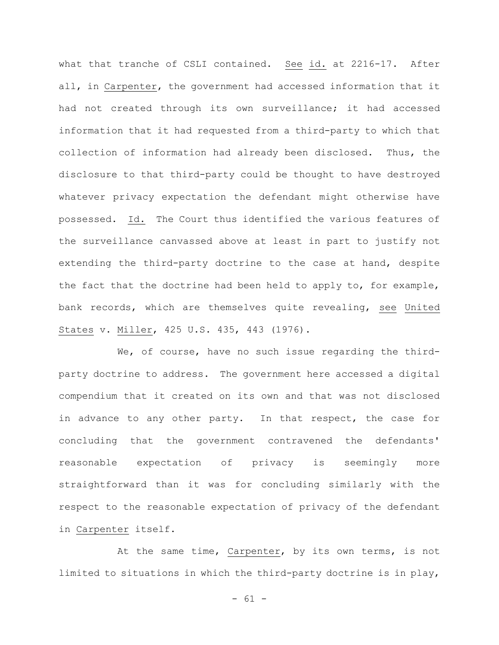what that tranche of CSLI contained. See id. at 2216-17. After all, in Carpenter, the government had accessed information that it had not created through its own surveillance; it had accessed information that it had requested from a third-party to which that collection of information had already been disclosed. Thus, the disclosure to that third-party could be thought to have destroyed whatever privacy expectation the defendant might otherwise have possessed. Id. The Court thus identified the various features of the surveillance canvassed above at least in part to justify not extending the third-party doctrine to the case at hand, despite the fact that the doctrine had been held to apply to, for example, bank records, which are themselves quite revealing, see United States v. Miller, 425 U.S. 435, 443 (1976).

We, of course, have no such issue regarding the thirdparty doctrine to address. The government here accessed a digital compendium that it created on its own and that was not disclosed in advance to any other party. In that respect, the case for concluding that the government contravened the defendants' reasonable expectation of privacy is seemingly more straightforward than it was for concluding similarly with the respect to the reasonable expectation of privacy of the defendant in Carpenter itself.

At the same time, Carpenter, by its own terms, is not limited to situations in which the third-party doctrine is in play,

 $- 61 -$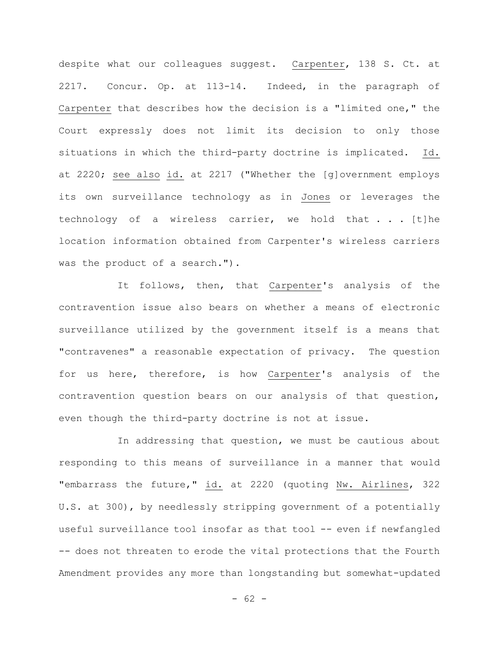despite what our colleagues suggest. Carpenter, 138 S. Ct. at 2217. Concur. Op. at 113-14. Indeed, in the paragraph of Carpenter that describes how the decision is a "limited one," the Court expressly does not limit its decision to only those situations in which the third-party doctrine is implicated. Id. at 2220; see also id. at 2217 ("Whether the [g]overnment employs its own surveillance technology as in Jones or leverages the technology of a wireless carrier, we hold that . . . [t]he location information obtained from Carpenter's wireless carriers was the product of a search.").

It follows, then, that Carpenter's analysis of the contravention issue also bears on whether a means of electronic surveillance utilized by the government itself is a means that "contravenes" a reasonable expectation of privacy. The question for us here, therefore, is how Carpenter's analysis of the contravention question bears on our analysis of that question, even though the third-party doctrine is not at issue.

In addressing that question, we must be cautious about responding to this means of surveillance in a manner that would "embarrass the future," id. at 2220 (quoting Nw. Airlines, 322 U.S. at 300), by needlessly stripping government of a potentially useful surveillance tool insofar as that tool -- even if newfangled -- does not threaten to erode the vital protections that the Fourth Amendment provides any more than longstanding but somewhat-updated

- 62 -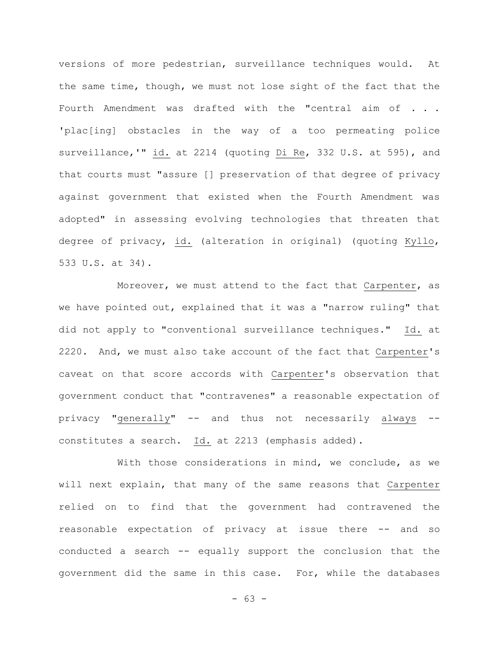versions of more pedestrian, surveillance techniques would. At the same time, though, we must not lose sight of the fact that the Fourth Amendment was drafted with the "central aim of . . . 'plac[ing] obstacles in the way of a too permeating police surveillance,'" id. at 2214 (quoting Di Re, 332 U.S. at 595), and that courts must "assure [] preservation of that degree of privacy against government that existed when the Fourth Amendment was adopted" in assessing evolving technologies that threaten that degree of privacy, id. (alteration in original) (quoting Kyllo, 533 U.S. at 34).

Moreover, we must attend to the fact that Carpenter, as we have pointed out, explained that it was a "narrow ruling" that did not apply to "conventional surveillance techniques." Id. at 2220. And, we must also take account of the fact that Carpenter's caveat on that score accords with Carpenter's observation that government conduct that "contravenes" a reasonable expectation of privacy "generally" -- and thus not necessarily always - constitutes a search. Id. at 2213 (emphasis added).

With those considerations in mind, we conclude, as we will next explain, that many of the same reasons that Carpenter relied on to find that the government had contravened the reasonable expectation of privacy at issue there -- and so conducted a search -- equally support the conclusion that the government did the same in this case. For, while the databases

 $- 63 -$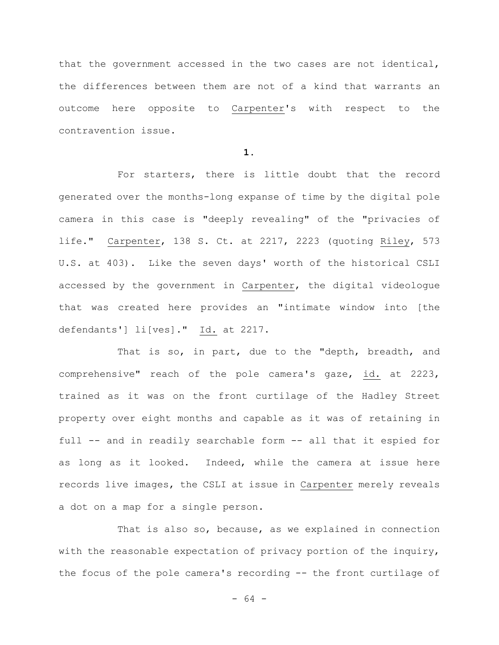that the government accessed in the two cases are not identical, the differences between them are not of a kind that warrants an outcome here opposite to Carpenter's with respect to the contravention issue.

**1.**

For starters, there is little doubt that the record generated over the months-long expanse of time by the digital pole camera in this case is "deeply revealing" of the "privacies of life." Carpenter, 138 S. Ct. at 2217, 2223 (quoting Riley, 573 U.S. at 403). Like the seven days' worth of the historical CSLI accessed by the government in Carpenter, the digital videologue that was created here provides an "intimate window into [the defendants'] li[ves]." Id. at 2217.

That is so, in part, due to the "depth, breadth, and comprehensive" reach of the pole camera's gaze, id. at 2223, trained as it was on the front curtilage of the Hadley Street property over eight months and capable as it was of retaining in full -- and in readily searchable form -- all that it espied for as long as it looked. Indeed, while the camera at issue here records live images, the CSLI at issue in Carpenter merely reveals a dot on a map for a single person.

That is also so, because, as we explained in connection with the reasonable expectation of privacy portion of the inquiry, the focus of the pole camera's recording -- the front curtilage of

- 64 -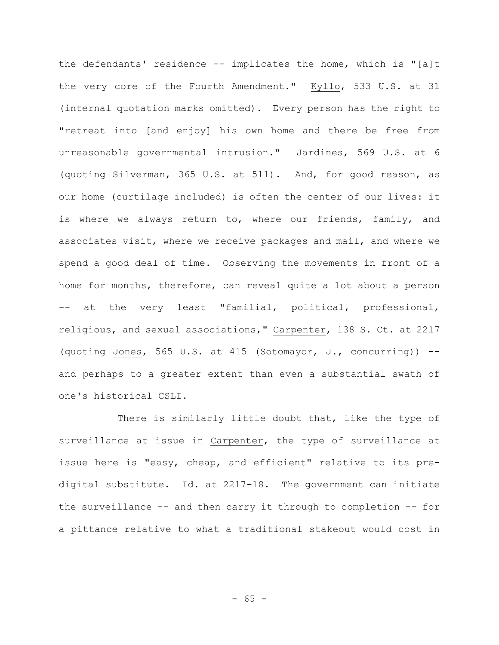the defendants' residence -- implicates the home, which is "[a]t the very core of the Fourth Amendment." Kyllo, 533 U.S. at 31 (internal quotation marks omitted). Every person has the right to "retreat into [and enjoy] his own home and there be free from unreasonable governmental intrusion." Jardines, 569 U.S. at 6 (quoting Silverman, 365 U.S. at 511). And, for good reason, as our home (curtilage included) is often the center of our lives: it is where we always return to, where our friends, family, and associates visit, where we receive packages and mail, and where we spend a good deal of time. Observing the movements in front of a home for months, therefore, can reveal quite a lot about a person -- at the very least "familial, political, professional, religious, and sexual associations," Carpenter, 138 S. Ct. at 2217 (quoting Jones, 565 U.S. at 415 (Sotomayor, J., concurring)) - and perhaps to a greater extent than even a substantial swath of one's historical CSLI.

There is similarly little doubt that, like the type of surveillance at issue in Carpenter, the type of surveillance at issue here is "easy, cheap, and efficient" relative to its predigital substitute. Id. at 2217-18. The government can initiate the surveillance -- and then carry it through to completion -- for a pittance relative to what a traditional stakeout would cost in

- 65 -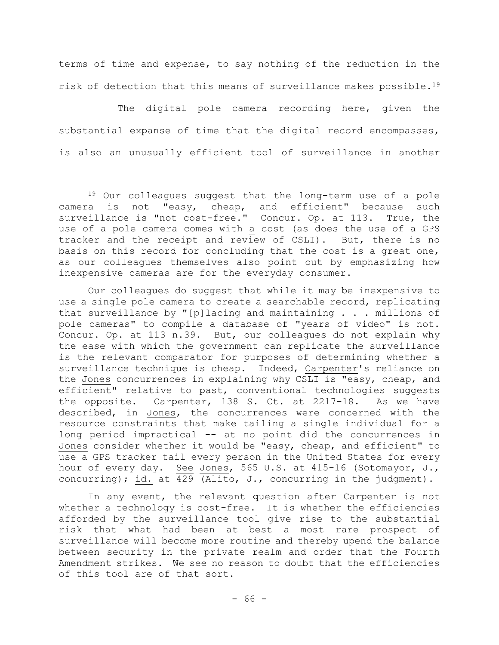terms of time and expense, to say nothing of the reduction in the risk of detection that this means of surveillance makes possible.<sup>19</sup>

The digital pole camera recording here, given the substantial expanse of time that the digital record encompasses, is also an unusually efficient tool of surveillance in another

Our colleagues do suggest that while it may be inexpensive to use a single pole camera to create a searchable record, replicating that surveillance by "[p]lacing and maintaining . . . millions of pole cameras" to compile a database of "years of video" is not. Concur. Op. at 113 n.39. But, our colleagues do not explain why the ease with which the government can replicate the surveillance is the relevant comparator for purposes of determining whether a surveillance technique is cheap. Indeed, Carpenter's reliance on the Jones concurrences in explaining why CSLI is "easy, cheap, and efficient" relative to past, conventional technologies suggests the opposite. Carpenter, 138 S. Ct. at 2217-18. As we have described, in Jones, the concurrences were concerned with the resource constraints that make tailing a single individual for a long period impractical -- at no point did the concurrences in Jones consider whether it would be "easy, cheap, and efficient" to use a GPS tracker tail every person in the United States for every hour of every day. See Jones, 565 U.S. at 415-16 (Sotomayor, J., concurring); id. at 429 (Alito, J., concurring in the judgment).

In any event, the relevant question after Carpenter is not whether a technology is cost-free. It is whether the efficiencies afforded by the surveillance tool give rise to the substantial risk that what had been at best a most rare prospect of surveillance will become more routine and thereby upend the balance between security in the private realm and order that the Fourth Amendment strikes. We see no reason to doubt that the efficiencies of this tool are of that sort.

<sup>19</sup> Our colleagues suggest that the long-term use of a pole camera is not "easy, cheap, and efficient" because such surveillance is "not cost-free." Concur. Op. at 113. True, the use of a pole camera comes with a cost (as does the use of a GPS tracker and the receipt and review of CSLI). But, there is no basis on this record for concluding that the cost is a great one, as our colleagues themselves also point out by emphasizing how inexpensive cameras are for the everyday consumer.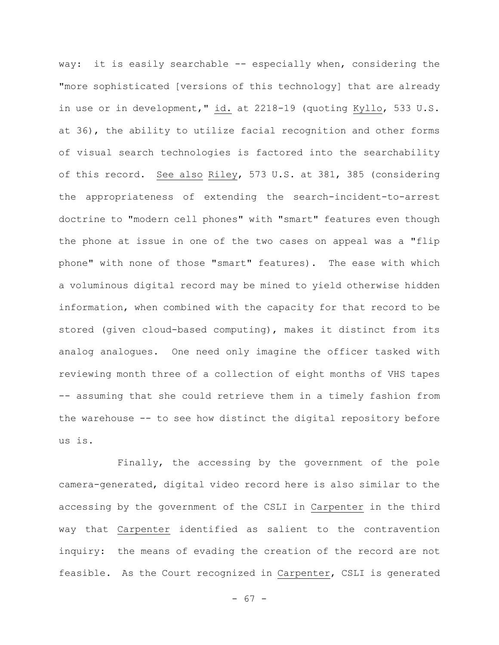way: it is easily searchable -- especially when, considering the "more sophisticated [versions of this technology] that are already in use or in development," id. at 2218-19 (quoting Kyllo, 533 U.S. at 36), the ability to utilize facial recognition and other forms of visual search technologies is factored into the searchability of this record. See also Riley, 573 U.S. at 381, 385 (considering the appropriateness of extending the search-incident-to-arrest doctrine to "modern cell phones" with "smart" features even though the phone at issue in one of the two cases on appeal was a "flip phone" with none of those "smart" features). The ease with which a voluminous digital record may be mined to yield otherwise hidden information, when combined with the capacity for that record to be stored (given cloud-based computing), makes it distinct from its analog analogues. One need only imagine the officer tasked with reviewing month three of a collection of eight months of VHS tapes -- assuming that she could retrieve them in a timely fashion from the warehouse -- to see how distinct the digital repository before us is.

Finally, the accessing by the government of the pole camera-generated, digital video record here is also similar to the accessing by the government of the CSLI in Carpenter in the third way that Carpenter identified as salient to the contravention inquiry: the means of evading the creation of the record are not feasible. As the Court recognized in Carpenter, CSLI is generated

- 67 -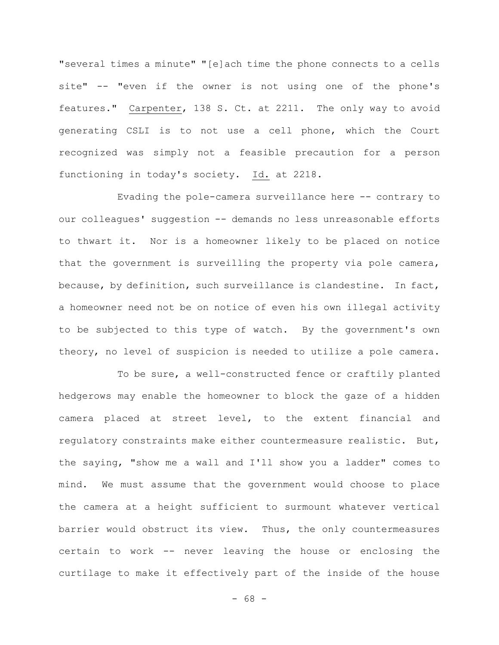"several times a minute" "[e]ach time the phone connects to a cells site" -- "even if the owner is not using one of the phone's features." Carpenter, 138 S. Ct. at 2211. The only way to avoid generating CSLI is to not use a cell phone, which the Court recognized was simply not a feasible precaution for a person functioning in today's society. Id. at 2218.

Evading the pole-camera surveillance here -- contrary to our colleagues' suggestion -- demands no less unreasonable efforts to thwart it. Nor is a homeowner likely to be placed on notice that the government is surveilling the property via pole camera, because, by definition, such surveillance is clandestine. In fact, a homeowner need not be on notice of even his own illegal activity to be subjected to this type of watch. By the government's own theory, no level of suspicion is needed to utilize a pole camera.

To be sure, a well-constructed fence or craftily planted hedgerows may enable the homeowner to block the gaze of a hidden camera placed at street level, to the extent financial and regulatory constraints make either countermeasure realistic. But, the saying, "show me a wall and I'll show you a ladder" comes to mind. We must assume that the government would choose to place the camera at a height sufficient to surmount whatever vertical barrier would obstruct its view. Thus, the only countermeasures certain to work -- never leaving the house or enclosing the curtilage to make it effectively part of the inside of the house

- 68 -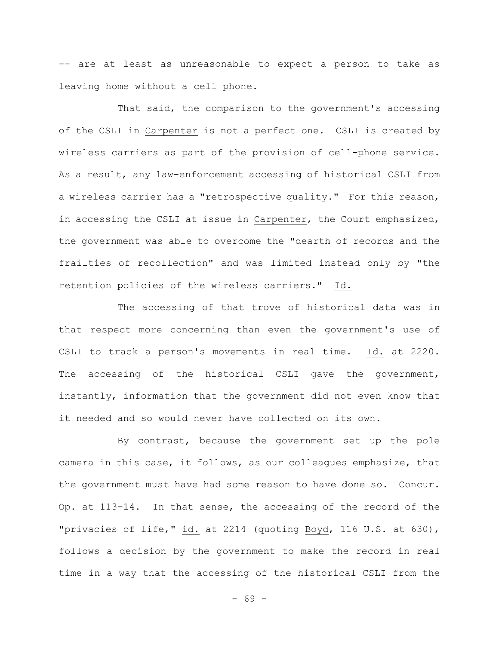-- are at least as unreasonable to expect a person to take as leaving home without a cell phone.

That said, the comparison to the government's accessing of the CSLI in Carpenter is not a perfect one. CSLI is created by wireless carriers as part of the provision of cell-phone service. As a result, any law-enforcement accessing of historical CSLI from a wireless carrier has a "retrospective quality." For this reason, in accessing the CSLI at issue in Carpenter, the Court emphasized, the government was able to overcome the "dearth of records and the frailties of recollection" and was limited instead only by "the retention policies of the wireless carriers." Id.

The accessing of that trove of historical data was in that respect more concerning than even the government's use of CSLI to track a person's movements in real time. Id. at 2220. The accessing of the historical CSLI gave the government, instantly, information that the government did not even know that it needed and so would never have collected on its own.

By contrast, because the government set up the pole camera in this case, it follows, as our colleagues emphasize, that the government must have had some reason to have done so. Concur. Op. at 113-14. In that sense, the accessing of the record of the "privacies of life," id. at 2214 (quoting Boyd, 116 U.S. at 630), follows a decision by the government to make the record in real time in a way that the accessing of the historical CSLI from the

- 69 -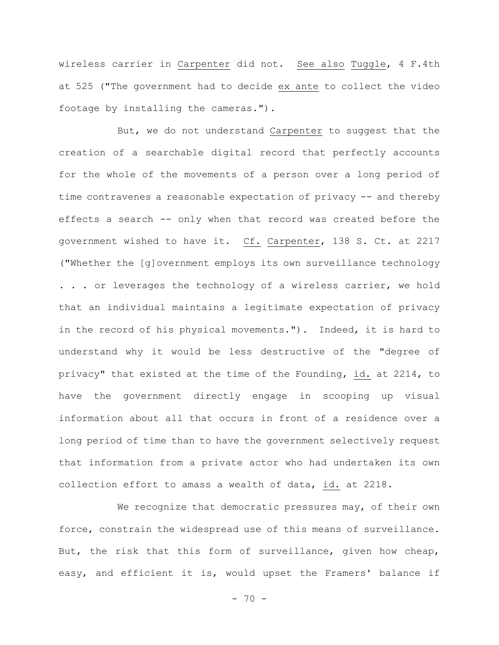wireless carrier in Carpenter did not. See also Tuggle, 4 F.4th at 525 ("The government had to decide ex ante to collect the video footage by installing the cameras.").

But, we do not understand Carpenter to suggest that the creation of a searchable digital record that perfectly accounts for the whole of the movements of a person over a long period of time contravenes a reasonable expectation of privacy -- and thereby effects a search -- only when that record was created before the government wished to have it. Cf. Carpenter, 138 S. Ct. at 2217 ("Whether the [g]overnment employs its own surveillance technology . . . or leverages the technology of a wireless carrier, we hold that an individual maintains a legitimate expectation of privacy in the record of his physical movements."). Indeed, it is hard to understand why it would be less destructive of the "degree of privacy" that existed at the time of the Founding, id. at 2214, to have the government directly engage in scooping up visual information about all that occurs in front of a residence over a long period of time than to have the government selectively request that information from a private actor who had undertaken its own collection effort to amass a wealth of data, id. at 2218.

We recognize that democratic pressures may, of their own force, constrain the widespread use of this means of surveillance. But, the risk that this form of surveillance, given how cheap, easy, and efficient it is, would upset the Framers' balance if

 $- 70 -$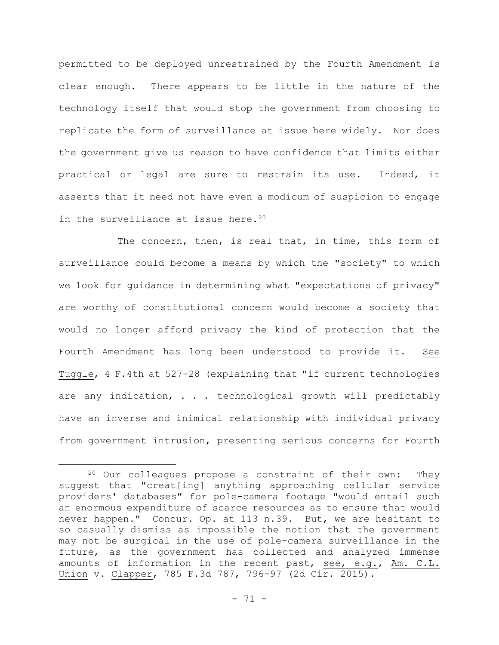permitted to be deployed unrestrained by the Fourth Amendment is clear enough. There appears to be little in the nature of the technology itself that would stop the government from choosing to replicate the form of surveillance at issue here widely. Nor does the government give us reason to have confidence that limits either practical or legal are sure to restrain its use. Indeed, it asserts that it need not have even a modicum of suspicion to engage in the surveillance at issue here.<sup>20</sup>

The concern, then, is real that, in time, this form of surveillance could become a means by which the "society" to which we look for guidance in determining what "expectations of privacy" are worthy of constitutional concern would become a society that would no longer afford privacy the kind of protection that the Fourth Amendment has long been understood to provide it. See Tuggle, 4 F.4th at 527-28 (explaining that "if current technologies are any indication, . . . technological growth will predictably have an inverse and inimical relationship with individual privacy from government intrusion, presenting serious concerns for Fourth

<sup>20</sup> Our colleagues propose a constraint of their own: They suggest that "creat[ing] anything approaching cellular service providers' databases" for pole-camera footage "would entail such an enormous expenditure of scarce resources as to ensure that would never happen." Concur. Op. at 113 n.39. But, we are hesitant to so casually dismiss as impossible the notion that the government may not be surgical in the use of pole-camera surveillance in the future, as the government has collected and analyzed immense amounts of information in the recent past, see, e.g., Am. C.L. Union v. Clapper, 785 F.3d 787, 796-97 (2d Cir. 2015).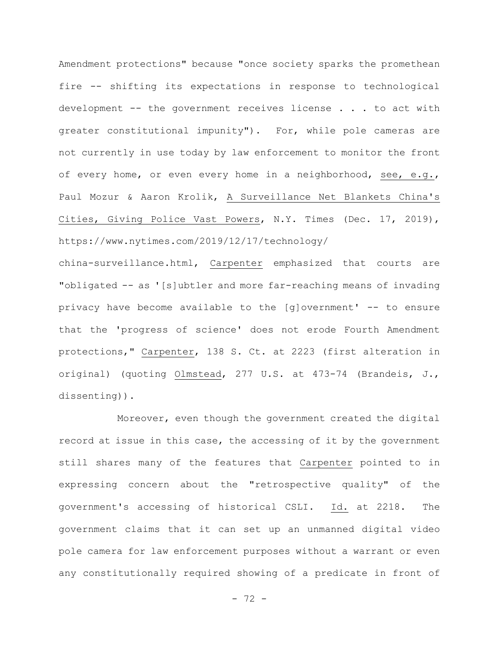Amendment protections" because "once society sparks the promethean fire -- shifting its expectations in response to technological development -- the government receives license . . . to act with greater constitutional impunity"). For, while pole cameras are not currently in use today by law enforcement to monitor the front of every home, or even every home in a neighborhood, see, e.g., Paul Mozur & Aaron Krolik, A Surveillance Net Blankets China's Cities, Giving Police Vast Powers, N.Y. Times (Dec. 17, 2019), https://www.nytimes.com/2019/12/17/technology/

china-surveillance.html, Carpenter emphasized that courts are "obligated -- as '[s]ubtler and more far-reaching means of invading privacy have become available to the [g]overnment' -- to ensure that the 'progress of science' does not erode Fourth Amendment protections," Carpenter, 138 S. Ct. at 2223 (first alteration in original) (quoting Olmstead, 277 U.S. at 473-74 (Brandeis, J., dissenting)).

Moreover, even though the government created the digital record at issue in this case, the accessing of it by the government still shares many of the features that Carpenter pointed to in expressing concern about the "retrospective quality" of the government's accessing of historical CSLI. Id. at 2218. The government claims that it can set up an unmanned digital video pole camera for law enforcement purposes without a warrant or even any constitutionally required showing of a predicate in front of

- 72 -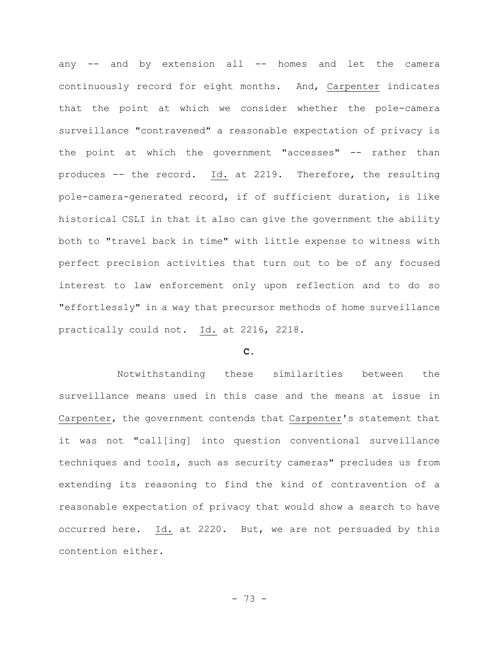any -- and by extension all -- homes and let the camera continuously record for eight months. And, Carpenter indicates that the point at which we consider whether the pole-camera surveillance "contravened" a reasonable expectation of privacy is the point at which the government "accesses" -- rather than produces -- the record. Id. at 2219. Therefore, the resulting pole-camera-generated record, if of sufficient duration, is like historical CSLI in that it also can give the government the ability both to "travel back in time" with little expense to witness with perfect precision activities that turn out to be of any focused interest to law enforcement only upon reflection and to do so "effortlessly" in a way that precursor methods of home surveillance practically could not. Id. at 2216, 2218.

# **C.**

Notwithstanding these similarities between the surveillance means used in this case and the means at issue in Carpenter, the government contends that Carpenter's statement that it was not "call[ing] into question conventional surveillance techniques and tools, such as security cameras" precludes us from extending its reasoning to find the kind of contravention of a reasonable expectation of privacy that would show a search to have occurred here. Id. at 2220. But, we are not persuaded by this contention either.

- 73 -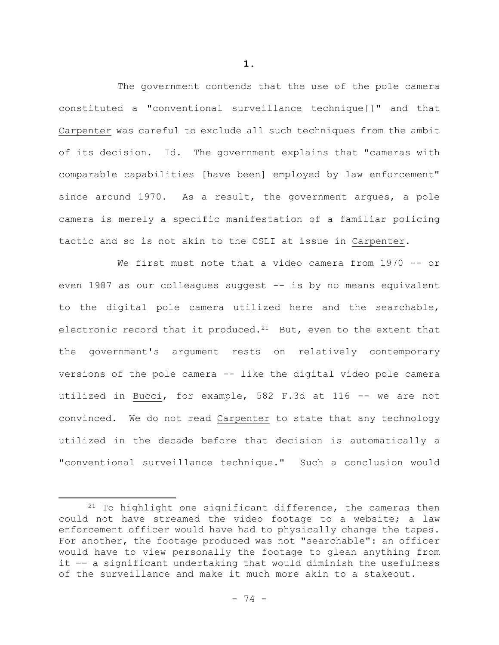The government contends that the use of the pole camera constituted a "conventional surveillance technique[]" and that Carpenter was careful to exclude all such techniques from the ambit of its decision. Id. The government explains that "cameras with comparable capabilities [have been] employed by law enforcement" since around 1970. As a result, the government argues, a pole camera is merely a specific manifestation of a familiar policing tactic and so is not akin to the CSLI at issue in Carpenter.

We first must note that a video camera from 1970 -- or even 1987 as our colleagues suggest -- is by no means equivalent to the digital pole camera utilized here and the searchable, electronic record that it produced.<sup>21</sup> But, even to the extent that the government's argument rests on relatively contemporary versions of the pole camera -- like the digital video pole camera utilized in Bucci, for example, 582 F.3d at 116 -- we are not convinced. We do not read Carpenter to state that any technology utilized in the decade before that decision is automatically a "conventional surveillance technique." Such a conclusion would

 $21$  To highlight one significant difference, the cameras then could not have streamed the video footage to a website; a law enforcement officer would have had to physically change the tapes. For another, the footage produced was not "searchable": an officer would have to view personally the footage to glean anything from it -- a significant undertaking that would diminish the usefulness of the surveillance and make it much more akin to a stakeout.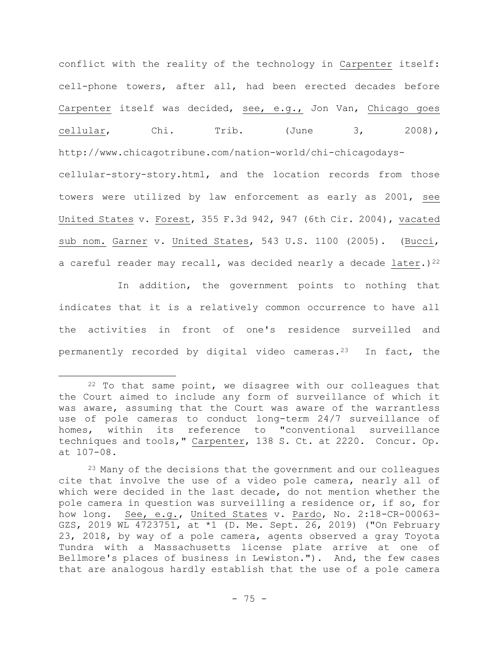conflict with the reality of the technology in Carpenter itself: cell-phone towers, after all, had been erected decades before Carpenter itself was decided, see, e.g., Jon Van, Chicago goes cellular, Chi. Trib. (June 3, 2008), http://www.chicagotribune.com/nation-world/chi-chicagodayscellular-story-story.html, and the location records from those towers were utilized by law enforcement as early as 2001, see United States v. Forest, 355 F.3d 942, 947 (6th Cir. 2004), vacated sub nom. Garner v. United States, 543 U.S. 1100 (2005). (Bucci, a careful reader may recall, was decided nearly a decade later.)<sup>22</sup>

In addition, the government points to nothing that indicates that it is a relatively common occurrence to have all the activities in front of one's residence surveilled and permanently recorded by digital video cameras.23 In fact, the

 $22$  To that same point, we disagree with our colleagues that the Court aimed to include any form of surveillance of which it was aware, assuming that the Court was aware of the warrantless use of pole cameras to conduct long-term 24/7 surveillance of homes, within its reference to "conventional surveillance techniques and tools," Carpenter, 138 S. Ct. at 2220. Concur. Op. at 107-08.

<sup>&</sup>lt;sup>23</sup> Many of the decisions that the government and our colleagues cite that involve the use of a video pole camera, nearly all of which were decided in the last decade, do not mention whether the pole camera in question was surveilling a residence or, if so, for how long. See, e.g., United States v. Pardo, No. 2:18-CR-00063- GZS, 2019 WL 4723751, at \*1 (D. Me. Sept. 26, 2019) ("On February 23, 2018, by way of a pole camera, agents observed a gray Toyota Tundra with a Massachusetts license plate arrive at one of Bellmore's places of business in Lewiston."). And, the few cases that are analogous hardly establish that the use of a pole camera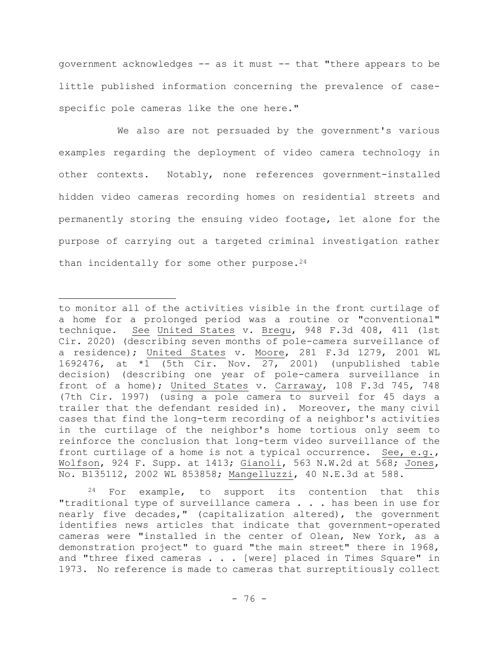government acknowledges -- as it must -- that "there appears to be little published information concerning the prevalence of casespecific pole cameras like the one here."

We also are not persuaded by the government's various examples regarding the deployment of video camera technology in other contexts. Notably, none references government-installed hidden video cameras recording homes on residential streets and permanently storing the ensuing video footage, let alone for the purpose of carrying out a targeted criminal investigation rather than incidentally for some other purpose.  $24$ 

<sup>24</sup> For example, to support its contention that this "traditional type of surveillance camera . . . has been in use for nearly five decades," (capitalization altered), the government identifies news articles that indicate that government-operated cameras were "installed in the center of Olean, New York, as a demonstration project" to guard "the main street" there in 1968, and "three fixed cameras . . . [were] placed in Times Square" in 1973. No reference is made to cameras that surreptitiously collect

to monitor all of the activities visible in the front curtilage of a home for a prolonged period was a routine or "conventional" technique. See United States v. Bregu, 948 F.3d 408, 411 (1st Cir. 2020) (describing seven months of pole-camera surveillance of a residence); United States v. Moore, 281 F.3d 1279, 2001 WL 1692476, at \*1 (5th Cir. Nov. 27, 2001) (unpublished table decision) (describing one year of pole-camera surveillance in front of a home); United States v. Carraway, 108 F.3d 745, 748 (7th Cir. 1997) (using a pole camera to surveil for 45 days a trailer that the defendant resided in). Moreover, the many civil cases that find the long-term recording of a neighbor's activities in the curtilage of the neighbor's home tortious only seem to reinforce the conclusion that long-term video surveillance of the front curtilage of a home is not a typical occurrence. See, e.g., Wolfson, 924 F. Supp. at 1413; Gianoli, 563 N.W.2d at 568; Jones, No. B135112, 2002 WL 853858; Mangelluzzi, 40 N.E.3d at 588.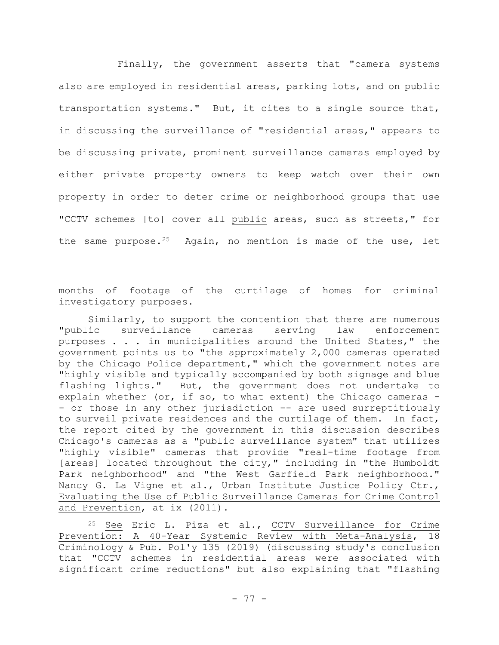Finally, the government asserts that "camera systems also are employed in residential areas, parking lots, and on public transportation systems." But, it cites to a single source that, in discussing the surveillance of "residential areas," appears to be discussing private, prominent surveillance cameras employed by either private property owners to keep watch over their own property in order to deter crime or neighborhood groups that use "CCTV schemes [to] cover all public areas, such as streets," for the same purpose.<sup>25</sup> Again, no mention is made of the use, let

months of footage of the curtilage of homes for criminal investigatory purposes.

Similarly, to support the contention that there are numerous "public surveillance cameras serving law enforcement purposes . . . in municipalities around the United States," the government points us to "the approximately 2,000 cameras operated by the Chicago Police department," which the government notes are "highly visible and typically accompanied by both signage and blue flashing lights." But, the government does not undertake to explain whether (or, if so, to what extent) the Chicago cameras - - or those in any other jurisdiction -- are used surreptitiously to surveil private residences and the curtilage of them. In fact, the report cited by the government in this discussion describes Chicago's cameras as a "public surveillance system" that utilizes "highly visible" cameras that provide "real-time footage from [areas] located throughout the city," including in "the Humboldt Park neighborhood" and "the West Garfield Park neighborhood." Nancy G. La Vigne et al., Urban Institute Justice Policy Ctr., Evaluating the Use of Public Surveillance Cameras for Crime Control and Prevention, at ix (2011).

<sup>25</sup> See Eric L. Piza et al., CCTV Surveillance for Crime Prevention: A 40-Year Systemic Review with Meta-Analysis, 18 Criminology & Pub. Pol'y 135 (2019) (discussing study's conclusion that "CCTV schemes in residential areas were associated with significant crime reductions" but also explaining that "flashing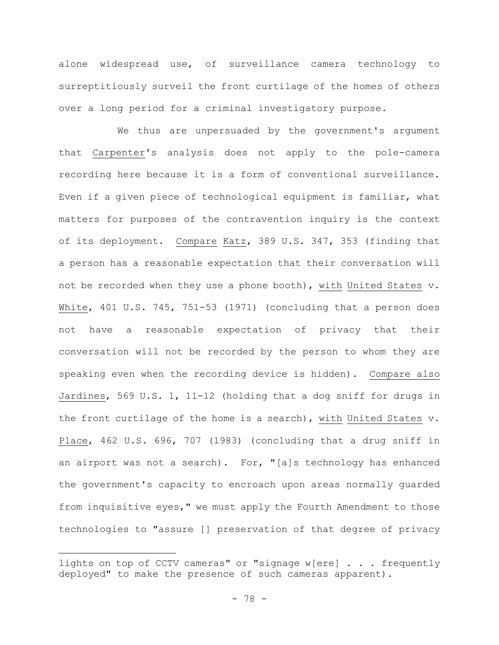alone widespread use, of surveillance camera technology to surreptitiously surveil the front curtilage of the homes of others over a long period for a criminal investigatory purpose.

We thus are unpersuaded by the government's argument that Carpenter's analysis does not apply to the pole-camera recording here because it is a form of conventional surveillance. Even if a given piece of technological equipment is familiar, what matters for purposes of the contravention inquiry is the context of its deployment. Compare Katz, 389 U.S. 347, 353 (finding that a person has a reasonable expectation that their conversation will not be recorded when they use a phone booth), with United States v. White, 401 U.S. 745, 751-53 (1971) (concluding that a person does not have a reasonable expectation of privacy that their conversation will not be recorded by the person to whom they are speaking even when the recording device is hidden). Compare also Jardines, 569 U.S. 1, 11-12 (holding that a dog sniff for drugs in the front curtilage of the home is a search), with United States v. Place, 462 U.S. 696, 707 (1983) (concluding that a drug sniff in an airport was not a search). For, "[a]s technology has enhanced the government's capacity to encroach upon areas normally guarded from inquisitive eyes," we must apply the Fourth Amendment to those technologies to "assure [] preservation of that degree of privacy

lights on top of CCTV cameras" or "signage w[ere] . . . frequently deployed" to make the presence of such cameras apparent).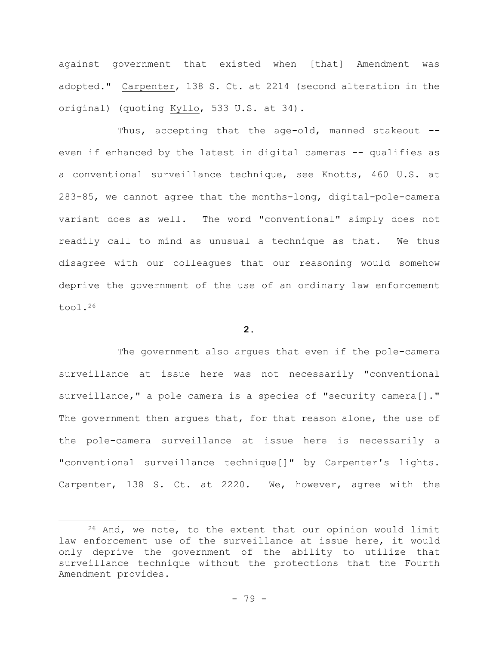against government that existed when [that] Amendment was adopted." Carpenter, 138 S. Ct. at 2214 (second alteration in the original) (quoting Kyllo, 533 U.S. at 34).

Thus, accepting that the age-old, manned stakeout - even if enhanced by the latest in digital cameras -- qualifies as a conventional surveillance technique, see Knotts, 460 U.S. at 283-85, we cannot agree that the months-long, digital-pole-camera variant does as well. The word "conventional" simply does not readily call to mind as unusual a technique as that. We thus disagree with our colleagues that our reasoning would somehow deprive the government of the use of an ordinary law enforcement tool.<sup>26</sup>

# **2.**

The government also argues that even if the pole-camera surveillance at issue here was not necessarily "conventional surveillance," a pole camera is a species of "security camera[]." The government then argues that, for that reason alone, the use of the pole-camera surveillance at issue here is necessarily a "conventional surveillance technique[]" by Carpenter's lights. Carpenter, 138 S. Ct. at 2220. We, however, agree with the

<sup>26</sup> And, we note, to the extent that our opinion would limit law enforcement use of the surveillance at issue here, it would only deprive the government of the ability to utilize that surveillance technique without the protections that the Fourth Amendment provides.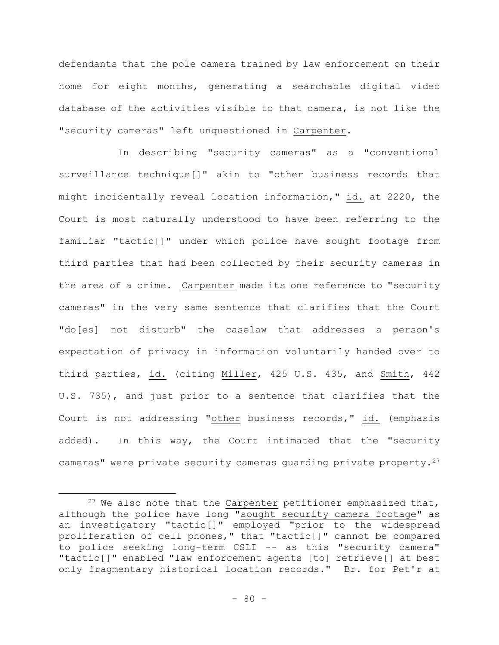defendants that the pole camera trained by law enforcement on their home for eight months, generating a searchable digital video database of the activities visible to that camera, is not like the "security cameras" left unquestioned in Carpenter.

In describing "security cameras" as a "conventional surveillance technique[]" akin to "other business records that might incidentally reveal location information," id. at 2220, the Court is most naturally understood to have been referring to the familiar "tactic[]" under which police have sought footage from third parties that had been collected by their security cameras in the area of a crime. Carpenter made its one reference to "security cameras" in the very same sentence that clarifies that the Court "do[es] not disturb" the caselaw that addresses a person's expectation of privacy in information voluntarily handed over to third parties, id. (citing Miller, 425 U.S. 435, and Smith, 442 U.S. 735), and just prior to a sentence that clarifies that the Court is not addressing "other business records," id. (emphasis added). In this way, the Court intimated that the "security cameras" were private security cameras quarding private property.<sup>27</sup>

 $27$  We also note that the Carpenter petitioner emphasized that, although the police have long "sought security camera footage" as an investigatory "tactic[]" employed "prior to the widespread proliferation of cell phones," that "tactic[]" cannot be compared to police seeking long-term CSLI -- as this "security camera" "tactic[]" enabled "law enforcement agents [to] retrieve[] at best only fragmentary historical location records." Br. for Pet'r at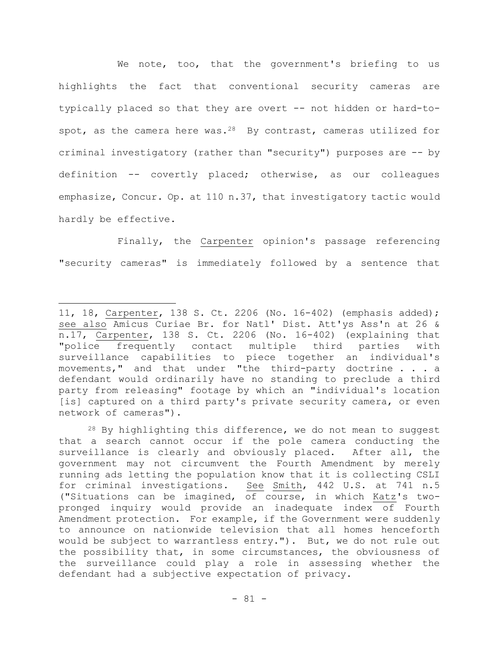We note, too, that the government's briefing to us highlights the fact that conventional security cameras are typically placed so that they are overt -- not hidden or hard-tospot, as the camera here was.<sup>28</sup> By contrast, cameras utilized for criminal investigatory (rather than "security") purposes are -- by definition -- covertly placed; otherwise, as our colleagues emphasize, Concur. Op. at 110 n.37, that investigatory tactic would hardly be effective.

Finally, the Carpenter opinion's passage referencing "security cameras" is immediately followed by a sentence that

 $28$  By highlighting this difference, we do not mean to suggest that a search cannot occur if the pole camera conducting the surveillance is clearly and obviously placed. After all, the government may not circumvent the Fourth Amendment by merely running ads letting the population know that it is collecting CSLI for criminal investigations. See Smith, 442 U.S. at 741 n.5 ("Situations can be imagined, of course, in which Katz's twopronged inquiry would provide an inadequate index of Fourth Amendment protection. For example, if the Government were suddenly to announce on nationwide television that all homes henceforth would be subject to warrantless entry."). But, we do not rule out the possibility that, in some circumstances, the obviousness of the surveillance could play a role in assessing whether the defendant had a subjective expectation of privacy.

<sup>11, 18,</sup> Carpenter, 138 S. Ct. 2206 (No. 16-402) (emphasis added); see also Amicus Curiae Br. for Natl' Dist. Att'ys Ass'n at 26 & n.17, Carpenter, 138 S. Ct. 2206 (No. 16-402) (explaining that "police frequently contact multiple third parties with surveillance capabilities to piece together an individual's movements," and that under "the third-party doctrine . . . a defendant would ordinarily have no standing to preclude a third party from releasing" footage by which an "individual's location [is] captured on a third party's private security camera, or even network of cameras").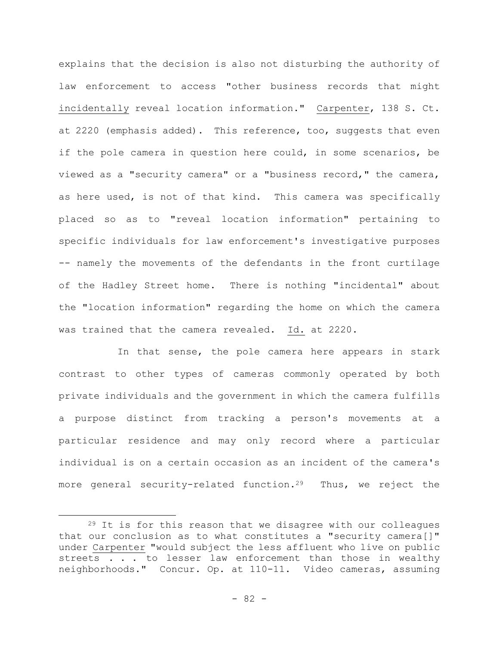explains that the decision is also not disturbing the authority of law enforcement to access "other business records that might incidentally reveal location information." Carpenter, 138 S. Ct. at 2220 (emphasis added). This reference, too, suggests that even if the pole camera in question here could, in some scenarios, be viewed as a "security camera" or a "business record," the camera, as here used, is not of that kind. This camera was specifically placed so as to "reveal location information" pertaining to specific individuals for law enforcement's investigative purposes -- namely the movements of the defendants in the front curtilage of the Hadley Street home. There is nothing "incidental" about the "location information" regarding the home on which the camera was trained that the camera revealed. Id. at 2220.

In that sense, the pole camera here appears in stark contrast to other types of cameras commonly operated by both private individuals and the government in which the camera fulfills a purpose distinct from tracking a person's movements at a particular residence and may only record where a particular individual is on a certain occasion as an incident of the camera's more general security-related function.<sup>29</sup> Thus, we reject the

<sup>&</sup>lt;sup>29</sup> It is for this reason that we disagree with our colleagues that our conclusion as to what constitutes a "security camera[]" under Carpenter "would subject the less affluent who live on public streets . . . to lesser law enforcement than those in wealthy neighborhoods." Concur. Op. at 110-11. Video cameras, assuming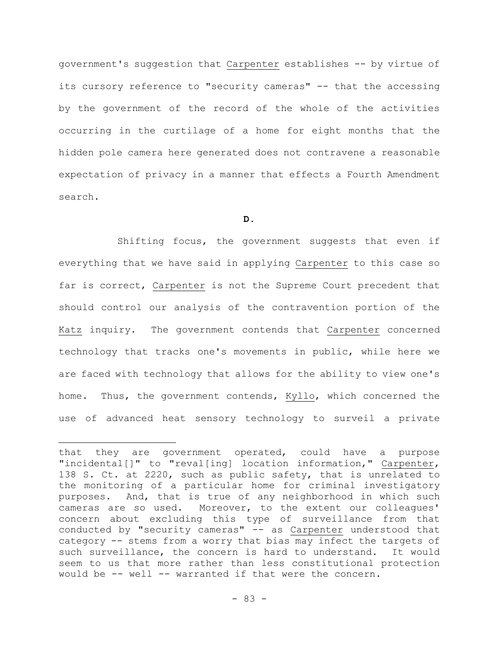government's suggestion that Carpenter establishes -- by virtue of its cursory reference to "security cameras" -- that the accessing by the government of the record of the whole of the activities occurring in the curtilage of a home for eight months that the hidden pole camera here generated does not contravene a reasonable expectation of privacy in a manner that effects a Fourth Amendment search.

### **D.**

Shifting focus, the government suggests that even if everything that we have said in applying Carpenter to this case so far is correct, Carpenter is not the Supreme Court precedent that should control our analysis of the contravention portion of the Katz inquiry. The government contends that Carpenter concerned technology that tracks one's movements in public, while here we are faced with technology that allows for the ability to view one's home. Thus, the government contends, Kyllo, which concerned the use of advanced heat sensory technology to surveil a private

that they are government operated, could have a purpose "incidental[]" to "reval[ing] location information," Carpenter, 138 S. Ct. at 2220, such as public safety, that is unrelated to the monitoring of a particular home for criminal investigatory purposes. And, that is true of any neighborhood in which such cameras are so used. Moreover, to the extent our colleagues' concern about excluding this type of surveillance from that conducted by "security cameras" -- as Carpenter understood that category -- stems from a worry that bias may infect the targets of such surveillance, the concern is hard to understand. It would seem to us that more rather than less constitutional protection would be -- well -- warranted if that were the concern.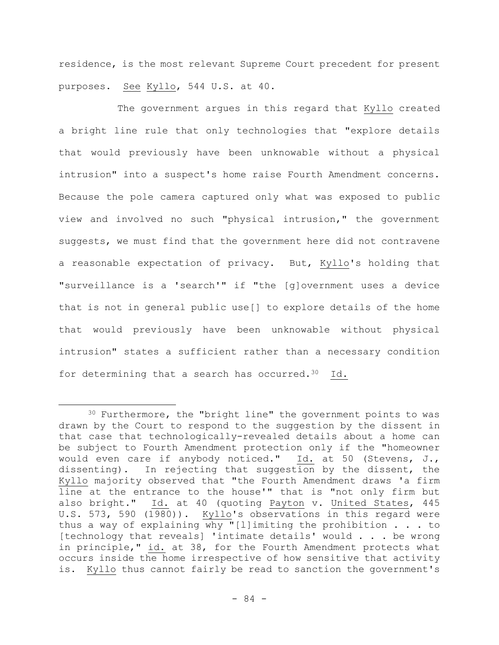residence, is the most relevant Supreme Court precedent for present purposes. See Kyllo, 544 U.S. at 40.

The government argues in this regard that Kyllo created a bright line rule that only technologies that "explore details that would previously have been unknowable without a physical intrusion" into a suspect's home raise Fourth Amendment concerns. Because the pole camera captured only what was exposed to public view and involved no such "physical intrusion," the government suggests, we must find that the government here did not contravene a reasonable expectation of privacy. But, Kyllo's holding that "surveillance is a 'search'" if "the [g]overnment uses a device that is not in general public use[] to explore details of the home that would previously have been unknowable without physical intrusion" states a sufficient rather than a necessary condition for determining that a search has occurred.<sup>30</sup> Id.

<sup>30</sup> Furthermore, the "bright line" the government points to was drawn by the Court to respond to the suggestion by the dissent in that case that technologically-revealed details about a home can be subject to Fourth Amendment protection only if the "homeowner would even care if anybody noticed." Id. at 50 (Stevens, J., dissenting). In rejecting that suggestion by the dissent, the Kyllo majority observed that "the Fourth Amendment draws 'a firm line at the entrance to the house'" that is "not only firm but also bright." Id. at 40 (quoting Payton v. United States, 445 U.S. 573, 590 (1980)). Kyllo's observations in this regard were thus a way of explaining why "[l]imiting the prohibition . . . to [technology that reveals] 'intimate details' would . . . be wrong in principle," id. at 38, for the Fourth Amendment protects what occurs inside the home irrespective of how sensitive that activity is. Kyllo thus cannot fairly be read to sanction the government's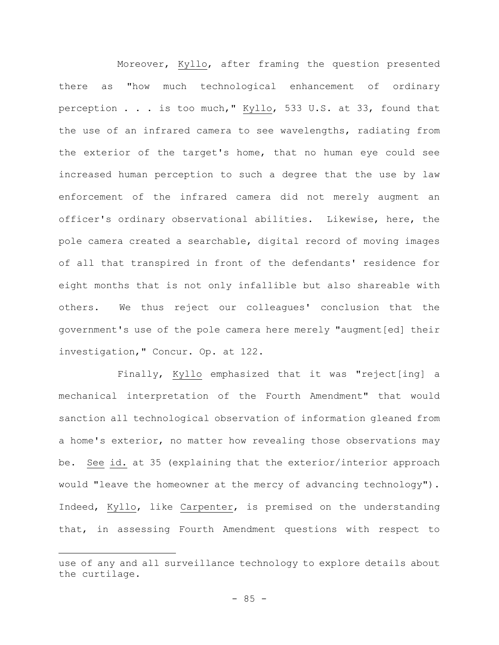Moreover, Kyllo, after framing the question presented there as "how much technological enhancement of ordinary perception . . . is too much," Kyllo, 533 U.S. at 33, found that the use of an infrared camera to see wavelengths, radiating from the exterior of the target's home, that no human eye could see increased human perception to such a degree that the use by law enforcement of the infrared camera did not merely augment an officer's ordinary observational abilities. Likewise, here, the pole camera created a searchable, digital record of moving images of all that transpired in front of the defendants' residence for eight months that is not only infallible but also shareable with others. We thus reject our colleagues' conclusion that the government's use of the pole camera here merely "augment[ed] their investigation," Concur. Op. at 122.

Finally, Kyllo emphasized that it was "reject[ing] a mechanical interpretation of the Fourth Amendment" that would sanction all technological observation of information gleaned from a home's exterior, no matter how revealing those observations may be. See id. at 35 (explaining that the exterior/interior approach would "leave the homeowner at the mercy of advancing technology"). Indeed, Kyllo, like Carpenter, is premised on the understanding that, in assessing Fourth Amendment questions with respect to

use of any and all surveillance technology to explore details about the curtilage.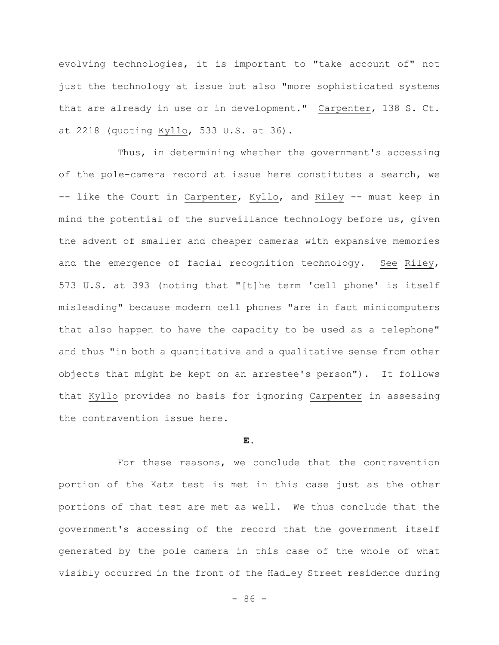evolving technologies, it is important to "take account of" not just the technology at issue but also "more sophisticated systems that are already in use or in development." Carpenter, 138 S. Ct. at 2218 (quoting Kyllo, 533 U.S. at 36).

Thus, in determining whether the government's accessing of the pole-camera record at issue here constitutes a search, we -- like the Court in Carpenter, Kyllo, and Riley -- must keep in mind the potential of the surveillance technology before us, given the advent of smaller and cheaper cameras with expansive memories and the emergence of facial recognition technology. See Riley, 573 U.S. at 393 (noting that "[t]he term 'cell phone' is itself misleading" because modern cell phones "are in fact minicomputers that also happen to have the capacity to be used as a telephone" and thus "in both a quantitative and a qualitative sense from other objects that might be kept on an arrestee's person"). It follows that Kyllo provides no basis for ignoring Carpenter in assessing the contravention issue here.

# **E.**

For these reasons, we conclude that the contravention portion of the Katz test is met in this case just as the other portions of that test are met as well. We thus conclude that the government's accessing of the record that the government itself generated by the pole camera in this case of the whole of what visibly occurred in the front of the Hadley Street residence during

- 86 -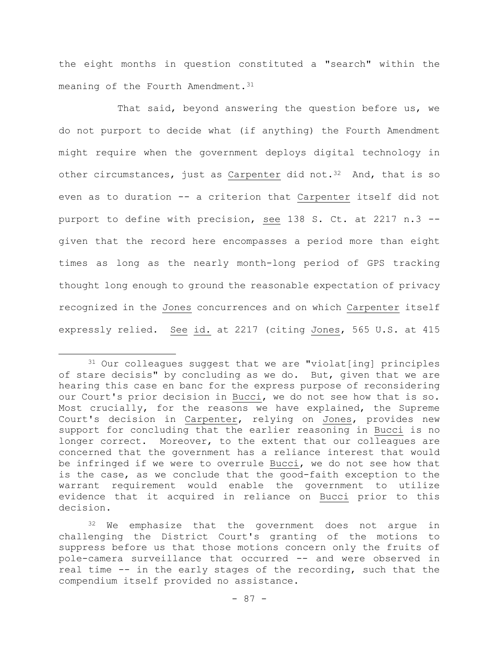the eight months in question constituted a "search" within the meaning of the Fourth Amendment.<sup>31</sup>

That said, beyond answering the question before us, we do not purport to decide what (if anything) the Fourth Amendment might require when the government deploys digital technology in other circumstances, just as Carpenter did not.<sup>32</sup> And, that is so even as to duration -- a criterion that Carpenter itself did not purport to define with precision, see 138 S. Ct. at 2217 n.3 - given that the record here encompasses a period more than eight times as long as the nearly month-long period of GPS tracking thought long enough to ground the reasonable expectation of privacy recognized in the Jones concurrences and on which Carpenter itself expressly relied. See id. at 2217 (citing Jones, 565 U.S. at 415

<sup>31</sup> Our colleagues suggest that we are "violat[ing] principles of stare decisis" by concluding as we do. But, given that we are hearing this case en banc for the express purpose of reconsidering our Court's prior decision in Bucci, we do not see how that is so. Most crucially, for the reasons we have explained, the Supreme Court's decision in Carpenter, relying on Jones, provides new support for concluding that the earlier reasoning in Bucci is no longer correct. Moreover, to the extent that our colleagues are concerned that the government has a reliance interest that would be infringed if we were to overrule Bucci, we do not see how that is the case, as we conclude that the good-faith exception to the warrant requirement would enable the government to utilize evidence that it acquired in reliance on Bucci prior to this decision.

<sup>32</sup> We emphasize that the government does not argue in challenging the District Court's granting of the motions to suppress before us that those motions concern only the fruits of pole-camera surveillance that occurred -- and were observed in real time -- in the early stages of the recording, such that the compendium itself provided no assistance.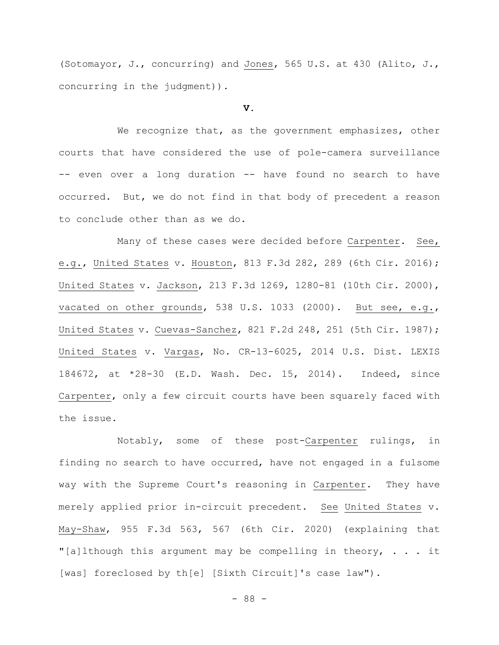(Sotomayor, J., concurring) and Jones, 565 U.S. at 430 (Alito, J., concurring in the judgment)).

# **V.**

We recognize that, as the government emphasizes, other courts that have considered the use of pole-camera surveillance -- even over a long duration -- have found no search to have occurred. But, we do not find in that body of precedent a reason to conclude other than as we do.

Many of these cases were decided before Carpenter. See, e.g., United States v. Houston, 813 F.3d 282, 289 (6th Cir. 2016); United States v. Jackson, 213 F.3d 1269, 1280-81 (10th Cir. 2000), vacated on other grounds, 538 U.S. 1033 (2000). But see, e.g., United States v. Cuevas-Sanchez, 821 F.2d 248, 251 (5th Cir. 1987); United States v. Vargas, No. CR-13-6025, 2014 U.S. Dist. LEXIS 184672, at \*28-30 (E.D. Wash. Dec. 15, 2014). Indeed, since Carpenter, only a few circuit courts have been squarely faced with the issue.

Notably, some of these post-Carpenter rulings, in finding no search to have occurred, have not engaged in a fulsome way with the Supreme Court's reasoning in Carpenter. They have merely applied prior in-circuit precedent. See United States v. May-Shaw, 955 F.3d 563, 567 (6th Cir. 2020) (explaining that "[a]lthough this argument may be compelling in theory,  $\ldots$  it [was] foreclosed by th[e] [Sixth Circuit]'s case law").

- 88 -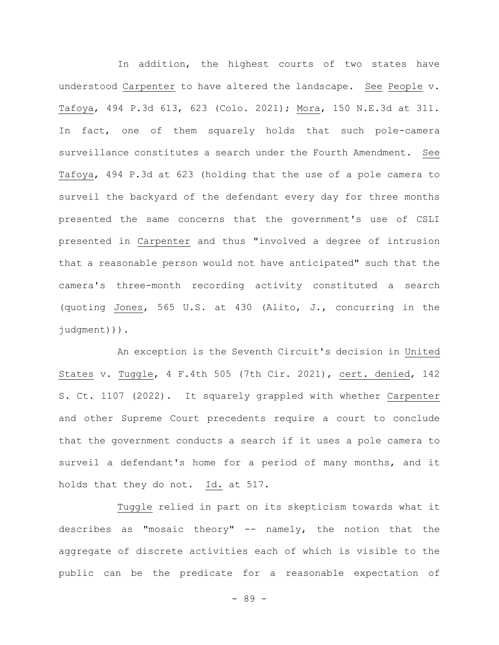In addition, the highest courts of two states have understood Carpenter to have altered the landscape. See People v. Tafoya, 494 P.3d 613, 623 (Colo. 2021); Mora, 150 N.E.3d at 311. In fact, one of them squarely holds that such pole-camera surveillance constitutes a search under the Fourth Amendment. See Tafoya, 494 P.3d at 623 (holding that the use of a pole camera to surveil the backyard of the defendant every day for three months presented the same concerns that the government's use of CSLI presented in Carpenter and thus "involved a degree of intrusion that a reasonable person would not have anticipated" such that the camera's three-month recording activity constituted a search (quoting Jones, 565 U.S. at 430 (Alito, J., concurring in the judgment))).

An exception is the Seventh Circuit's decision in United States v. Tuggle, 4 F.4th 505 (7th Cir. 2021), cert. denied, 142 S. Ct. 1107 (2022). It squarely grappled with whether Carpenter and other Supreme Court precedents require a court to conclude that the government conducts a search if it uses a pole camera to surveil a defendant's home for a period of many months, and it holds that they do not. Id. at 517.

Tuggle relied in part on its skepticism towards what it describes as "mosaic theory" -- namely, the notion that the aggregate of discrete activities each of which is visible to the public can be the predicate for a reasonable expectation of

- 89 -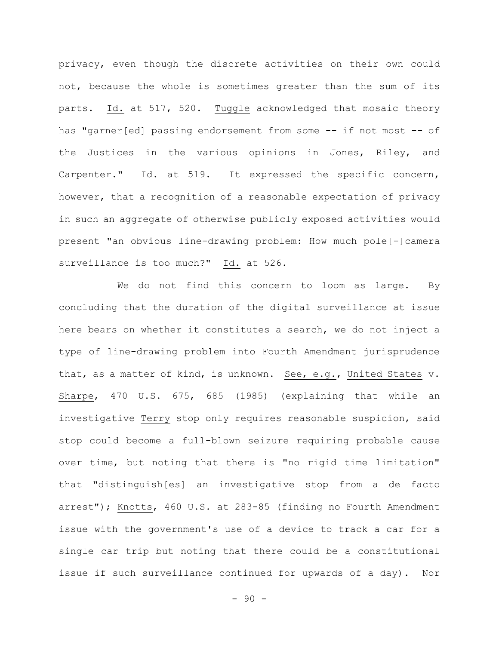privacy, even though the discrete activities on their own could not, because the whole is sometimes greater than the sum of its parts. Id. at 517, 520. Tuggle acknowledged that mosaic theory has "garner[ed] passing endorsement from some -- if not most -- of the Justices in the various opinions in Jones, Riley, and Carpenter." Id. at 519. It expressed the specific concern, however, that a recognition of a reasonable expectation of privacy in such an aggregate of otherwise publicly exposed activities would present "an obvious line-drawing problem: How much pole[-]camera surveillance is too much?" Id. at 526.

We do not find this concern to loom as large. By concluding that the duration of the digital surveillance at issue here bears on whether it constitutes a search, we do not inject a type of line-drawing problem into Fourth Amendment jurisprudence that, as a matter of kind, is unknown. See, e.g., United States v. Sharpe, 470 U.S. 675, 685 (1985) (explaining that while an investigative Terry stop only requires reasonable suspicion, said stop could become a full-blown seizure requiring probable cause over time, but noting that there is "no rigid time limitation" that "distinguish[es] an investigative stop from a de facto arrest"); Knotts, 460 U.S. at 283-85 (finding no Fourth Amendment issue with the government's use of a device to track a car for a single car trip but noting that there could be a constitutional issue if such surveillance continued for upwards of a day). Nor

 $-90 -$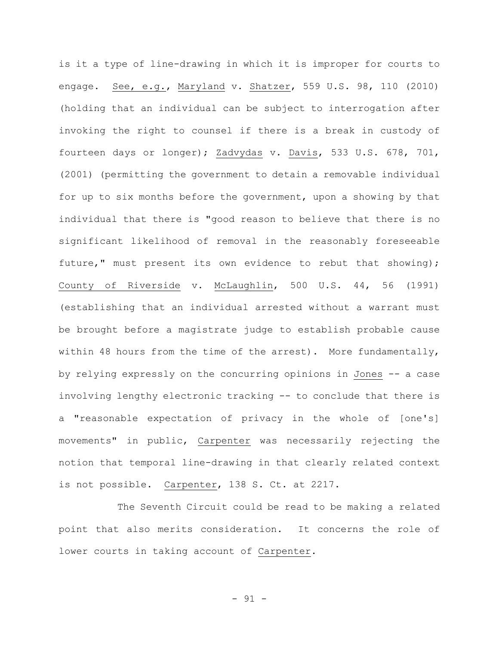is it a type of line-drawing in which it is improper for courts to engage. See, e.g., Maryland v. Shatzer, 559 U.S. 98, 110 (2010) (holding that an individual can be subject to interrogation after invoking the right to counsel if there is a break in custody of fourteen days or longer); Zadvydas v. Davis, 533 U.S. 678, 701, (2001) (permitting the government to detain a removable individual for up to six months before the government, upon a showing by that individual that there is "good reason to believe that there is no significant likelihood of removal in the reasonably foreseeable future," must present its own evidence to rebut that showing); County of Riverside v. McLaughlin, 500 U.S. 44, 56 (1991) (establishing that an individual arrested without a warrant must be brought before a magistrate judge to establish probable cause within 48 hours from the time of the arrest). More fundamentally, by relying expressly on the concurring opinions in Jones -- a case involving lengthy electronic tracking -- to conclude that there is a "reasonable expectation of privacy in the whole of [one's] movements" in public, Carpenter was necessarily rejecting the notion that temporal line-drawing in that clearly related context is not possible. Carpenter, 138 S. Ct. at 2217.

The Seventh Circuit could be read to be making a related point that also merits consideration. It concerns the role of lower courts in taking account of Carpenter.

- 91 -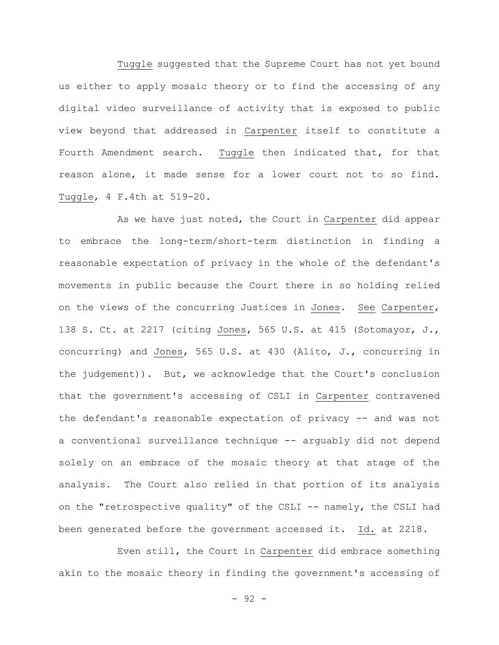Tuggle suggested that the Supreme Court has not yet bound us either to apply mosaic theory or to find the accessing of any digital video surveillance of activity that is exposed to public view beyond that addressed in Carpenter itself to constitute a Fourth Amendment search. Tuggle then indicated that, for that reason alone, it made sense for a lower court not to so find. Tuggle, 4 F.4th at 519-20.

As we have just noted, the Court in Carpenter did appear to embrace the long-term/short-term distinction in finding a reasonable expectation of privacy in the whole of the defendant's movements in public because the Court there in so holding relied on the views of the concurring Justices in Jones. See Carpenter, 138 S. Ct. at 2217 (citing Jones, 565 U.S. at 415 (Sotomayor, J., concurring) and Jones, 565 U.S. at 430 (Alito, J., concurring in the judgement)). But, we acknowledge that the Court's conclusion that the government's accessing of CSLI in Carpenter contravened the defendant's reasonable expectation of privacy -- and was not a conventional surveillance technique -- arguably did not depend solely on an embrace of the mosaic theory at that stage of the analysis. The Court also relied in that portion of its analysis on the "retrospective quality" of the CSLI -- namely, the CSLI had been generated before the government accessed it. Id. at 2218.

Even still, the Court in Carpenter did embrace something akin to the mosaic theory in finding the government's accessing of

- 92 -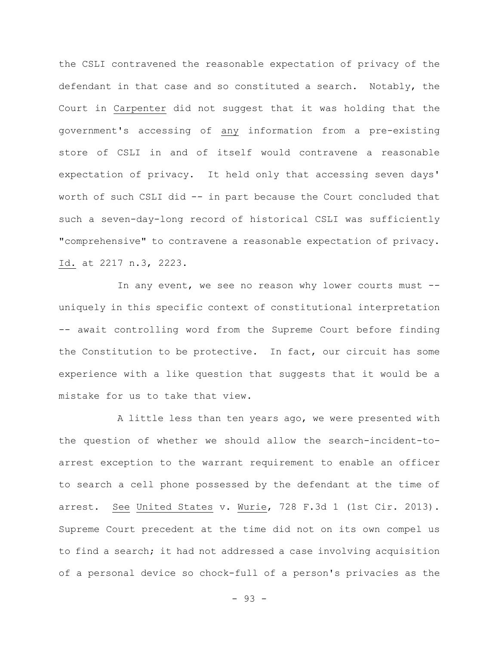the CSLI contravened the reasonable expectation of privacy of the defendant in that case and so constituted a search. Notably, the Court in Carpenter did not suggest that it was holding that the government's accessing of any information from a pre-existing store of CSLI in and of itself would contravene a reasonable expectation of privacy. It held only that accessing seven days' worth of such CSLI did -- in part because the Court concluded that such a seven-day-long record of historical CSLI was sufficiently "comprehensive" to contravene a reasonable expectation of privacy. Id. at 2217 n.3, 2223.

In any event, we see no reason why lower courts must - uniquely in this specific context of constitutional interpretation -- await controlling word from the Supreme Court before finding the Constitution to be protective. In fact, our circuit has some experience with a like question that suggests that it would be a mistake for us to take that view.

A little less than ten years ago, we were presented with the question of whether we should allow the search-incident-toarrest exception to the warrant requirement to enable an officer to search a cell phone possessed by the defendant at the time of arrest. See United States v. Wurie, 728 F.3d 1 (1st Cir. 2013). Supreme Court precedent at the time did not on its own compel us to find a search; it had not addressed a case involving acquisition of a personal device so chock-full of a person's privacies as the

- 93 -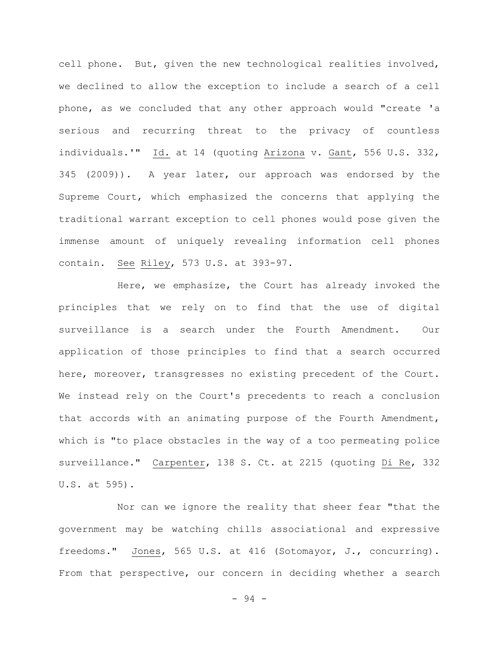cell phone. But, given the new technological realities involved, we declined to allow the exception to include a search of a cell phone, as we concluded that any other approach would "create 'a serious and recurring threat to the privacy of countless individuals.'" Id. at 14 (quoting Arizona v. Gant, 556 U.S. 332, 345 (2009)). A year later, our approach was endorsed by the Supreme Court, which emphasized the concerns that applying the traditional warrant exception to cell phones would pose given the immense amount of uniquely revealing information cell phones contain. See Riley, 573 U.S. at 393-97.

Here, we emphasize, the Court has already invoked the principles that we rely on to find that the use of digital surveillance is a search under the Fourth Amendment. Our application of those principles to find that a search occurred here, moreover, transgresses no existing precedent of the Court. We instead rely on the Court's precedents to reach a conclusion that accords with an animating purpose of the Fourth Amendment, which is "to place obstacles in the way of a too permeating police surveillance." Carpenter, 138 S. Ct. at 2215 (quoting Di Re, 332 U.S. at 595).

Nor can we ignore the reality that sheer fear "that the government may be watching chills associational and expressive freedoms." Jones, 565 U.S. at 416 (Sotomayor, J., concurring). From that perspective, our concern in deciding whether a search

 $-94 -$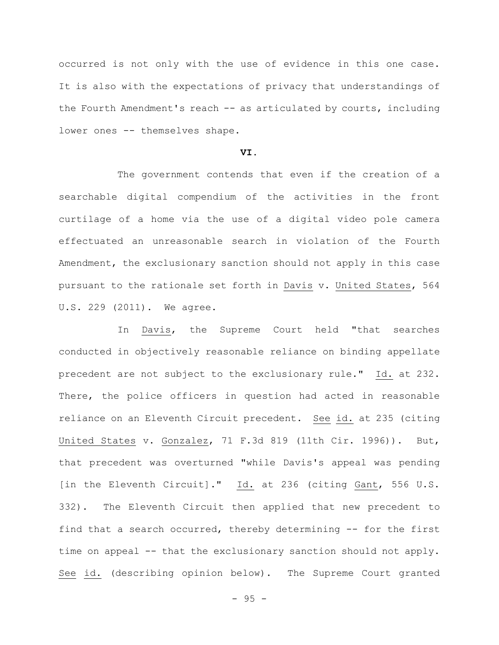occurred is not only with the use of evidence in this one case. It is also with the expectations of privacy that understandings of the Fourth Amendment's reach -- as articulated by courts, including lower ones -- themselves shape.

### **VI.**

The government contends that even if the creation of a searchable digital compendium of the activities in the front curtilage of a home via the use of a digital video pole camera effectuated an unreasonable search in violation of the Fourth Amendment, the exclusionary sanction should not apply in this case pursuant to the rationale set forth in Davis v. United States, 564 U.S. 229 (2011). We agree.

In Davis, the Supreme Court held "that searches conducted in objectively reasonable reliance on binding appellate precedent are not subject to the exclusionary rule." Id. at 232. There, the police officers in question had acted in reasonable reliance on an Eleventh Circuit precedent. See id. at 235 (citing United States v. Gonzalez, 71 F.3d 819 (11th Cir. 1996)). But, that precedent was overturned "while Davis's appeal was pending [in the Eleventh Circuit]." Id. at 236 (citing Gant, 556 U.S. 332). The Eleventh Circuit then applied that new precedent to find that a search occurred, thereby determining -- for the first time on appeal -- that the exclusionary sanction should not apply. See id. (describing opinion below). The Supreme Court granted

 $-95 -$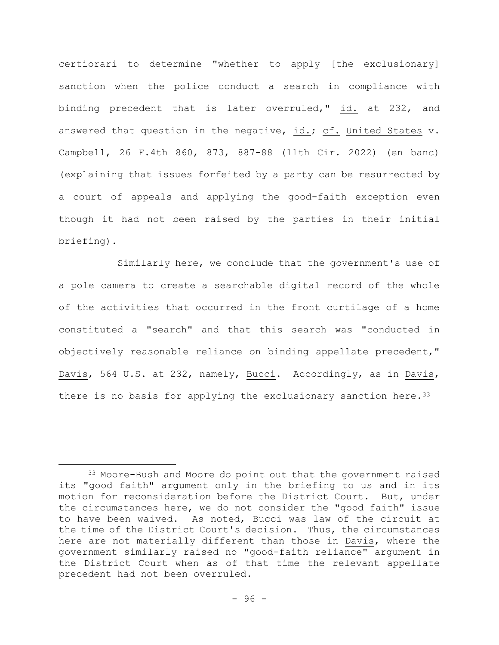certiorari to determine "whether to apply [the exclusionary] sanction when the police conduct a search in compliance with binding precedent that is later overruled," id. at 232, and answered that question in the negative, id.; cf. United States v. Campbell, 26 F.4th 860, 873, 887-88 (11th Cir. 2022) (en banc) (explaining that issues forfeited by a party can be resurrected by a court of appeals and applying the good-faith exception even though it had not been raised by the parties in their initial briefing).

Similarly here, we conclude that the government's use of a pole camera to create a searchable digital record of the whole of the activities that occurred in the front curtilage of a home constituted a "search" and that this search was "conducted in objectively reasonable reliance on binding appellate precedent," Davis, 564 U.S. at 232, namely, Bucci. Accordingly, as in Davis, there is no basis for applying the exclusionary sanction here.  $33$ 

<sup>33</sup> Moore-Bush and Moore do point out that the government raised its "good faith" argument only in the briefing to us and in its motion for reconsideration before the District Court. But, under the circumstances here, we do not consider the "good faith" issue to have been waived. As noted, Bucci was law of the circuit at the time of the District Court's decision. Thus, the circumstances here are not materially different than those in Davis, where the government similarly raised no "good-faith reliance" argument in the District Court when as of that time the relevant appellate precedent had not been overruled.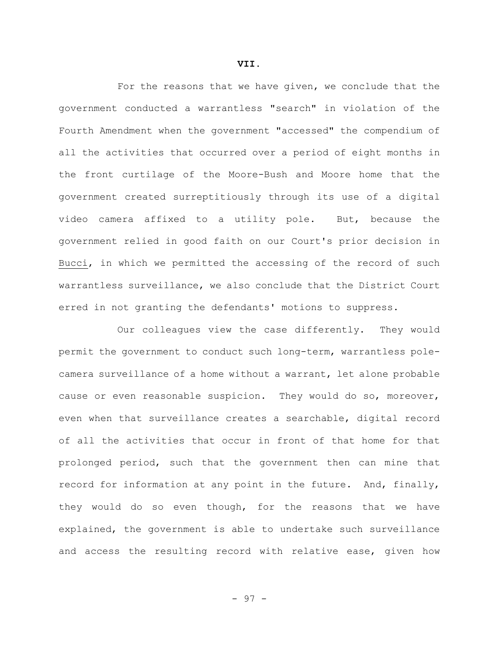For the reasons that we have given, we conclude that the government conducted a warrantless "search" in violation of the Fourth Amendment when the government "accessed" the compendium of all the activities that occurred over a period of eight months in the front curtilage of the Moore-Bush and Moore home that the government created surreptitiously through its use of a digital video camera affixed to a utility pole. But, because the government relied in good faith on our Court's prior decision in Bucci, in which we permitted the accessing of the record of such warrantless surveillance, we also conclude that the District Court erred in not granting the defendants' motions to suppress.

Our colleagues view the case differently. They would permit the government to conduct such long-term, warrantless polecamera surveillance of a home without a warrant, let alone probable cause or even reasonable suspicion. They would do so, moreover, even when that surveillance creates a searchable, digital record of all the activities that occur in front of that home for that prolonged period, such that the government then can mine that record for information at any point in the future. And, finally, they would do so even though, for the reasons that we have explained, the government is able to undertake such surveillance and access the resulting record with relative ease, given how

**VII.**

- 97 -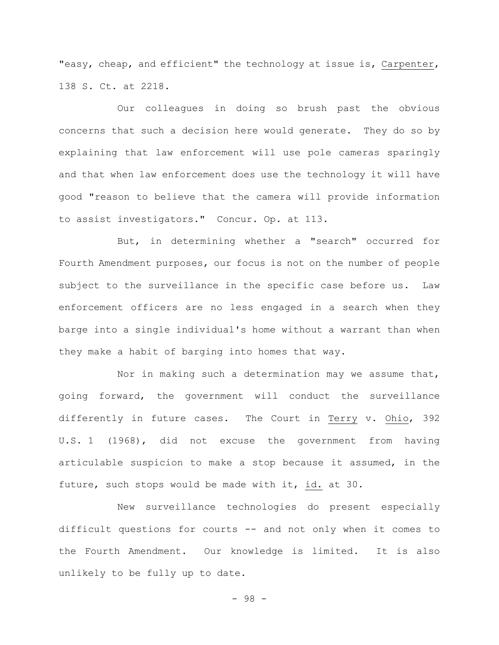"easy, cheap, and efficient" the technology at issue is, Carpenter, 138 S. Ct. at 2218.

Our colleagues in doing so brush past the obvious concerns that such a decision here would generate. They do so by explaining that law enforcement will use pole cameras sparingly and that when law enforcement does use the technology it will have good "reason to believe that the camera will provide information to assist investigators." Concur. Op. at 113.

But, in determining whether a "search" occurred for Fourth Amendment purposes, our focus is not on the number of people subject to the surveillance in the specific case before us. Law enforcement officers are no less engaged in a search when they barge into a single individual's home without a warrant than when they make a habit of barging into homes that way.

Nor in making such a determination may we assume that, going forward, the government will conduct the surveillance differently in future cases. The Court in Terry v. Ohio, 392 U.S. 1 (1968), did not excuse the government from having articulable suspicion to make a stop because it assumed, in the future, such stops would be made with it, id. at 30.

New surveillance technologies do present especially difficult questions for courts -- and not only when it comes to the Fourth Amendment. Our knowledge is limited. It is also unlikely to be fully up to date.

- 98 -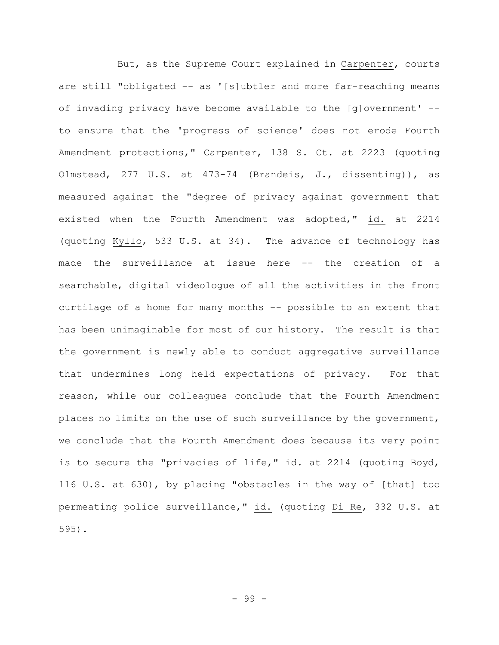But, as the Supreme Court explained in Carpenter, courts are still "obligated -- as '[s]ubtler and more far-reaching means of invading privacy have become available to the [g]overnment' - to ensure that the 'progress of science' does not erode Fourth Amendment protections," Carpenter, 138 S. Ct. at 2223 (quoting Olmstead, 277 U.S. at 473-74 (Brandeis, J., dissenting)), as measured against the "degree of privacy against government that existed when the Fourth Amendment was adopted," id. at 2214 (quoting Kyllo, 533 U.S. at 34). The advance of technology has made the surveillance at issue here -- the creation of a searchable, digital videologue of all the activities in the front curtilage of a home for many months -- possible to an extent that has been unimaginable for most of our history. The result is that the government is newly able to conduct aggregative surveillance that undermines long held expectations of privacy. For that reason, while our colleagues conclude that the Fourth Amendment places no limits on the use of such surveillance by the government, we conclude that the Fourth Amendment does because its very point is to secure the "privacies of life," id. at 2214 (quoting Boyd, 116 U.S. at 630), by placing "obstacles in the way of [that] too permeating police surveillance," id. (quoting Di Re, 332 U.S. at 595).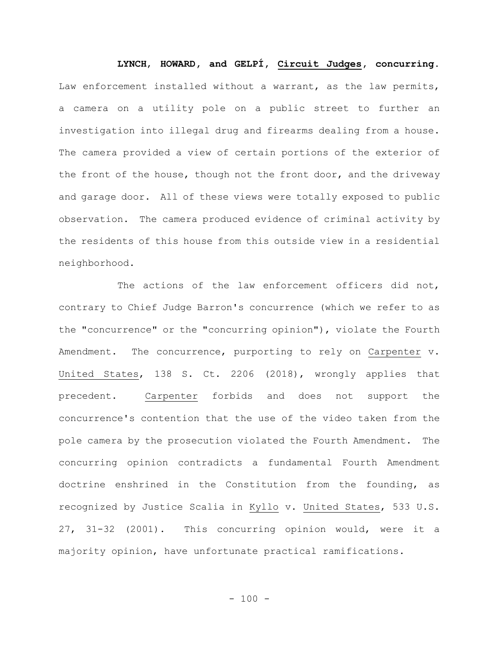**LYNCH**, **HOWARD, and GELPÍ, Circuit Judges, concurring.** Law enforcement installed without a warrant, as the law permits, a camera on a utility pole on a public street to further an investigation into illegal drug and firearms dealing from a house. The camera provided a view of certain portions of the exterior of the front of the house, though not the front door, and the driveway and garage door. All of these views were totally exposed to public observation. The camera produced evidence of criminal activity by the residents of this house from this outside view in a residential neighborhood.

The actions of the law enforcement officers did not, contrary to Chief Judge Barron's concurrence (which we refer to as the "concurrence" or the "concurring opinion"), violate the Fourth Amendment. The concurrence, purporting to rely on Carpenter v. United States, 138 S. Ct. 2206 (2018), wrongly applies that precedent. Carpenter forbids and does not support the concurrence's contention that the use of the video taken from the pole camera by the prosecution violated the Fourth Amendment. The concurring opinion contradicts a fundamental Fourth Amendment doctrine enshrined in the Constitution from the founding, as recognized by Justice Scalia in Kyllo v. United States, 533 U.S. 27, 31-32 (2001). This concurring opinion would, were it a majority opinion, have unfortunate practical ramifications.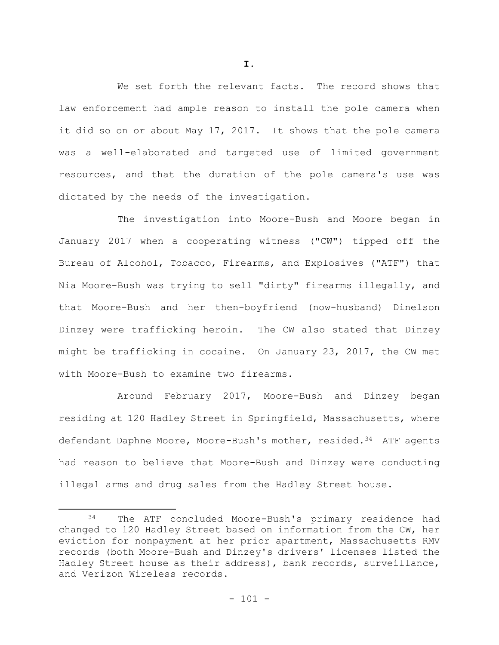We set forth the relevant facts. The record shows that law enforcement had ample reason to install the pole camera when it did so on or about May 17, 2017. It shows that the pole camera was a well-elaborated and targeted use of limited government resources, and that the duration of the pole camera's use was dictated by the needs of the investigation.

The investigation into Moore-Bush and Moore began in January 2017 when a cooperating witness ("CW") tipped off the Bureau of Alcohol, Tobacco, Firearms, and Explosives ("ATF") that Nia Moore-Bush was trying to sell "dirty" firearms illegally, and that Moore-Bush and her then-boyfriend (now-husband) Dinelson Dinzey were trafficking heroin. The CW also stated that Dinzey might be trafficking in cocaine. On January 23, 2017, the CW met with Moore-Bush to examine two firearms.

Around February 2017, Moore-Bush and Dinzey began residing at 120 Hadley Street in Springfield, Massachusetts, where defendant Daphne Moore, Moore-Bush's mother, resided.<sup>34</sup> ATF agents had reason to believe that Moore-Bush and Dinzey were conducting illegal arms and drug sales from the Hadley Street house.

**I.**

<sup>34</sup> The ATF concluded Moore-Bush's primary residence had changed to 120 Hadley Street based on information from the CW, her eviction for nonpayment at her prior apartment, Massachusetts RMV records (both Moore-Bush and Dinzey's drivers' licenses listed the Hadley Street house as their address), bank records, surveillance, and Verizon Wireless records.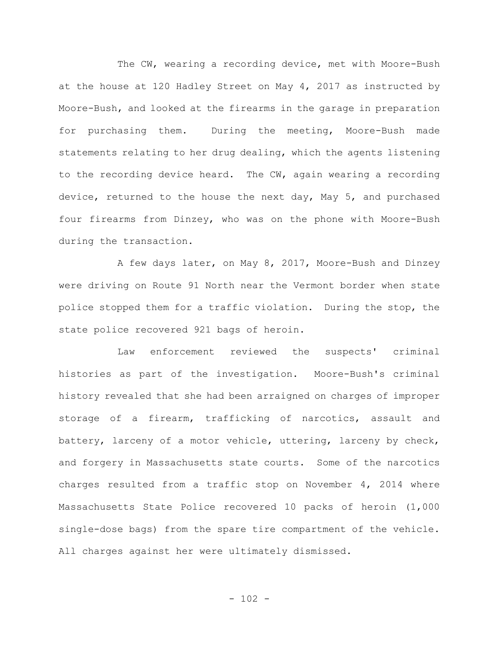The CW, wearing a recording device, met with Moore-Bush at the house at 120 Hadley Street on May 4, 2017 as instructed by Moore-Bush, and looked at the firearms in the garage in preparation for purchasing them. During the meeting, Moore-Bush made statements relating to her drug dealing, which the agents listening to the recording device heard. The CW, again wearing a recording device, returned to the house the next day, May 5, and purchased four firearms from Dinzey, who was on the phone with Moore-Bush during the transaction.

A few days later, on May 8, 2017, Moore-Bush and Dinzey were driving on Route 91 North near the Vermont border when state police stopped them for a traffic violation. During the stop, the state police recovered 921 bags of heroin.

Law enforcement reviewed the suspects' criminal histories as part of the investigation. Moore-Bush's criminal history revealed that she had been arraigned on charges of improper storage of a firearm, trafficking of narcotics, assault and battery, larceny of a motor vehicle, uttering, larceny by check, and forgery in Massachusetts state courts. Some of the narcotics charges resulted from a traffic stop on November 4, 2014 where Massachusetts State Police recovered 10 packs of heroin (1,000 single-dose bags) from the spare tire compartment of the vehicle. All charges against her were ultimately dismissed.

 $- 102 -$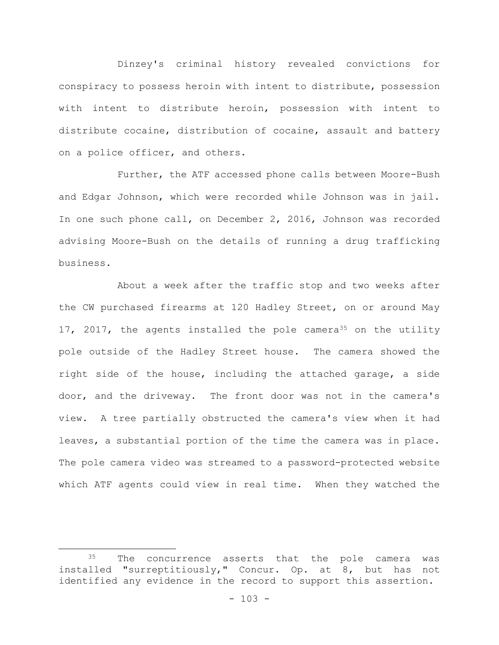Dinzey's criminal history revealed convictions for conspiracy to possess heroin with intent to distribute, possession with intent to distribute heroin, possession with intent to distribute cocaine, distribution of cocaine, assault and battery on a police officer, and others.

Further, the ATF accessed phone calls between Moore-Bush and Edgar Johnson, which were recorded while Johnson was in jail. In one such phone call, on December 2, 2016, Johnson was recorded advising Moore-Bush on the details of running a drug trafficking business.

About a week after the traffic stop and two weeks after the CW purchased firearms at 120 Hadley Street, on or around May 17, 2017, the agents installed the pole camera<sup>35</sup> on the utility pole outside of the Hadley Street house. The camera showed the right side of the house, including the attached garage, a side door, and the driveway. The front door was not in the camera's view. A tree partially obstructed the camera's view when it had leaves, a substantial portion of the time the camera was in place. The pole camera video was streamed to a password-protected website which ATF agents could view in real time. When they watched the

<sup>&</sup>lt;sup>35</sup> The concurrence asserts that the pole camera was installed "surreptitiously," Concur. Op. at 8, but has not identified any evidence in the record to support this assertion.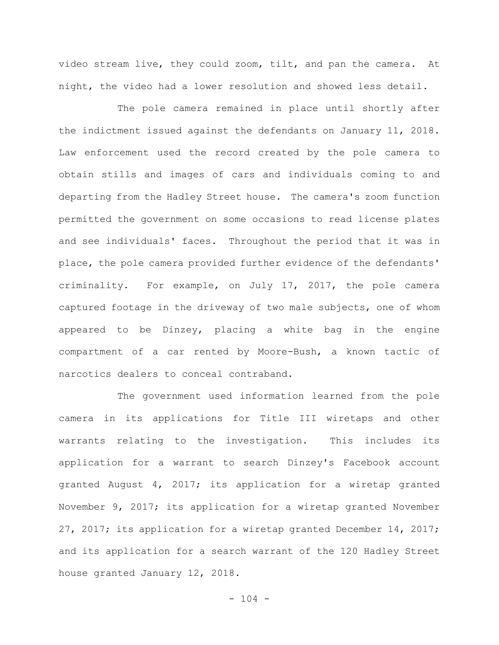video stream live, they could zoom, tilt, and pan the camera. At night, the video had a lower resolution and showed less detail.

The pole camera remained in place until shortly after the indictment issued against the defendants on January 11, 2018. Law enforcement used the record created by the pole camera to obtain stills and images of cars and individuals coming to and departing from the Hadley Street house. The camera's zoom function permitted the government on some occasions to read license plates and see individuals' faces. Throughout the period that it was in place, the pole camera provided further evidence of the defendants' criminality. For example, on July 17, 2017, the pole camera captured footage in the driveway of two male subjects, one of whom appeared to be Dinzey, placing a white bag in the engine compartment of a car rented by Moore-Bush, a known tactic of narcotics dealers to conceal contraband.

The government used information learned from the pole camera in its applications for Title III wiretaps and other warrants relating to the investigation. This includes its application for a warrant to search Dinzey's Facebook account granted August 4, 2017; its application for a wiretap granted November 9, 2017; its application for a wiretap granted November 27, 2017; its application for a wiretap granted December 14, 2017; and its application for a search warrant of the 120 Hadley Street house granted January 12, 2018.

 $- 104 -$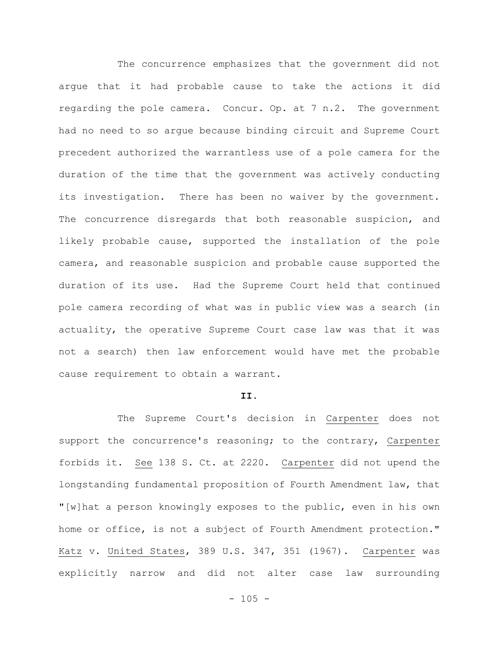The concurrence emphasizes that the government did not argue that it had probable cause to take the actions it did regarding the pole camera. Concur. Op. at 7 n.2. The government had no need to so argue because binding circuit and Supreme Court precedent authorized the warrantless use of a pole camera for the duration of the time that the government was actively conducting its investigation. There has been no waiver by the government. The concurrence disregards that both reasonable suspicion, and likely probable cause, supported the installation of the pole camera, and reasonable suspicion and probable cause supported the duration of its use. Had the Supreme Court held that continued pole camera recording of what was in public view was a search (in actuality, the operative Supreme Court case law was that it was not a search) then law enforcement would have met the probable cause requirement to obtain a warrant.

## **II.**

The Supreme Court's decision in Carpenter does not support the concurrence's reasoning; to the contrary, Carpenter forbids it. See 138 S. Ct. at 2220. Carpenter did not upend the longstanding fundamental proposition of Fourth Amendment law, that "[w]hat a person knowingly exposes to the public, even in his own home or office, is not a subject of Fourth Amendment protection." Katz v. United States, 389 U.S. 347, 351 (1967). Carpenter was explicitly narrow and did not alter case law surrounding

 $- 105 -$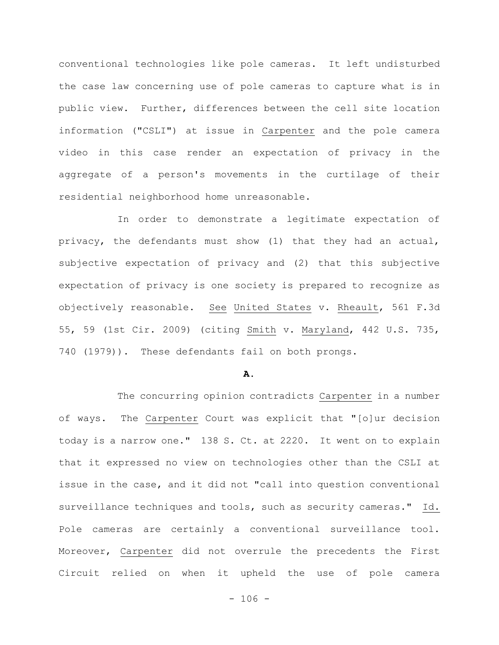conventional technologies like pole cameras. It left undisturbed the case law concerning use of pole cameras to capture what is in public view. Further, differences between the cell site location information ("CSLI") at issue in Carpenter and the pole camera video in this case render an expectation of privacy in the aggregate of a person's movements in the curtilage of their residential neighborhood home unreasonable.

In order to demonstrate a legitimate expectation of privacy, the defendants must show (1) that they had an actual, subjective expectation of privacy and (2) that this subjective expectation of privacy is one society is prepared to recognize as objectively reasonable. See United States v. Rheault, 561 F.3d 55, 59 (1st Cir. 2009) (citing Smith v. Maryland, 442 U.S. 735, 740 (1979)). These defendants fail on both prongs.

#### **A.**

The concurring opinion contradicts Carpenter in a number of ways. The Carpenter Court was explicit that "[o]ur decision today is a narrow one." 138 S. Ct. at 2220. It went on to explain that it expressed no view on technologies other than the CSLI at issue in the case, and it did not "call into question conventional surveillance techniques and tools, such as security cameras." Id. Pole cameras are certainly a conventional surveillance tool. Moreover, Carpenter did not overrule the precedents the First Circuit relied on when it upheld the use of pole camera

 $- 106 -$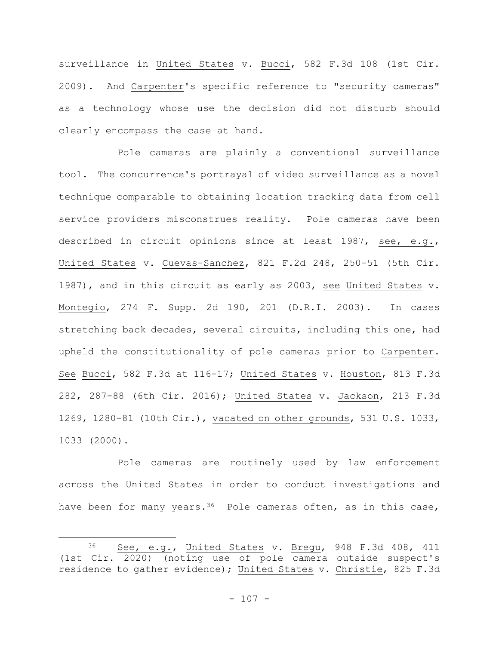surveillance in United States v. Bucci, 582 F.3d 108 (1st Cir. 2009). And Carpenter's specific reference to "security cameras" as a technology whose use the decision did not disturb should clearly encompass the case at hand.

Pole cameras are plainly a conventional surveillance tool. The concurrence's portrayal of video surveillance as a novel technique comparable to obtaining location tracking data from cell service providers misconstrues reality. Pole cameras have been described in circuit opinions since at least 1987, see, e.g., United States v. Cuevas-Sanchez, 821 F.2d 248, 250-51 (5th Cir. 1987), and in this circuit as early as 2003, see United States v. Montegio, 274 F. Supp. 2d 190, 201 (D.R.I. 2003). In cases stretching back decades, several circuits, including this one, had upheld the constitutionality of pole cameras prior to Carpenter. See Bucci, 582 F.3d at 116-17; United States v. Houston, 813 F.3d 282, 287-88 (6th Cir. 2016); United States v. Jackson, 213 F.3d 1269, 1280-81 (10th Cir.), vacated on other grounds, 531 U.S. 1033, 1033 (2000).

Pole cameras are routinely used by law enforcement across the United States in order to conduct investigations and have been for many years.<sup>36</sup> Pole cameras often, as in this case,

<sup>36</sup> See, e.g., United States v. Bregu, 948 F.3d 408, 411 (1st Cir. 2020) (noting use of pole camera outside suspect's residence to gather evidence); United States v. Christie, 825 F.3d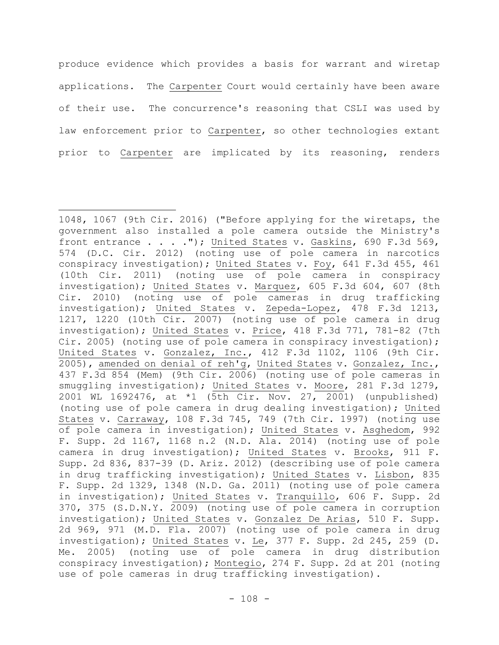produce evidence which provides a basis for warrant and wiretap applications. The Carpenter Court would certainly have been aware of their use. The concurrence's reasoning that CSLI was used by law enforcement prior to Carpenter, so other technologies extant prior to Carpenter are implicated by its reasoning, renders

<sup>1048, 1067 (9</sup>th Cir. 2016) ("Before applying for the wiretaps, the government also installed a pole camera outside the Ministry's front entrance . . . ."); United States v. Gaskins, 690 F.3d 569, 574 (D.C. Cir. 2012) (noting use of pole camera in narcotics conspiracy investigation); United States v. Foy, 641 F.3d 455, 461 (10th Cir. 2011) (noting use of pole camera in conspiracy investigation); United States v. Marquez, 605 F.3d 604, 607 (8th Cir. 2010) (noting use of pole cameras in drug trafficking investigation); United States v. Zepeda-Lopez, 478 F.3d 1213, 1217, 1220 (10th Cir. 2007) (noting use of pole camera in drug investigation); United States v. Price, 418 F.3d 771, 781-82 (7th Cir. 2005) (noting use of pole camera in conspiracy investigation); United States v. Gonzalez, Inc., 412 F.3d 1102, 1106 (9th Cir. 2005), amended on denial of reh'g, United States v. Gonzalez, Inc., 437 F.3d 854 (Mem) (9th Cir. 2006) (noting use of pole cameras in smuggling investigation); United States v. Moore, 281 F.3d 1279, 2001 WL 1692476, at \*1 (5th Cir. Nov. 27, 2001) (unpublished) (noting use of pole camera in drug dealing investigation); United States v. Carraway, 108 F.3d 745, 749 (7th Cir. 1997) (noting use of pole camera in investigation); United States v. Asghedom, 992 F. Supp. 2d 1167, 1168 n.2 (N.D. Ala. 2014) (noting use of pole camera in drug investigation); United States v. Brooks, 911 F. Supp. 2d 836, 837-39 (D. Ariz. 2012) (describing use of pole camera in drug trafficking investigation); United States v. Lisbon, 835 F. Supp. 2d 1329, 1348 (N.D. Ga. 2011) (noting use of pole camera in investigation); United States v. Tranquillo, 606 F. Supp. 2d 370, 375 (S.D.N.Y. 2009) (noting use of pole camera in corruption investigation); United States v. Gonzalez De Arias, 510 F. Supp. 2d 969, 971 (M.D. Fla. 2007) (noting use of pole camera in drug investigation); United States v. Le, 377 F. Supp. 2d 245, 259 (D. Me. 2005) (noting use of pole camera in drug distribution conspiracy investigation); Montegio, 274 F. Supp. 2d at 201 (noting use of pole cameras in drug trafficking investigation).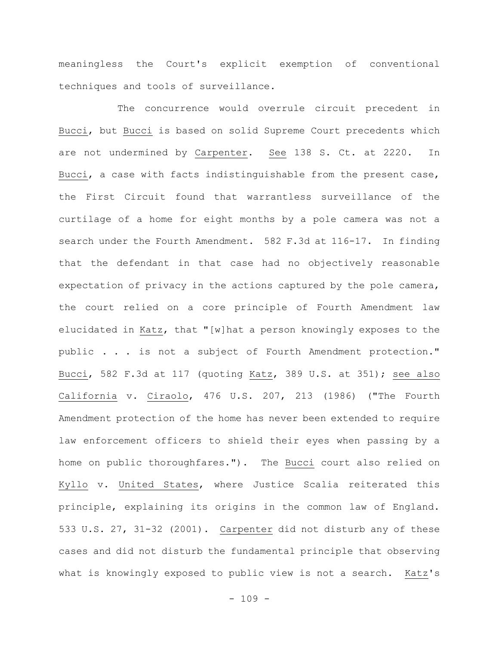meaningless the Court's explicit exemption of conventional techniques and tools of surveillance.

The concurrence would overrule circuit precedent in Bucci, but Bucci is based on solid Supreme Court precedents which are not undermined by Carpenter. See 138 S. Ct. at 2220. In Bucci, a case with facts indistinguishable from the present case, the First Circuit found that warrantless surveillance of the curtilage of a home for eight months by a pole camera was not a search under the Fourth Amendment. 582 F.3d at 116-17. In finding that the defendant in that case had no objectively reasonable expectation of privacy in the actions captured by the pole camera, the court relied on a core principle of Fourth Amendment law elucidated in Katz, that "[w]hat a person knowingly exposes to the public . . . is not a subject of Fourth Amendment protection." Bucci, 582 F.3d at 117 (quoting Katz, 389 U.S. at 351); see also California v. Ciraolo, 476 U.S. 207, 213 (1986) ("The Fourth Amendment protection of the home has never been extended to require law enforcement officers to shield their eyes when passing by a home on public thoroughfares."). The Bucci court also relied on Kyllo v. United States, where Justice Scalia reiterated this principle, explaining its origins in the common law of England. 533 U.S. 27, 31-32 (2001). Carpenter did not disturb any of these cases and did not disturb the fundamental principle that observing what is knowingly exposed to public view is not a search. Katz's

 $- 109 -$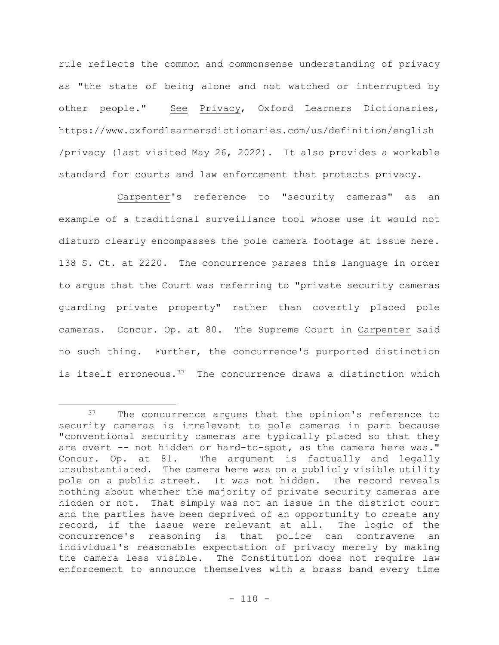rule reflects the common and commonsense understanding of privacy as "the state of being alone and not watched or interrupted by other people." See Privacy, Oxford Learners Dictionaries, https://www.oxfordlearnersdictionaries.com/us/definition/english /privacy (last visited May 26, 2022). It also provides a workable standard for courts and law enforcement that protects privacy.

Carpenter's reference to "security cameras" as an example of a traditional surveillance tool whose use it would not disturb clearly encompasses the pole camera footage at issue here. 138 S. Ct. at 2220. The concurrence parses this language in order to argue that the Court was referring to "private security cameras guarding private property" rather than covertly placed pole cameras. Concur. Op. at 80. The Supreme Court in Carpenter said no such thing. Further, the concurrence's purported distinction is itself erroneous. $37$  The concurrence draws a distinction which

The concurrence argues that the opinion's reference to security cameras is irrelevant to pole cameras in part because "conventional security cameras are typically placed so that they are overt -- not hidden or hard-to-spot, as the camera here was." Concur. Op. at 81. The argument is factually and legally unsubstantiated. The camera here was on a publicly visible utility pole on a public street. It was not hidden. The record reveals nothing about whether the majority of private security cameras are hidden or not. That simply was not an issue in the district court and the parties have been deprived of an opportunity to create any record, if the issue were relevant at all. The logic of the concurrence's reasoning is that police can contravene an individual's reasonable expectation of privacy merely by making the camera less visible. The Constitution does not require law enforcement to announce themselves with a brass band every time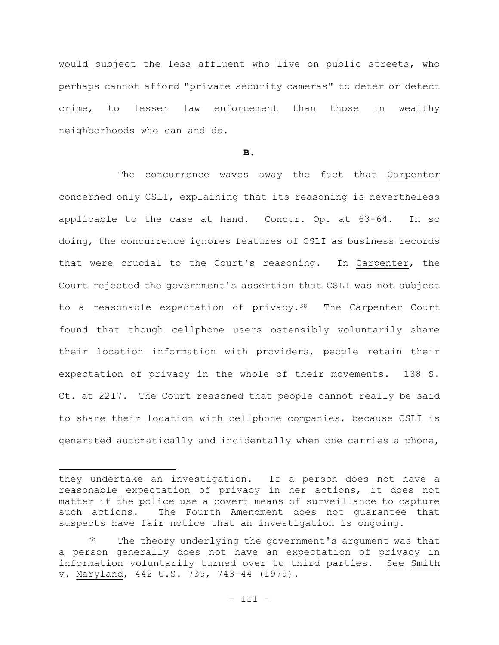would subject the less affluent who live on public streets, who perhaps cannot afford "private security cameras" to deter or detect crime, to lesser law enforcement than those in wealthy neighborhoods who can and do.

**B.**

The concurrence waves away the fact that Carpenter concerned only CSLI, explaining that its reasoning is nevertheless applicable to the case at hand. Concur. Op. at 63-64. In so doing, the concurrence ignores features of CSLI as business records that were crucial to the Court's reasoning. In Carpenter, the Court rejected the government's assertion that CSLI was not subject to a reasonable expectation of privacy.<sup>38</sup> The Carpenter Court found that though cellphone users ostensibly voluntarily share their location information with providers, people retain their expectation of privacy in the whole of their movements. 138 S. Ct. at 2217. The Court reasoned that people cannot really be said to share their location with cellphone companies, because CSLI is generated automatically and incidentally when one carries a phone,

they undertake an investigation. If a person does not have a reasonable expectation of privacy in her actions, it does not matter if the police use a covert means of surveillance to capture such actions. The Fourth Amendment does not guarantee that suspects have fair notice that an investigation is ongoing.

<sup>&</sup>lt;sup>38</sup> The theory underlying the government's argument was that a person generally does not have an expectation of privacy in information voluntarily turned over to third parties. See Smith v. Maryland, 442 U.S. 735, 743-44 (1979).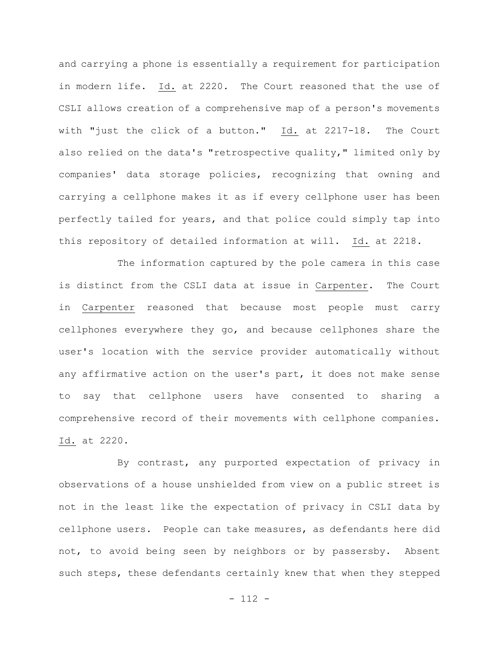and carrying a phone is essentially a requirement for participation in modern life. Id. at 2220. The Court reasoned that the use of CSLI allows creation of a comprehensive map of a person's movements with "just the click of a button." Id. at 2217-18. The Court also relied on the data's "retrospective quality," limited only by companies' data storage policies, recognizing that owning and carrying a cellphone makes it as if every cellphone user has been perfectly tailed for years, and that police could simply tap into this repository of detailed information at will. Id. at 2218.

The information captured by the pole camera in this case is distinct from the CSLI data at issue in Carpenter. The Court in Carpenter reasoned that because most people must carry cellphones everywhere they go, and because cellphones share the user's location with the service provider automatically without any affirmative action on the user's part, it does not make sense to say that cellphone users have consented to sharing a comprehensive record of their movements with cellphone companies. Id. at 2220.

By contrast, any purported expectation of privacy in observations of a house unshielded from view on a public street is not in the least like the expectation of privacy in CSLI data by cellphone users. People can take measures, as defendants here did not, to avoid being seen by neighbors or by passersby. Absent such steps, these defendants certainly knew that when they stepped

 $- 112 -$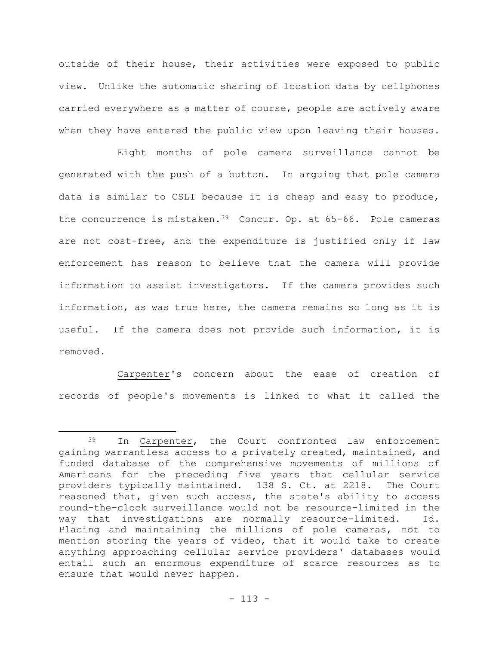outside of their house, their activities were exposed to public view. Unlike the automatic sharing of location data by cellphones carried everywhere as a matter of course, people are actively aware when they have entered the public view upon leaving their houses.

Eight months of pole camera surveillance cannot be generated with the push of a button. In arguing that pole camera data is similar to CSLI because it is cheap and easy to produce, the concurrence is mistaken.39 Concur. Op. at 65-66. Pole cameras are not cost-free, and the expenditure is justified only if law enforcement has reason to believe that the camera will provide information to assist investigators. If the camera provides such information, as was true here, the camera remains so long as it is useful. If the camera does not provide such information, it is removed.

Carpenter's concern about the ease of creation of records of people's movements is linked to what it called the

<sup>39</sup> In Carpenter, the Court confronted law enforcement gaining warrantless access to a privately created, maintained, and funded database of the comprehensive movements of millions of Americans for the preceding five years that cellular service providers typically maintained. 138 S. Ct. at 2218. The Court reasoned that, given such access, the state's ability to access round-the-clock surveillance would not be resource-limited in the way that investigations are normally resource-limited. Id. Placing and maintaining the millions of pole cameras, not to mention storing the years of video, that it would take to create anything approaching cellular service providers' databases would entail such an enormous expenditure of scarce resources as to ensure that would never happen.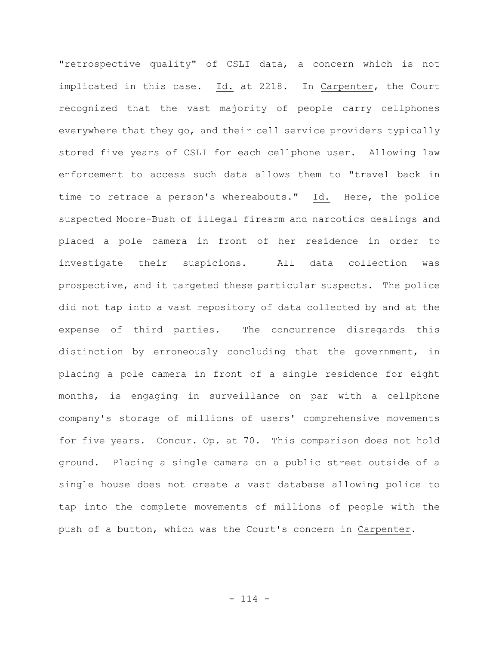"retrospective quality" of CSLI data, a concern which is not implicated in this case. Id. at 2218. In Carpenter, the Court recognized that the vast majority of people carry cellphones everywhere that they go, and their cell service providers typically stored five years of CSLI for each cellphone user. Allowing law enforcement to access such data allows them to "travel back in time to retrace a person's whereabouts." Id. Here, the police suspected Moore-Bush of illegal firearm and narcotics dealings and placed a pole camera in front of her residence in order to investigate their suspicions. All data collection was prospective, and it targeted these particular suspects. The police did not tap into a vast repository of data collected by and at the expense of third parties. The concurrence disregards this distinction by erroneously concluding that the government, in placing a pole camera in front of a single residence for eight months, is engaging in surveillance on par with a cellphone company's storage of millions of users' comprehensive movements for five years. Concur. Op. at 70. This comparison does not hold ground. Placing a single camera on a public street outside of a single house does not create a vast database allowing police to tap into the complete movements of millions of people with the push of a button, which was the Court's concern in Carpenter.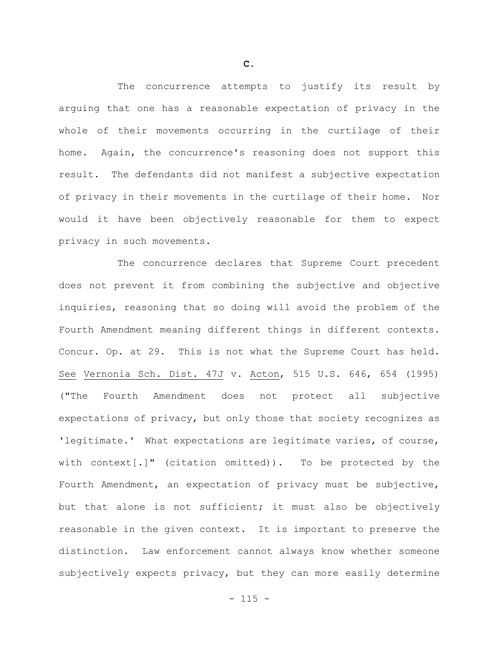The concurrence attempts to justify its result by arguing that one has a reasonable expectation of privacy in the whole of their movements occurring in the curtilage of their home. Again, the concurrence's reasoning does not support this result. The defendants did not manifest a subjective expectation of privacy in their movements in the curtilage of their home. Nor would it have been objectively reasonable for them to expect privacy in such movements.

The concurrence declares that Supreme Court precedent does not prevent it from combining the subjective and objective inquiries, reasoning that so doing will avoid the problem of the Fourth Amendment meaning different things in different contexts. Concur. Op. at 29. This is not what the Supreme Court has held. See Vernonia Sch. Dist. 47J v. Acton, 515 U.S. 646, 654 (1995) ("The Fourth Amendment does not protect all subjective expectations of privacy, but only those that society recognizes as 'legitimate.' What expectations are legitimate varies, of course, with context[.]" (citation omitted)). To be protected by the Fourth Amendment, an expectation of privacy must be subjective, but that alone is not sufficient; it must also be objectively reasonable in the given context. It is important to preserve the distinction. Law enforcement cannot always know whether someone subjectively expects privacy, but they can more easily determine

**C.**

 $- 115 -$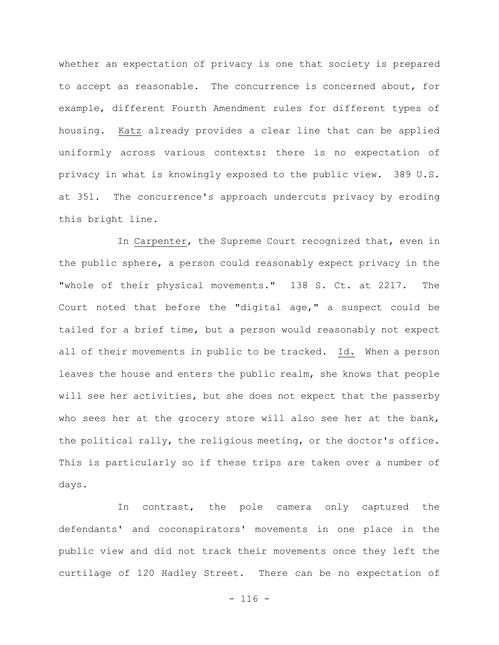whether an expectation of privacy is one that society is prepared to accept as reasonable. The concurrence is concerned about, for example, different Fourth Amendment rules for different types of housing. Katz already provides a clear line that can be applied uniformly across various contexts: there is no expectation of privacy in what is knowingly exposed to the public view. 389 U.S. at 351. The concurrence's approach undercuts privacy by eroding this bright line.

In Carpenter, the Supreme Court recognized that, even in the public sphere, a person could reasonably expect privacy in the "whole of their physical movements." 138 S. Ct. at 2217. The Court noted that before the "digital age," a suspect could be tailed for a brief time, but a person would reasonably not expect all of their movements in public to be tracked. Id. When a person leaves the house and enters the public realm, she knows that people will see her activities, but she does not expect that the passerby who sees her at the grocery store will also see her at the bank, the political rally, the religious meeting, or the doctor's office. This is particularly so if these trips are taken over a number of days.

In contrast, the pole camera only captured the defendants' and coconspirators' movements in one place in the public view and did not track their movements once they left the curtilage of 120 Hadley Street. There can be no expectation of

 $- 116 -$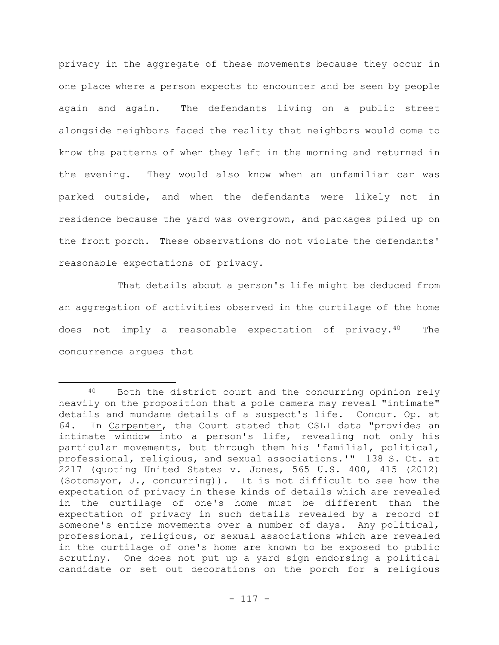privacy in the aggregate of these movements because they occur in one place where a person expects to encounter and be seen by people again and again. The defendants living on a public street alongside neighbors faced the reality that neighbors would come to know the patterns of when they left in the morning and returned in the evening. They would also know when an unfamiliar car was parked outside, and when the defendants were likely not in residence because the yard was overgrown, and packages piled up on the front porch. These observations do not violate the defendants' reasonable expectations of privacy.

That details about a person's life might be deduced from an aggregation of activities observed in the curtilage of the home does not imply a reasonable expectation of privacy.40 The concurrence argues that

<sup>40</sup> Both the district court and the concurring opinion rely heavily on the proposition that a pole camera may reveal "intimate" details and mundane details of a suspect's life. Concur. Op. at 64. In Carpenter, the Court stated that CSLI data "provides an intimate window into a person's life, revealing not only his particular movements, but through them his 'familial, political, professional, religious, and sexual associations.'" 138 S. Ct. at 2217 (quoting United States v. Jones, 565 U.S. 400, 415 (2012) (Sotomayor, J., concurring)). It is not difficult to see how the expectation of privacy in these kinds of details which are revealed in the curtilage of one's home must be different than the expectation of privacy in such details revealed by a record of someone's entire movements over a number of days. Any political, professional, religious, or sexual associations which are revealed in the curtilage of one's home are known to be exposed to public scrutiny. One does not put up a yard sign endorsing a political candidate or set out decorations on the porch for a religious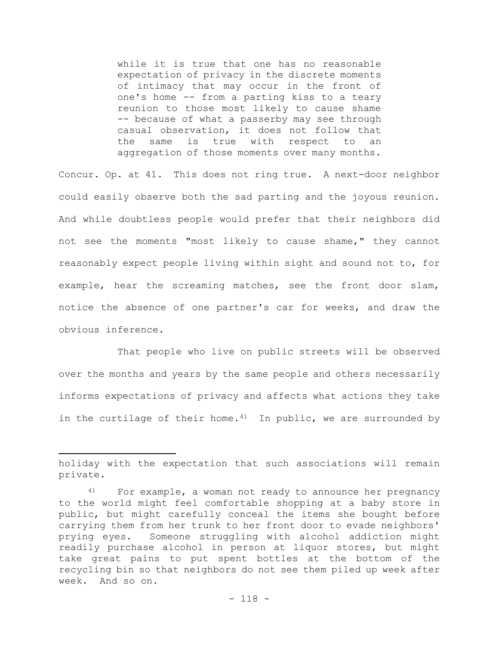while it is true that one has no reasonable expectation of privacy in the discrete moments of intimacy that may occur in the front of one's home -- from a parting kiss to a teary reunion to those most likely to cause shame -- because of what a passerby may see through casual observation, it does not follow that the same is true with respect to an aggregation of those moments over many months.

Concur. Op. at 41. This does not ring true. A next-door neighbor could easily observe both the sad parting and the joyous reunion. And while doubtless people would prefer that their neighbors did not see the moments "most likely to cause shame," they cannot reasonably expect people living within sight and sound not to, for example, hear the screaming matches, see the front door slam, notice the absence of one partner's car for weeks, and draw the obvious inference.

That people who live on public streets will be observed over the months and years by the same people and others necessarily informs expectations of privacy and affects what actions they take in the curtilage of their home. $41$  In public, we are surrounded by

holiday with the expectation that such associations will remain private.

<sup>41</sup> For example, a woman not ready to announce her pregnancy to the world might feel comfortable shopping at a baby store in public, but might carefully conceal the items she bought before carrying them from her trunk to her front door to evade neighbors' prying eyes. Someone struggling with alcohol addiction might readily purchase alcohol in person at liquor stores, but might take great pains to put spent bottles at the bottom of the recycling bin so that neighbors do not see them piled up week after week. And so on.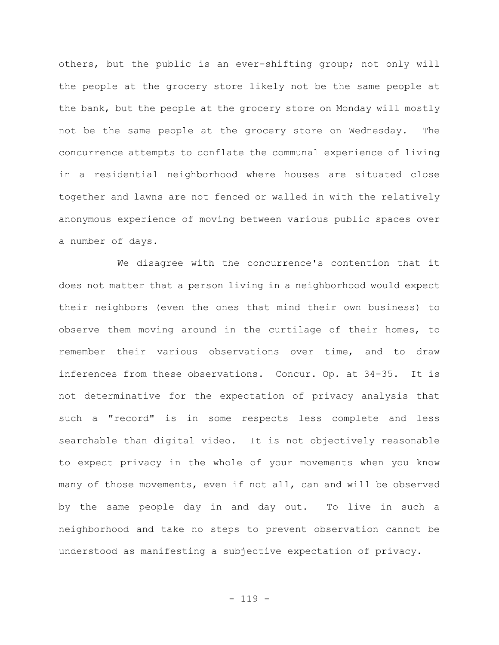others, but the public is an ever-shifting group; not only will the people at the grocery store likely not be the same people at the bank, but the people at the grocery store on Monday will mostly not be the same people at the grocery store on Wednesday. The concurrence attempts to conflate the communal experience of living in a residential neighborhood where houses are situated close together and lawns are not fenced or walled in with the relatively anonymous experience of moving between various public spaces over a number of days.

We disagree with the concurrence's contention that it does not matter that a person living in a neighborhood would expect their neighbors (even the ones that mind their own business) to observe them moving around in the curtilage of their homes, to remember their various observations over time, and to draw inferences from these observations. Concur. Op. at 34-35. It is not determinative for the expectation of privacy analysis that such a "record" is in some respects less complete and less searchable than digital video. It is not objectively reasonable to expect privacy in the whole of your movements when you know many of those movements, even if not all, can and will be observed by the same people day in and day out. To live in such a neighborhood and take no steps to prevent observation cannot be understood as manifesting a subjective expectation of privacy.

- 119 -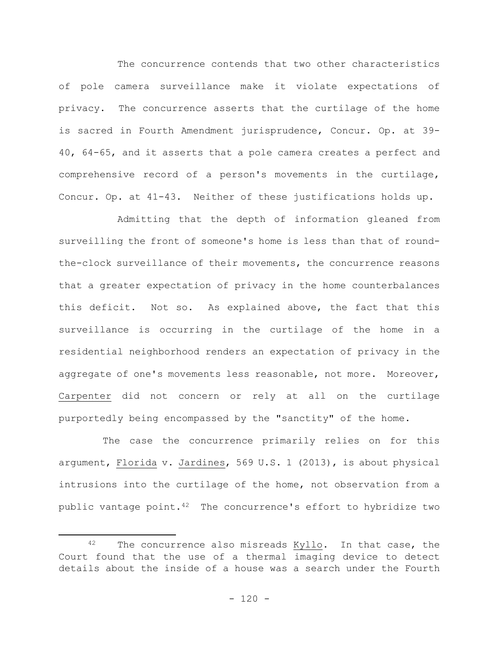The concurrence contends that two other characteristics of pole camera surveillance make it violate expectations of privacy. The concurrence asserts that the curtilage of the home is sacred in Fourth Amendment jurisprudence, Concur. Op. at 39- 40, 64-65, and it asserts that a pole camera creates a perfect and comprehensive record of a person's movements in the curtilage, Concur. Op. at 41-43. Neither of these justifications holds up.

Admitting that the depth of information gleaned from surveilling the front of someone's home is less than that of roundthe-clock surveillance of their movements, the concurrence reasons that a greater expectation of privacy in the home counterbalances this deficit. Not so. As explained above, the fact that this surveillance is occurring in the curtilage of the home in a residential neighborhood renders an expectation of privacy in the aggregate of one's movements less reasonable, not more. Moreover, Carpenter did not concern or rely at all on the curtilage purportedly being encompassed by the "sanctity" of the home.

The case the concurrence primarily relies on for this argument, Florida v. Jardines, 569 U.S. 1 (2013), is about physical intrusions into the curtilage of the home, not observation from a public vantage point.42 The concurrence's effort to hybridize two

<sup>42</sup> The concurrence also misreads Kyllo. In that case, the Court found that the use of a thermal imaging device to detect details about the inside of a house was a search under the Fourth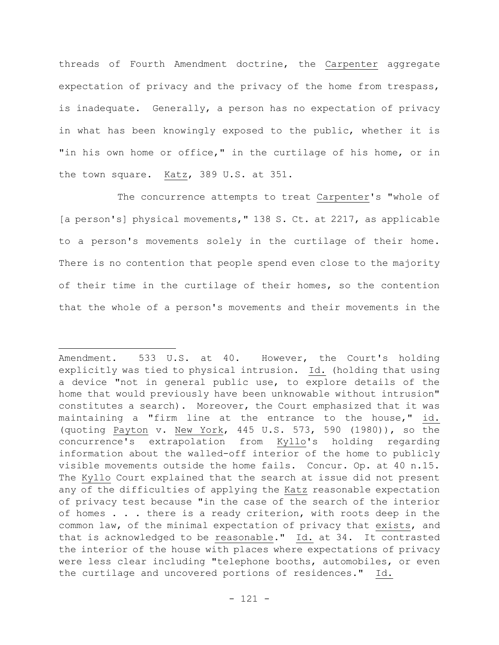threads of Fourth Amendment doctrine, the Carpenter aggregate expectation of privacy and the privacy of the home from trespass, is inadequate. Generally, a person has no expectation of privacy in what has been knowingly exposed to the public, whether it is "in his own home or office," in the curtilage of his home, or in the town square. Katz, 389 U.S. at 351.

The concurrence attempts to treat Carpenter's "whole of [a person's] physical movements, " 138 S. Ct. at 2217, as applicable to a person's movements solely in the curtilage of their home. There is no contention that people spend even close to the majority of their time in the curtilage of their homes, so the contention that the whole of a person's movements and their movements in the

Amendment. 533 U.S. at 40. However, the Court's holding explicitly was tied to physical intrusion. Id. (holding that using a device "not in general public use, to explore details of the home that would previously have been unknowable without intrusion" constitutes a search). Moreover, the Court emphasized that it was maintaining a "firm line at the entrance to the house," id. (quoting Payton v. New York, 445 U.S. 573, 590 (1980)), so the concurrence's extrapolation from Kyllo's holding regarding information about the walled-off interior of the home to publicly visible movements outside the home fails. Concur. Op. at 40 n.15. The Kyllo Court explained that the search at issue did not present any of the difficulties of applying the Katz reasonable expectation of privacy test because "in the case of the search of the interior of homes . . . there is a ready criterion, with roots deep in the common law, of the minimal expectation of privacy that exists, and that is acknowledged to be reasonable." Id. at 34. It contrasted the interior of the house with places where expectations of privacy were less clear including "telephone booths, automobiles, or even the curtilage and uncovered portions of residences." Id.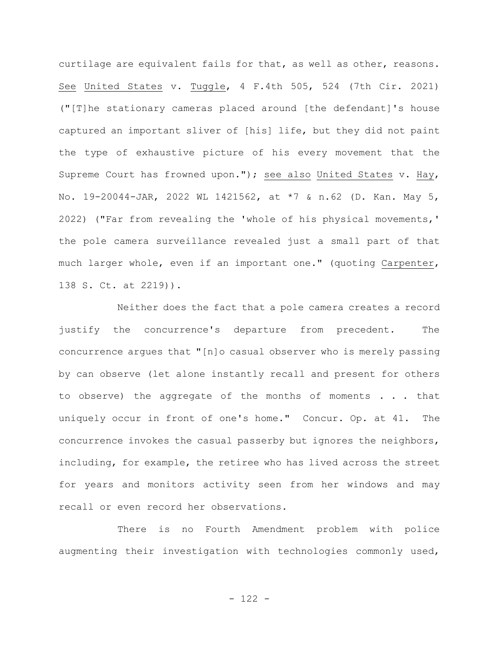curtilage are equivalent fails for that, as well as other, reasons. See United States v. Tuggle, 4 F.4th 505, 524 (7th Cir. 2021) ("[T]he stationary cameras placed around [the defendant]'s house captured an important sliver of [his] life, but they did not paint the type of exhaustive picture of his every movement that the Supreme Court has frowned upon."); see also United States v. Hay, No. 19-20044-JAR, 2022 WL 1421562, at \*7 & n.62 (D. Kan. May 5, 2022) ("Far from revealing the 'whole of his physical movements,' the pole camera surveillance revealed just a small part of that much larger whole, even if an important one." (quoting Carpenter, 138 S. Ct. at 2219)).

Neither does the fact that a pole camera creates a record justify the concurrence's departure from precedent. The concurrence argues that "[n]o casual observer who is merely passing by can observe (let alone instantly recall and present for others to observe) the aggregate of the months of moments . . . that uniquely occur in front of one's home." Concur. Op. at 41. The concurrence invokes the casual passerby but ignores the neighbors, including, for example, the retiree who has lived across the street for years and monitors activity seen from her windows and may recall or even record her observations.

There is no Fourth Amendment problem with police augmenting their investigation with technologies commonly used,

- 122 -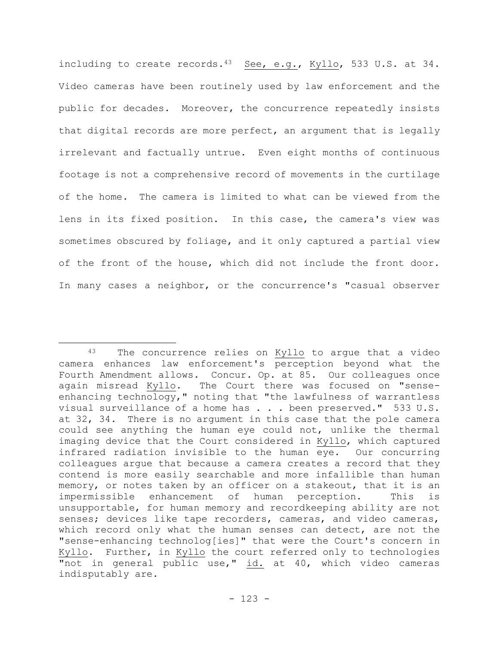including to create records.<sup>43</sup> See, e.g., Kyllo, 533 U.S. at 34. Video cameras have been routinely used by law enforcement and the public for decades. Moreover, the concurrence repeatedly insists that digital records are more perfect, an argument that is legally irrelevant and factually untrue. Even eight months of continuous footage is not a comprehensive record of movements in the curtilage of the home. The camera is limited to what can be viewed from the lens in its fixed position. In this case, the camera's view was sometimes obscured by foliage, and it only captured a partial view of the front of the house, which did not include the front door. In many cases a neighbor, or the concurrence's "casual observer

<sup>43</sup> The concurrence relies on Kyllo to argue that a video camera enhances law enforcement's perception beyond what the Fourth Amendment allows. Concur. Op. at 85. Our colleagues once again misread Kyllo. The Court there was focused on "senseenhancing technology," noting that "the lawfulness of warrantless visual surveillance of a home has . . . been preserved." 533 U.S. at 32, 34. There is no argument in this case that the pole camera could see anything the human eye could not, unlike the thermal imaging device that the Court considered in Kyllo, which captured infrared radiation invisible to the human eye. Our concurring colleagues argue that because a camera creates a record that they contend is more easily searchable and more infallible than human memory, or notes taken by an officer on a stakeout, that it is an impermissible enhancement of human perception. This is unsupportable, for human memory and recordkeeping ability are not senses; devices like tape recorders, cameras, and video cameras, which record only what the human senses can detect, are not the "sense-enhancing technolog[ies]" that were the Court's concern in Kyllo. Further, in Kyllo the court referred only to technologies "not in general public use," id. at 40, which video cameras indisputably are.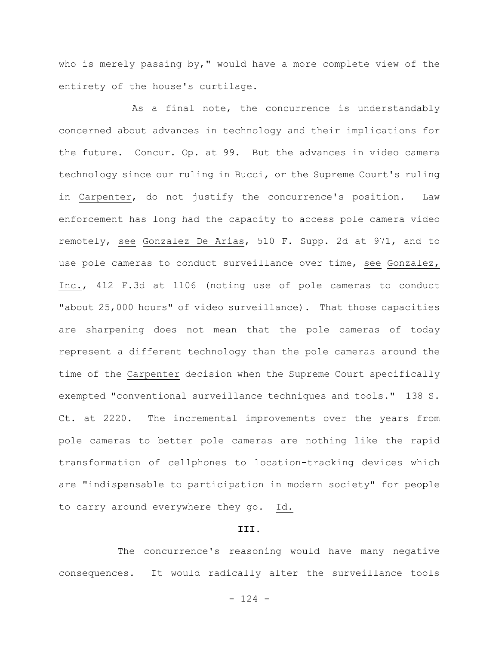who is merely passing by," would have a more complete view of the entirety of the house's curtilage.

As a final note, the concurrence is understandably concerned about advances in technology and their implications for the future. Concur. Op. at 99. But the advances in video camera technology since our ruling in Bucci, or the Supreme Court's ruling in Carpenter, do not justify the concurrence's position. Law enforcement has long had the capacity to access pole camera video remotely, see Gonzalez De Arias, 510 F. Supp. 2d at 971, and to use pole cameras to conduct surveillance over time, see Gonzalez, Inc., 412 F.3d at 1106 (noting use of pole cameras to conduct "about 25,000 hours" of video surveillance). That those capacities are sharpening does not mean that the pole cameras of today represent a different technology than the pole cameras around the time of the Carpenter decision when the Supreme Court specifically exempted "conventional surveillance techniques and tools." 138 S. Ct. at 2220. The incremental improvements over the years from pole cameras to better pole cameras are nothing like the rapid transformation of cellphones to location-tracking devices which are "indispensable to participation in modern society" for people to carry around everywhere they go. Id.

## **III.**

The concurrence's reasoning would have many negative consequences. It would radically alter the surveillance tools

 $- 124 -$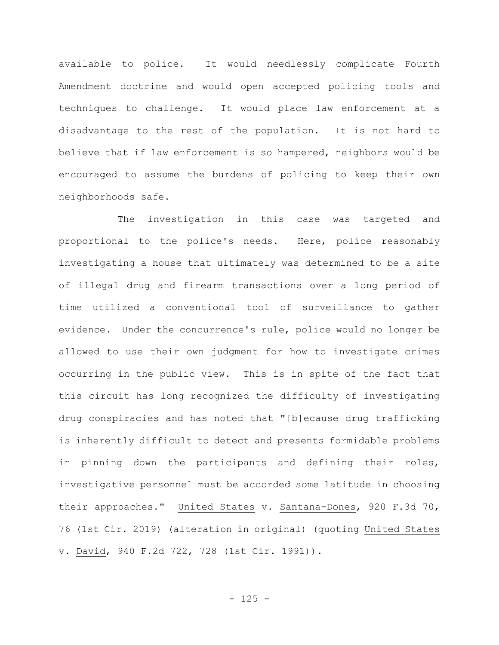available to police. It would needlessly complicate Fourth Amendment doctrine and would open accepted policing tools and techniques to challenge. It would place law enforcement at a disadvantage to the rest of the population. It is not hard to believe that if law enforcement is so hampered, neighbors would be encouraged to assume the burdens of policing to keep their own neighborhoods safe.

The investigation in this case was targeted and proportional to the police's needs. Here, police reasonably investigating a house that ultimately was determined to be a site of illegal drug and firearm transactions over a long period of time utilized a conventional tool of surveillance to gather evidence. Under the concurrence's rule, police would no longer be allowed to use their own judgment for how to investigate crimes occurring in the public view. This is in spite of the fact that this circuit has long recognized the difficulty of investigating drug conspiracies and has noted that "[b]ecause drug trafficking is inherently difficult to detect and presents formidable problems in pinning down the participants and defining their roles, investigative personnel must be accorded some latitude in choosing their approaches." United States v. Santana-Dones, 920 F.3d 70, 76 (1st Cir. 2019) (alteration in original) (quoting United States v. David, 940 F.2d 722, 728 (1st Cir. 1991)).

 $- 125 -$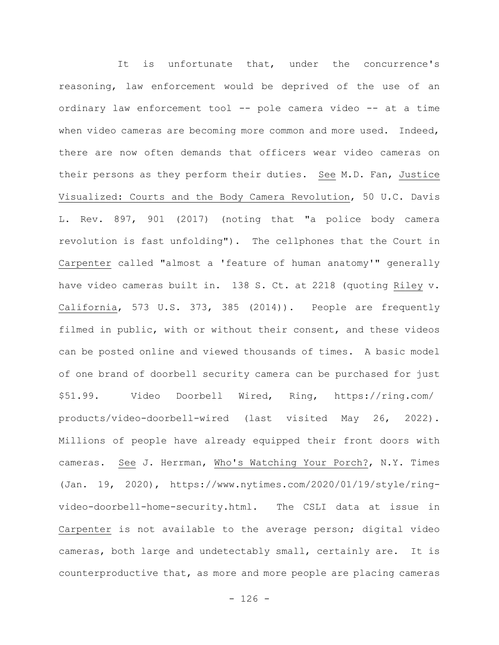It is unfortunate that, under the concurrence's reasoning, law enforcement would be deprived of the use of an ordinary law enforcement tool -- pole camera video -- at a time when video cameras are becoming more common and more used. Indeed, there are now often demands that officers wear video cameras on their persons as they perform their duties. See M.D. Fan, Justice Visualized: Courts and the Body Camera Revolution, 50 U.C. Davis L. Rev. 897, 901 (2017) (noting that "a police body camera revolution is fast unfolding"). The cellphones that the Court in Carpenter called "almost a 'feature of human anatomy'" generally have video cameras built in. 138 S. Ct. at 2218 (quoting Riley v. California, 573 U.S. 373, 385 (2014)). People are frequently filmed in public, with or without their consent, and these videos can be posted online and viewed thousands of times. A basic model of one brand of doorbell security camera can be purchased for just \$51.99. Video Doorbell Wired, Ring, https://ring.com/ products/video-doorbell-wired (last visited May 26, 2022). Millions of people have already equipped their front doors with cameras. See J. Herrman, Who's Watching Your Porch?, N.Y. Times (Jan. 19, 2020), https://www.nytimes.com/2020/01/19/style/ringvideo-doorbell-home-security.html. The CSLI data at issue in Carpenter is not available to the average person; digital video cameras, both large and undetectably small, certainly are. It is counterproductive that, as more and more people are placing cameras

 $- 126 -$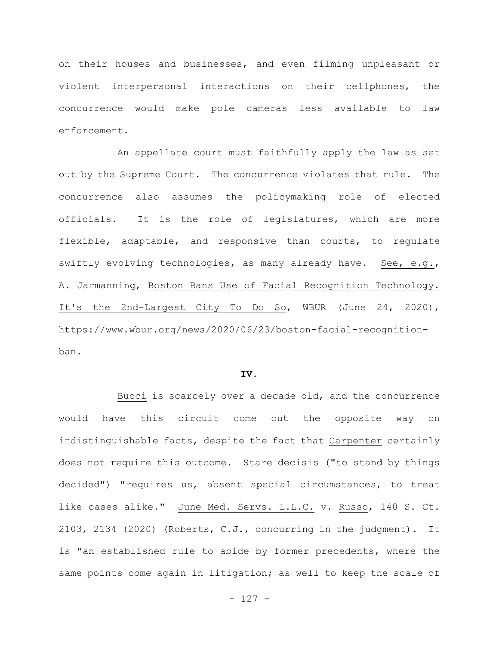on their houses and businesses, and even filming unpleasant or violent interpersonal interactions on their cellphones, the concurrence would make pole cameras less available to law enforcement.

An appellate court must faithfully apply the law as set out by the Supreme Court. The concurrence violates that rule. The concurrence also assumes the policymaking role of elected officials. It is the role of legislatures, which are more flexible, adaptable, and responsive than courts, to regulate swiftly evolving technologies, as many already have. See, e.g., A. Jarmanning, Boston Bans Use of Facial Recognition Technology. It's the 2nd-Largest City To Do So, WBUR (June 24, 2020), https://www.wbur.org/news/2020/06/23/boston-facial-recognitionban.

## **IV.**

Bucci is scarcely over a decade old, and the concurrence would have this circuit come out the opposite way on indistinguishable facts, despite the fact that Carpenter certainly does not require this outcome. Stare decisis ("to stand by things decided") "requires us, absent special circumstances, to treat like cases alike." June Med. Servs. L.L.C. v. Russo, 140 S. Ct. 2103, 2134 (2020) (Roberts, C.J., concurring in the judgment). It is "an established rule to abide by former precedents, where the same points come again in litigation; as well to keep the scale of

 $- 127 -$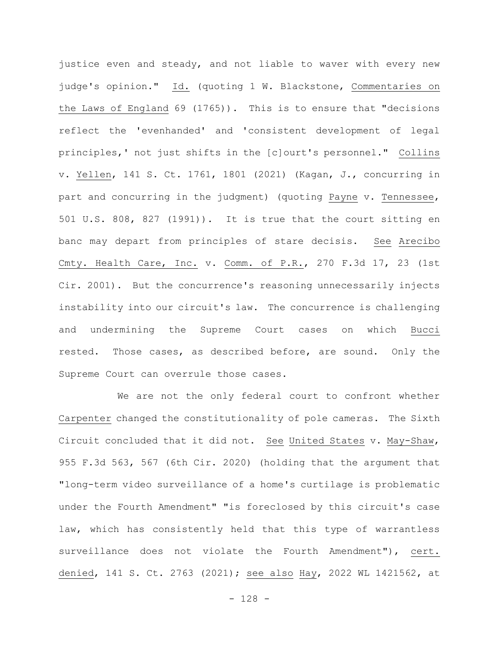justice even and steady, and not liable to waver with every new judge's opinion." Id. (quoting 1 W. Blackstone, Commentaries on the Laws of England 69 (1765)). This is to ensure that "decisions reflect the 'evenhanded' and 'consistent development of legal principles,' not just shifts in the [c]ourt's personnel." Collins v. Yellen, 141 S. Ct. 1761, 1801 (2021) (Kagan, J., concurring in part and concurring in the judgment) (quoting Payne v. Tennessee, 501 U.S. 808, 827 (1991)). It is true that the court sitting en banc may depart from principles of stare decisis. See Arecibo Cmty. Health Care, Inc. v. Comm. of P.R., 270 F.3d 17, 23 (1st Cir. 2001). But the concurrence's reasoning unnecessarily injects instability into our circuit's law. The concurrence is challenging and undermining the Supreme Court cases on which Bucci rested. Those cases, as described before, are sound. Only the Supreme Court can overrule those cases.

We are not the only federal court to confront whether Carpenter changed the constitutionality of pole cameras. The Sixth Circuit concluded that it did not. See United States v. May-Shaw, 955 F.3d 563, 567 (6th Cir. 2020) (holding that the argument that "long-term video surveillance of a home's curtilage is problematic under the Fourth Amendment" "is foreclosed by this circuit's case law, which has consistently held that this type of warrantless surveillance does not violate the Fourth Amendment"), cert. denied, 141 S. Ct. 2763 (2021); see also Hay, 2022 WL 1421562, at

 $- 128 -$